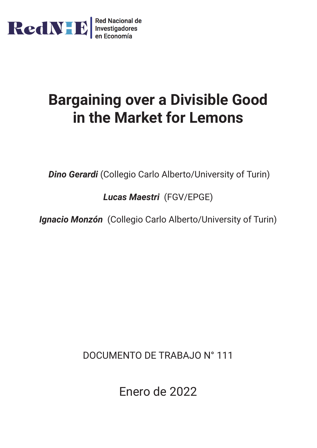

# **Bargaining over a Divisible Good in the Market for Lemons**

*Dino Gerardi* (Collegio Carlo Alberto/University of Turin)

*Lucas Maestri* (FGV/EPGE)

*Ignacio Monzón* (Collegio Carlo Alberto/University of Turin)

DOCUMENTO DE TRABAJO N° 111

Enero de 2022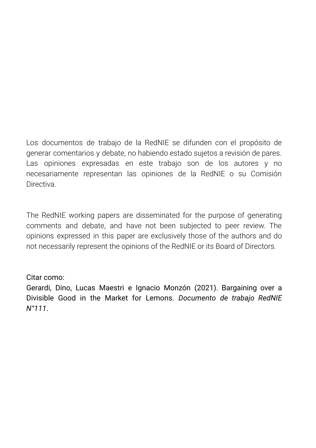Los documentos de trabajo de la RedNIE se difunden con el propósito de generar comentarios y debate, no habiendo estado sujetos a revisión de pares. Las opiniones expresadas en este trabajo son de los autores y no necesariamente representan las opiniones de la RedNIE o su Comisión Directiva.

The RedNIE working papers are disseminated for the purpose of generating comments and debate, and have not been subjected to peer review. The opinions expressed in this paper are exclusively those of the authors and do not necessarily represent the opinions of the RedNIE or its Board of Directors.

## Citar como:

Gerardi, Dino, Lucas Maestri e Ignacio Monzón (2021). Bargaining over a Divisible Good in the Market for Lemons. *Documento de trabajo RedNIE N°111*.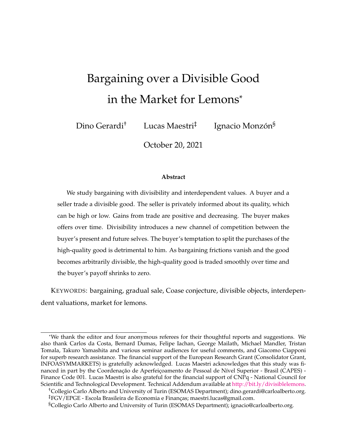## <span id="page-2-75"></span><span id="page-2-74"></span><span id="page-2-47"></span><span id="page-2-45"></span><span id="page-2-42"></span><span id="page-2-36"></span><span id="page-2-32"></span><span id="page-2-31"></span><span id="page-2-27"></span><span id="page-2-19"></span>Bargaining over a Divisible Good in the Market for Lemons\*

<span id="page-2-72"></span><span id="page-2-54"></span><span id="page-2-26"></span><span id="page-2-14"></span><span id="page-2-12"></span><span id="page-2-8"></span><span id="page-2-6"></span>Dino Gerardi<sup>†</sup> Lucas Maestri<sup>‡</sup> Ignacio Monzón<sup>§</sup>

<span id="page-2-76"></span>October 20, 2021

#### <span id="page-2-81"></span><span id="page-2-80"></span><span id="page-2-79"></span><span id="page-2-78"></span><span id="page-2-77"></span><span id="page-2-71"></span><span id="page-2-67"></span><span id="page-2-66"></span><span id="page-2-64"></span><span id="page-2-44"></span><span id="page-2-43"></span><span id="page-2-25"></span>**Abstract**

<span id="page-2-63"></span><span id="page-2-62"></span><span id="page-2-61"></span><span id="page-2-57"></span><span id="page-2-41"></span><span id="page-2-40"></span><span id="page-2-35"></span><span id="page-2-21"></span><span id="page-2-15"></span><span id="page-2-11"></span><span id="page-2-7"></span><span id="page-2-2"></span>We study bargaining with divisibility and interdependent values. A buyer and a seller trade a divisible good. The seller is privately informed about its quality, which can be high or low. Gains from trade are positive and decreasing. The buyer makes offers over time. Divisibility introduces a new channel of competition between the buyer's present and future selves. The buyer's temptation to split the purchases of the high-quality good is detrimental to him. As bargaining frictions vanish and the good becomes arbitrarily divisible, the high-quality good is traded smoothly over time and the buyer's payoff shrinks to zero.

<span id="page-2-56"></span><span id="page-2-55"></span><span id="page-2-48"></span><span id="page-2-46"></span><span id="page-2-33"></span><span id="page-2-20"></span><span id="page-2-18"></span><span id="page-2-17"></span><span id="page-2-16"></span><span id="page-2-10"></span><span id="page-2-4"></span>KEYWORDS: bargaining, gradual sale, Coase conjecture, divisible objects, interdependent valuations, market for lemons.

<span id="page-2-73"></span><span id="page-2-70"></span><span id="page-2-69"></span><span id="page-2-51"></span><span id="page-2-37"></span><span id="page-2-13"></span><span id="page-2-5"></span><span id="page-2-1"></span><sup>\*</sup>We thank the editor and four anonymous referees for their thoughtful reports and suggestions. We also thank Carlos da Costa, Bernard Dumas, Felipe Iachan, George Mailath, Michael Mandler, Tristan Tomala, Takuro Yamashita and various seminar audiences for useful comments, and Giacomo Ciapponi for superb research assistance. The financial support of the European Research Grant (Consolidator Grant, INFOASYMMARKETS) is gratefully acknowledged. Lucas Maestri acknowledges that this study was financed in part by the Coordenação de Aperfeiçoamento de Pessoal de Nível Superior - Brasil (CAPES) -Finance Code 001. Lucas Maestri is also grateful for the financial support of CNPq - National Council for Scientific and Technological Development. Technical Addendum available at [http://bit.ly/divisiblelemons.](https://bit.ly/divisiblelemons)

<span id="page-2-68"></span><span id="page-2-65"></span><span id="page-2-59"></span><span id="page-2-58"></span><span id="page-2-53"></span><span id="page-2-52"></span><span id="page-2-50"></span><span id="page-2-49"></span><span id="page-2-39"></span><span id="page-2-38"></span><span id="page-2-34"></span><span id="page-2-30"></span><span id="page-2-28"></span><span id="page-2-23"></span><span id="page-2-22"></span><span id="page-2-9"></span><span id="page-2-3"></span><span id="page-2-0"></span><sup>†</sup>Collegio Carlo Alberto and University of Turin (ESOMAS Department); dino.gerardi@carloalberto.org. <sup>‡</sup>FGV/EPGE - Escola Brasileira de Economia e Finanças; maestri.lucas@gmail.com.

<span id="page-2-60"></span><span id="page-2-29"></span><span id="page-2-24"></span><sup>§</sup>Collegio Carlo Alberto and University of Turin (ESOMAS Department); ignacio@carloalberto.org.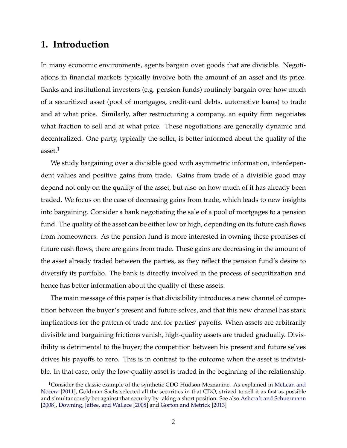## **1. Introduction**

In many economic environments, agents bargain over goods that are divisible. Negotiations in financial markets typically involve both the amount of an asset and its price. Banks and institutional investors (e.g. pension funds) routinely bargain over how much of a securitized asset (pool of mortgages, credit-card debts, automotive loans) to trade and at what price. Similarly, after restructuring a company, an equity firm negotiates what fraction to sell and at what price. These negotiations are generally dynamic and decentralized. One party, typically the seller, is better informed about the quality of the asset. $1$ 

We study bargaining over a divisible good with asymmetric information, interdependent values and positive gains from trade. Gains from trade of a divisible good may depend not only on the quality of the asset, but also on how much of it has already been traded. We focus on the case of decreasing gains from trade, which leads to new insights into bargaining. Consider a bank negotiating the sale of a pool of mortgages to a pension fund. The quality of the asset can be either low or high, depending on its future cash flows from homeowners. As the pension fund is more interested in owning these promises of future cash flows, there are gains from trade. These gains are decreasing in the amount of the asset already traded between the parties, as they reflect the pension fund's desire to diversify its portfolio. The bank is directly involved in the process of securitization and hence has better information about the quality of these assets.

The main message of this paper is that divisibility introduces a new channel of competition between the buyer's present and future selves, and that this new channel has stark implications for the pattern of trade and for parties' payoffs. When assets are arbitrarily divisible and bargaining frictions vanish, high-quality assets are traded gradually. Divisibility is detrimental to the buyer; the competition between his present and future selves drives his payoffs to zero. This is in contrast to the outcome when the asset is indivisible. In that case, only the low-quality asset is traded in the beginning of the relationship.

<span id="page-3-0"></span><sup>&</sup>lt;sup>1</sup>Consider the classic example of the synthetic CDO Hudson Mezzanine. As explained in [McLean and](#page-42-0) [Nocera](#page-42-0) [\[2011\]](#page-42-0), Goldman Sachs selected all the securities in that CDO, strived to sell it as fast as possible and simultaneously bet against that security by taking a short position. See also [Ashcraft and Schuermann](#page-41-0) [\[2008\]](#page-41-0), [Downing, Jaffee, and Wallace](#page-41-1) [\[2008\]](#page-41-1) and [Gorton and Metrick](#page-41-2) [\[2013\]](#page-41-2)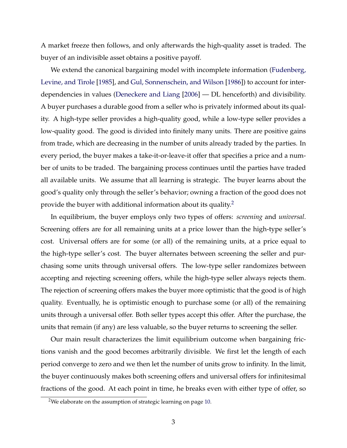A market freeze then follows, and only afterwards the high-quality asset is traded. The buyer of an indivisible asset obtains a positive payoff.

We extend the canonical bargaining model with incomplete information [\(Fudenberg,](#page-41-3) [Levine, and Tirole](#page-41-3) [\[1985\]](#page-41-3), and [Gul, Sonnenschein, and Wilson](#page-42-1) [\[1986\]](#page-42-1)) to account for interdependencies in values [\(Deneckere and Liang](#page-41-4) [\[2006\]](#page-41-4) — DL henceforth) and divisibility. A buyer purchases a durable good from a seller who is privately informed about its quality. A high-type seller provides a high-quality good, while a low-type seller provides a low-quality good. The good is divided into finitely many units. There are positive gains from trade, which are decreasing in the number of units already traded by the parties. In every period, the buyer makes a take-it-or-leave-it offer that specifies a price and a number of units to be traded. The bargaining process continues until the parties have traded all available units. We assume that all learning is strategic. The buyer learns about the good's quality only through the seller's behavior; owning a fraction of the good does not provide the buyer with additional information about its quality. $2^2$ 

In equilibrium, the buyer employs only two types of offers: *screening* and *universal*. Screening offers are for all remaining units at a price lower than the high-type seller's cost. Universal offers are for some (or all) of the remaining units, at a price equal to the high-type seller's cost. The buyer alternates between screening the seller and purchasing some units through universal offers. The low-type seller randomizes between accepting and rejecting screening offers, while the high-type seller always rejects them. The rejection of screening offers makes the buyer more optimistic that the good is of high quality. Eventually, he is optimistic enough to purchase some (or all) of the remaining units through a universal offer. Both seller types accept this offer. After the purchase, the units that remain (if any) are less valuable, so the buyer returns to screening the seller.

Our main result characterizes the limit equilibrium outcome when bargaining frictions vanish and the good becomes arbitrarily divisible. We first let the length of each period converge to zero and we then let the number of units grow to infinity. In the limit, the buyer continuously makes both screening offers and universal offers for infinitesimal fractions of the good. At each point in time, he breaks even with either type of offer, so

<span id="page-4-0"></span><sup>&</sup>lt;sup>2</sup>We elaborate on the assumption of strategic learning on page [10.](#page-10-0)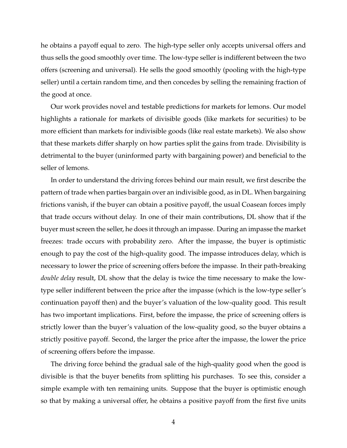he obtains a payoff equal to zero. The high-type seller only accepts universal offers and thus sells the good smoothly over time. The low-type seller is indifferent between the two offers (screening and universal). He sells the good smoothly (pooling with the high-type seller) until a certain random time, and then concedes by selling the remaining fraction of the good at once.

Our work provides novel and testable predictions for markets for lemons. Our model highlights a rationale for markets of divisible goods (like markets for securities) to be more efficient than markets for indivisible goods (like real estate markets). We also show that these markets differ sharply on how parties split the gains from trade. Divisibility is detrimental to the buyer (uninformed party with bargaining power) and beneficial to the seller of lemons.

In order to understand the driving forces behind our main result, we first describe the pattern of trade when parties bargain over an indivisible good, as in DL. When bargaining frictions vanish, if the buyer can obtain a positive payoff, the usual Coasean forces imply that trade occurs without delay. In one of their main contributions, DL show that if the buyer must screen the seller, he does it through an impasse. During an impasse the market freezes: trade occurs with probability zero. After the impasse, the buyer is optimistic enough to pay the cost of the high-quality good. The impasse introduces delay, which is necessary to lower the price of screening offers before the impasse. In their path-breaking *double delay* result, DL show that the delay is twice the time necessary to make the lowtype seller indifferent between the price after the impasse (which is the low-type seller's continuation payoff then) and the buyer's valuation of the low-quality good. This result has two important implications. First, before the impasse, the price of screening offers is strictly lower than the buyer's valuation of the low-quality good, so the buyer obtains a strictly positive payoff. Second, the larger the price after the impasse, the lower the price of screening offers before the impasse.

The driving force behind the gradual sale of the high-quality good when the good is divisible is that the buyer benefits from splitting his purchases. To see this, consider a simple example with ten remaining units. Suppose that the buyer is optimistic enough so that by making a universal offer, he obtains a positive payoff from the first five units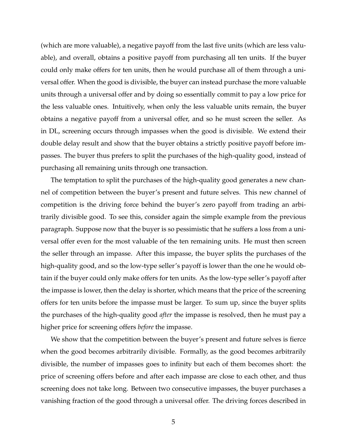(which are more valuable), a negative payoff from the last five units (which are less valuable), and overall, obtains a positive payoff from purchasing all ten units. If the buyer could only make offers for ten units, then he would purchase all of them through a universal offer. When the good is divisible, the buyer can instead purchase the more valuable units through a universal offer and by doing so essentially commit to pay a low price for the less valuable ones. Intuitively, when only the less valuable units remain, the buyer obtains a negative payoff from a universal offer, and so he must screen the seller. As in DL, screening occurs through impasses when the good is divisible. We extend their double delay result and show that the buyer obtains a strictly positive payoff before impasses. The buyer thus prefers to split the purchases of the high-quality good, instead of purchasing all remaining units through one transaction.

The temptation to split the purchases of the high-quality good generates a new channel of competition between the buyer's present and future selves. This new channel of competition is the driving force behind the buyer's zero payoff from trading an arbitrarily divisible good. To see this, consider again the simple example from the previous paragraph. Suppose now that the buyer is so pessimistic that he suffers a loss from a universal offer even for the most valuable of the ten remaining units. He must then screen the seller through an impasse. After this impasse, the buyer splits the purchases of the high-quality good, and so the low-type seller's payoff is lower than the one he would obtain if the buyer could only make offers for ten units. As the low-type seller's payoff after the impasse is lower, then the delay is shorter, which means that the price of the screening offers for ten units before the impasse must be larger. To sum up, since the buyer splits the purchases of the high-quality good *after* the impasse is resolved, then he must pay a higher price for screening offers *before* the impasse.

We show that the competition between the buyer's present and future selves is fierce when the good becomes arbitrarily divisible. Formally, as the good becomes arbitrarily divisible, the number of impasses goes to infinity but each of them becomes short: the price of screening offers before and after each impasse are close to each other, and thus screening does not take long. Between two consecutive impasses, the buyer purchases a vanishing fraction of the good through a universal offer. The driving forces described in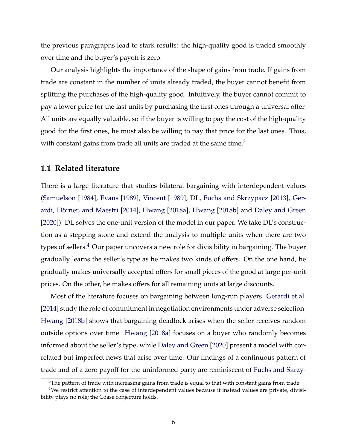the previous paragraphs lead to stark results: the high-quality good is traded smoothly over time and the buyer's payoff is zero.

Our analysis highlights the importance of the shape of gains from trade. If gains from trade are constant in the number of units already traded, the buyer cannot benefit from splitting the purchases of the high-quality good. Intuitively, the buyer cannot commit to pay a lower price for the last units by purchasing the first ones through a universal offer. All units are equally valuable, so if the buyer is willing to pay the cost of the high-quality good for the first ones, he must also be willing to pay that price for the last ones. Thus, with constant gains from trade all units are traded at the same time. $3$ 

#### **1.1 Related literature**

There is a large literature that studies bilateral bargaining with interdependent values [\(Samuelson](#page-2-1) [\[1984\]](#page-2-1), [Evans](#page-2-2) [\[1989\]](#page-2-2), [Vincent](#page-2-3) [\[1989\]](#page-2-3), DL, [Fuchs and Skrzypacz](#page-2-4) [\[2013\]](#page-2-4), [Ger-](#page-2-5)ardi, Hörner, and Maestri [\[2014\]](#page-2-5), [Hwang](#page-2-7) [\[2018a\]](#page-2-6), Hwang [\[2018b\]](#page-2-7) and [Daley and Green](#page-2-8) [\[2020\]](#page-2-8)). DL solves the one-unit version of the model in our paper. We take DL's construction as a stepping stone and extend the analysis to multiple units when there are two types of sellers. $4$  Our paper uncovers a new role for divisibility in bargaining. The buyer gradually learns the seller's type as he makes two kinds of offers. On the one hand, he gradually makes universally accepted offers for small pieces of the good at large per-unit prices. On the other, he makes offers for all remaining units at large discounts.

Most of the literature focuses on bargaining between long-run players. [Gerardi et al.](#page-2-5) [\[2014\]](#page-2-5) study the role of commitment in negotiation environments under adverse selection. [Hwang](#page-2-7) [\[2018b\]](#page-2-7) shows that bargaining deadlock arises when the seller receives random outside options over time. [Hwang](#page-2-6) [\[2018a\]](#page-2-6) focuses on a buyer who randomly becomes informed about the seller's type, while [Daley and Green](#page-2-8) [\[2020\]](#page-2-8) present a model with correlated but imperfect news that arise over time. Our findings of a continuous pattern of trade and of a zero payoff for the uninformed party are reminiscent of [Fuchs and Skrzy-](#page-2-4)

 $3$ The pattern of trade with increasing gains from trade is equal to that with constant gains from trade.

<sup>&</sup>lt;sup>4</sup>We restrict attention to the case of interdependent values because if instead values are private, divisi[bility plays no role; the Coase conjecture holds.](#page-2-4)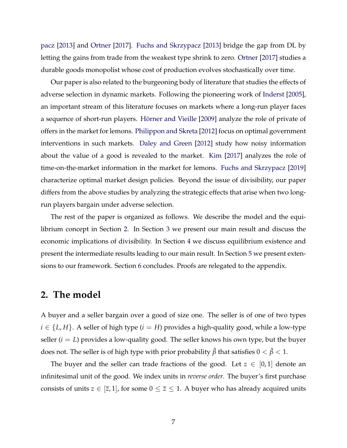[pacz](#page-2-4) [\[2013\]](#page-2-4) and [Ortner](#page-2-10) [\[2017\]](#page-2-10). [Fuchs and Skrzypacz](#page-2-4) [\[2013\]](#page-2-4) bridge the gap from DL by letting the gains from trade from the weakest type shrink to zero. [Ortner](#page-2-10) [\[2017\]](#page-2-10) studies a durable goods monopolist whose cost of production evolves stochastically over time.

Our paper is also related to the burgeoning body of literature that studies the effects of adverse selection in dynamic markets. Following the pioneering work of [Inderst](#page-2-11) [\[2005\]](#page-2-11), an important stream of this literature focuses on markets where a long-run player faces a sequence of short-run players. Hörner and Vieille [\[2009\]](#page-2-12) analyze the role of private of offers in the market for lemons. [Philippon and Skreta](#page-2-13) [\[2012\]](#page-2-13) focus on optimal government interventions in such markets. [Daley and Green](#page-2-14) [\[2012\]](#page-2-14) study how noisy information about the value of a good is revealed to the market. [Kim](#page-2-15) [\[2017\]](#page-2-15) analyzes the role of time-on-the-market information in the market for lemons. [Fuchs and Skrzypacz](#page-2-16) [\[2019\]](#page-2-16) characterize optimal market design policies. Beyond the issue of divisibility, our paper differs from the above studies by analyzing the strategic effects that arise when two longrun players bargain under adverse selection.

The rest of the paper is organized as follows. We describe the model and the equilibrium concept in Section [2.](#page-2-17) In Section [3](#page-2-18) we present our main result and discuss the economic implications of divisibility. In Section [4](#page-2-19) we discuss equilibrium existence and present the intermediate results leading to our main result. In Section [5](#page-2-20) we present extensions to our framework. Section [6](#page-2-21) concludes. Proofs are relegated to the appendix.

## **2. The model**

A buyer and a seller bargain over a good of size one. The seller is of one of two types  $i \in \{L, H\}$ . A seller of high type ( $i = H$ ) provides a high-quality good, while a low-type seller (*i* = *L*) provides a low-quality good. The seller knows his own type, but the buyer does not. The seller is of high type with prior probability  $\hat{\beta}$  that satisfies  $0 < \hat{\beta} < 1$ .

The buyer and the seller can trade fractions of the good. Let  $z \in [0,1]$  denote an infinitesimal unit of the good. We index units in *reverse order*. The buyer's first purchase consists of units  $z \in [\overline{z}, 1]$ , for some  $0 \le \overline{z} \le 1$ . A buyer who has already acquired units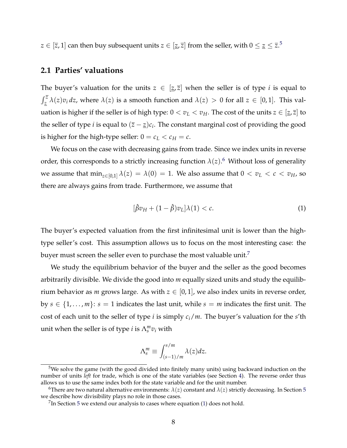$z \in [\overline{z}, 1]$  can then buy subsequent units  $z \in [\underline{z}, \overline{z}]$  from the seller, with  $0 \le \underline{z} \le \overline{z}.5$  $0 \le \underline{z} \le \overline{z}.5$ 

## **2.1 Parties' valuations**

The buyer's valuation for the units  $z \in [z, \overline{z}]$  when the seller is of type *i* is equal to  $\int_{\underline{z}}^{\overline{z}} \lambda(z) v_i dz$ , where  $\lambda(z)$  is a smooth function and  $\lambda(z) > 0$  for all  $z \in [0,1]$ . This valuation is higher if the seller is of high type:  $0 < v_L < v_H$ . The cost of the units  $z \in [z, \overline{z}]$  to the seller of type *i* is equal to  $(\bar{z} - \underline{z})c_i$ . The constant marginal cost of providing the good is higher for the high-type seller:  $0 = c_L < c_H = c$ .

We focus on the case with decreasing gains from trade. Since we index units in reverse order, this corresponds to a strictly increasing function  $\lambda(z)$ .<sup>[6](#page-2-23)</sup> Without loss of generality we assume that  $\min_{z \in [0,1]} \lambda(z) = \lambda(0) = 1$ . We also assume that  $0 < v_L < c < v_H$ , so there are always gains from trade. Furthermore, we assume that

$$
[\hat{\beta}v_H + (1-\hat{\beta})v_L]\lambda(1) < c. \tag{1}
$$

The buyer's expected valuation from the first infinitesimal unit is lower than the hightype seller's cost. This assumption allows us to focus on the most interesting case: the buyer must screen the seller even to purchase the most valuable unit.<sup>7</sup>

We study the equilibrium behavior of the buyer and the seller as the good becomes arbitrarily divisible. We divide the good into *m* equally sized units and study the equilibrium behavior as *m* grows large. As with  $z \in [0, 1]$ , we also index units in reverse order, by  $s \in \{1, \ldots, m\}$ :  $s = 1$  indicates the last unit, while  $s = m$  indicates the first unit. The cost of each unit to the seller of type *i* is simply *ci*/*m*. The buyer's valuation for the *s*'th unit when the seller is of type *i* is  $\Lambda_s^m v_i$  with

$$
\Lambda_s^m \equiv \int_{(s-1)/m}^{s/m} \lambda(z) dz.
$$

<sup>&</sup>lt;sup>5</sup>We solve the game (with the good divided into finitely many units) using backward induction on the number of units *left* for trade, which is one of the state variables (see Section [4\)](#page-2-19). The reverse order thus allows us to use the same index both for the state variable and for the unit number.

<sup>&</sup>lt;sup>6</sup>There are two natural alternative environments:  $\lambda(z)$  constant and  $\lambda(z)$  strictly decreasing. In Section [5](#page-2-20) we describe how divisibility plays no role in those cases.

 $7$ In Section [5](#page-2-20) we extend our analysis to cases where equation [\(1\)](#page-2-25) does not hold.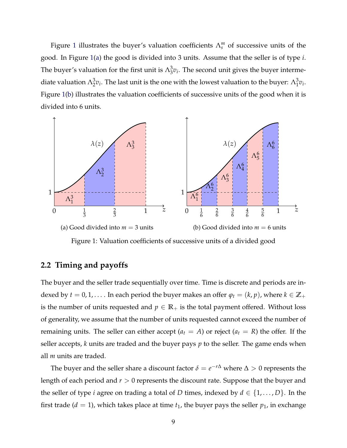Figure [1](#page-2-26) illustrates the buyer's valuation coefficients  $\Lambda_s^m$  of successive units of the good. In Figure [1\(a\)](#page-2-26) the good is divided into 3 units. Assume that the seller is of type *i*. The buyer's valuation for the first unit is  $\Lambda_3^3 v_i$ . The second unit gives the buyer intermediate valuation  $\Lambda_2^3 v_i$ . The last unit is the one with the lowest valuation to the buyer:  $\Lambda_1^3 v_i$ . Figure [1\(b\)](#page-2-26) illustrates the valuation coefficients of successive units of the good when it is divided into 6 units.



Figure 1: Valuation coefficients of successive units of a divided good

#### <span id="page-10-0"></span>**2.2 Timing and payoffs**

The buyer and the seller trade sequentially over time. Time is discrete and periods are indexed by *t* = 0, 1, . . . . In each period the buyer makes an offer  $\varphi_t = (k, p)$ , where  $k \in \mathbb{Z}_+$ is the number of units requested and  $p \in \mathbb{R}_+$  is the total payment offered. Without loss of generality, we assume that the number of units requested cannot exceed the number of remaining units. The seller can either accept ( $a_t = A$ ) or reject ( $a_t = R$ ) the offer. If the seller accepts, *k* units are traded and the buyer pays *p* to the seller. The game ends when all *m* units are traded.

The buyer and the seller share a discount factor  $\delta = e^{-r\Delta}$  where  $\Delta > 0$  represents the length of each period and *r >* 0 represents the discount rate. Suppose that the buyer and the seller of type *i* agree on trading a total of *D* times, indexed by  $d \in \{1, \ldots, D\}$ . In the first trade ( $d = 1$ ), which takes place at time  $t<sub>1</sub>$ , the buyer pays the seller  $p<sub>1</sub>$ , in exchange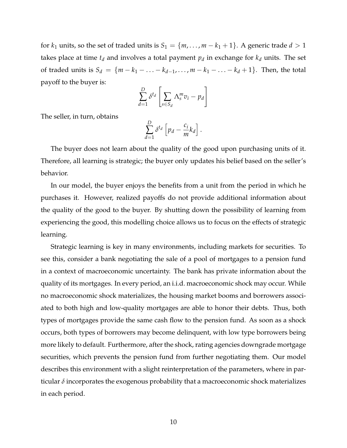for  $k_1$  units, so the set of traded units is  $S_1 = \{m, \ldots, m - k_1 + 1\}$ . A generic trade  $d > 1$ takes place at time  $t_d$  and involves a total payment  $p_d$  in exchange for  $k_d$  units. The set of traded units is  $S_d = \{m - k_1 - \dots - k_{d-1}, \dots, m - k_1 - \dots - k_d + 1\}$ . Then, the total payoff to the buyer is:

$$
\sum_{d=1}^{D} \delta^{t_d} \left[ \sum_{s \in S_d} \Lambda_s^m v_i - p_d \right]
$$

The seller, in turn, obtains

$$
\sum_{d=1}^D \delta^{t_d} \left[ p_d - \frac{c_i}{m} k_d \right].
$$

The buyer does not learn about the quality of the good upon purchasing units of it. Therefore, all learning is strategic; the buyer only updates his belief based on the seller's behavior.

In our model, the buyer enjoys the benefits from a unit from the period in which he purchases it. However, realized payoffs do not provide additional information about the quality of the good to the buyer. By shutting down the possibility of learning from experiencing the good, this modelling choice allows us to focus on the effects of strategic learning.

Strategic learning is key in many environments, including markets for securities. To see this, consider a bank negotiating the sale of a pool of mortgages to a pension fund in a context of macroeconomic uncertainty. The bank has private information about the quality of its mortgages. In every period, an i.i.d. macroeconomic shock may occur. While no macroeconomic shock materializes, the housing market booms and borrowers associated to both high and low-quality mortgages are able to honor their debts. Thus, both types of mortgages provide the same cash flow to the pension fund. As soon as a shock occurs, both types of borrowers may become delinquent, with low type borrowers being more likely to default. Furthermore, after the shock, rating agencies downgrade mortgage securities, which prevents the pension fund from further negotiating them. Our model describes this environment with a slight reinterpretation of the parameters, where in particular  $\delta$  incorporates the exogenous probability that a macroeconomic shock materializes in each period.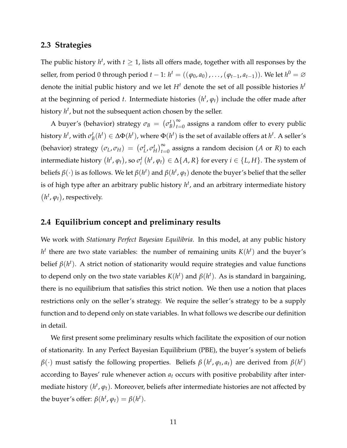#### **2.3 Strategies**

The public history  $h^t$ , with  $t \geq 1$ , lists all offers made, together with all responses by the seller, from period 0 through period  $t - 1$ :  $h^t = ((\varphi_0, a_0), \ldots, (\varphi_{t-1}, a_{t-1}))$ . We let  $h^0 = \varnothing$ denote the initial public history and we let  $H<sup>t</sup>$  denote the set of all possible histories  $h<sup>t</sup>$ at the beginning of period *t*. Intermediate histories  $(h^t, \varphi_t)$  include the offer made after history *h<sup>t</sup>* , but not the subsequent action chosen by the seller.

A buyer's (behavior) strategy  $\sigma_B = (\sigma_B^t)_{t=0}^{\infty}$  assigns a random offer to every public history  $h^t$ , with  $\sigma_B^t(h^t) \in \Delta\Phi(h^t)$ , where  $\Phi(h^t)$  is the set of available offers at  $h^t$ . A seller's (behavior) strategy  $(\sigma_L, \sigma_H) = (\sigma_L^t, \sigma_H^t)_{t=0}^{\infty}$  assigns a random decision (*A* or *R*) to each intermediate history  $(h^t,\varphi_t)$ , so  $\sigma_i^t$   $(h^t,\varphi_t)\in\Delta\{A,R\}$  for every  $i\in\{L,H\}.$  The system of beliefs  $\beta(\cdot)$  is as follows. We let  $\beta(h^t)$  and  $\beta(h^t, \varphi_t)$  denote the buyer's belief that the seller is of high type after an arbitrary public history *h<sup>t</sup>* , and an arbitrary intermediate history  $(h<sup>t</sup>, \varphi<sub>t</sub>)$ , respectively.

## **2.4 Equilibrium concept and preliminary results**

We work with *Stationary Perfect Bayesian Equilibria*. In this model, at any public history  $h<sup>t</sup>$  there are two state variables: the number of remaining units  $K(h<sup>t</sup>)$  and the buyer's belief  $\beta(h^t)$ . A strict notion of stationarity would require strategies and value functions to depend only on the two state variables  $K(h^t)$  and  $\beta(h^t)$ . As is standard in bargaining, there is no equilibrium that satisfies this strict notion. We then use a notion that places restrictions only on the seller's strategy. We require the seller's strategy to be a supply function and to depend only on state variables. In what follows we describe our definition in detail.

We first present some preliminary results which facilitate the exposition of our notion of stationarity. In any Perfect Bayesian Equilibrium (PBE), the buyer's system of beliefs  $\beta(\cdot)$  must satisfy the following properties. Beliefs  $\beta(h^t, \varphi_t, a_t)$  are derived from  $\beta(h^t)$ according to Bayes' rule whenever action *at* occurs with positive probability after intermediate history  $(h^t, \varphi_t)$ . Moreover, beliefs after intermediate histories are not affected by the buyer's offer:  $\beta(h^t, \varphi_t) = \beta(h^t)$ .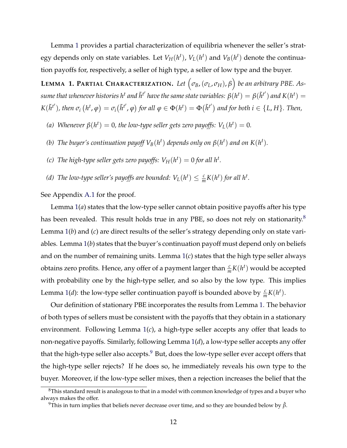Lemma [1](#page-2-27) provides a partial characterization of equilibria whenever the seller's strategy depends only on state variables. Let  $V_H(h^t)$ ,  $V_L(h^t)$  and  $V_B(h^t)$  denote the continuation payoffs for, respectively, a seller of high type, a seller of low type and the buyer.

**LEMMA** 1. PARTIAL CHARACTERIZATION. Let  $(\sigma_B, (\sigma_L, \sigma_H), \beta)$  be an arbitrary PBE. As $s$ ume that whenever histories h $^t$  and  $\tilde{h}^{t'}$  have the same state variables:  $\beta(h^t)=\beta(\tilde{h}^{t'})$  and  $K(h^t)=0$  $K(\tilde{h}^{t'}),$  then  $\sigma_i(h^t, \varphi) = \sigma_i(\tilde{h}^{t'}, \varphi)$  for all  $\varphi \in \Phi(h^t) = \Phi(\tilde{h}^{t'})$  and for both  $i \in \{L, H\}$ . Then,

- *(a)* Whenever  $\beta(h^t) = 0$ , the low-type seller gets zero payoffs:  $V_L(h^t) = 0$ .
- *(b)* The buyer's continuation payoff  $V_B(h^t)$  depends only on  $\beta(h^t)$  and on  $K(h^t)$ .
- *(c)* The high-type seller gets zero payoffs:  $V_H(h^t) = 0$  for all  $h^t$ .
- *(d)* The low-type seller's payoffs are bounded:  $V_L(h^t) \leq \frac{c}{m} K(h^t)$  for all  $h^t$ .

See Appendix [A.1](#page-2-27) for the proof.

Lemma [1\(](#page-2-27)*a*) states that the low-type seller cannot obtain positive payoffs after his type has been revealed. This result holds true in any PBE, so does not rely on stationarity.<sup>8</sup> Lemma [1\(](#page-2-27)*b*) and (*c*) are direct results of the seller's strategy depending only on state variables. Lemma [1\(](#page-2-27)*b*) states that the buyer's continuation payoff must depend only on beliefs and on the number of remaining units. Lemma [1\(](#page-2-27)*c*) states that the high type seller always obtains zero profits. Hence, any offer of a payment larger than  $\frac{c}{m}K(h^t)$  would be accepted with probability one by the high-type seller, and so also by the low type. This implies Lemma [1\(](#page-2-27)*d*): the low-type seller continuation payoff is bounded above by  $\frac{c}{m}K(h^t)$ .

Our definition of stationary PBE incorporates the results from Lemma [1.](#page-2-27) The behavior of both types of sellers must be consistent with the payoffs that they obtain in a stationary environment. Following Lemma [1\(](#page-2-27)*c*), a high-type seller accepts any offer that leads to non-negative payoffs. Similarly, following Lemma [1\(](#page-2-27)*d*), a low-type seller accepts any offer that the high-type seller also accepts.<sup>[9](#page-2-29)</sup> But, does the low-type seller ever accept offers that the high-type seller rejects? If he does so, he immediately reveals his own type to the buyer. Moreover, if the low-type seller mixes, then a rejection increases the belief that the

<sup>&</sup>lt;sup>8</sup>This standard result is analogous to that in a model with common knowledge of types and a buyer who always makes the offer.

<sup>&</sup>lt;sup>9</sup>This in turn implies that beliefs never decrease over time, and so they are bounded below by  $\hat{\beta}$ .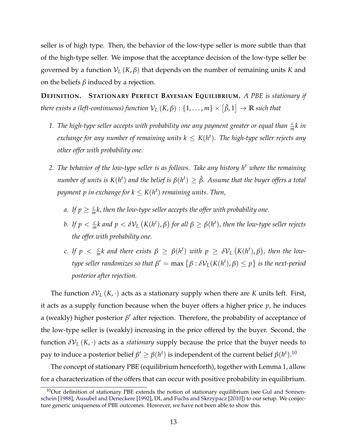seller is of high type. Then, the behavior of the low-type seller is more subtle than that of the high-type seller. We impose that the acceptance decision of the low-type seller be governed by a function  $V_L(K,\beta)$  that depends on the number of remaining units *K* and on the beliefs  $\beta$  induced by a rejection.

**DEFINITION. STATIONARY PERFECT BAYESIAN EQUILIBRIUM.** *A PBE is stationary if there exists a (left-continuous) function*  $\mathcal{V}_L\left(K,\beta\right):\{1,\ldots,m\}\times\left[\hat{\beta},1\right]\to\mathbb{R}$  *such that* 

- 1. *The high-type seller accepts with probability one any payment greater or equal than*  $\frac{c}{m}k$  *in*  $\epsilon$ xchange for any number of remaining units  $k \leq K(h^t)$ . The high-type seller rejects any *other offer with probability one.*
- *2. The behavior of the low-type seller is as follows. Take any history h<sup>t</sup> where the remaining*  $n$ umber of units is  $K(h^t)$  and the belief is  $\beta(h^t) \geq \hat{\beta}$ . Assume that the buyer offers a total payment  $p$  in exchange for  $k \leq K(h^t)$  remaining units. Then,
	- *a.* If  $p \geq \frac{c}{m}k$ , then the low-type seller accepts the offer with probability one.
	- b. If  $p < \frac{c}{m}k$  and  $p < \delta\mathcal{V}_L\left(K(h^t), \beta\right)$  for all  $\beta \geq \beta(h^t)$ , then the low-type seller rejects *the offer with probability one.*
	- *c.* If  $p < \frac{c}{m}k$  and there exists  $\beta \ge \beta(h^t)$  with  $p \ge \delta \mathcal{V}_L(K(h^t), \beta)$ , then the low*type seller randomizes so that*  $\beta' = \max\left\{\beta : \delta{\cal V}_L(K(h^t),\beta) \leq p\right\}$  is the next-period *posterior after rejection.*

The function  $\delta V_L(K, \cdot)$  acts as a stationary supply when there are *K* units left. First, it acts as a supply function because when the buyer offers a higher price  $p$ , he induces a (weakly) higher posterior  $\beta'$  after rejection. Therefore, the probability of acceptance of the low-type seller is (weakly) increasing in the price offered by the buyer. Second, the function  $\delta V_L(K, \cdot)$  acts as a *stationary* supply because the price that the buyer needs to pay to induce a posterior belief  $\beta' \ge \beta(h^t)$  is independent of the current belief  $\beta(h^t).^{10}$  $\beta(h^t).^{10}$  $\beta(h^t).^{10}$ 

The concept of stationary PBE (equilibrium henceforth), together with Lemma [1,](#page-2-27) allow for a characterization of the offers that can occur with positive probability in equilibrium.

 $10$ Our definition of stationary PBE extends the notion of stationary equilibrium (see [Gul and Sonnen](#page-2-31)[schein](#page-2-31) [\[1988\]](#page-2-31), [Ausubel and Deneckere](#page-2-32) [\[1992\]](#page-2-32), DL and [Fuchs and Skrzypacz](#page-2-33) [\[2010\]](#page-2-33)) to our setup. We conjecture generic uniqueness of PBE outcomes. However, we have not been able to show this.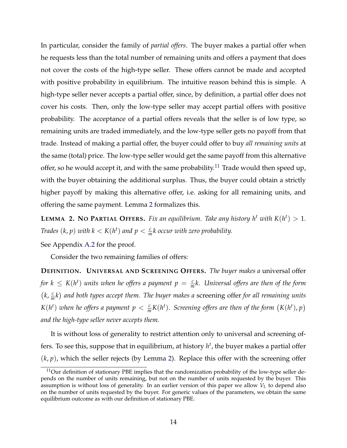In particular, consider the family of *partial offers*. The buyer makes a partial offer when he requests less than the total number of remaining units and offers a payment that does not cover the costs of the high-type seller. These offers cannot be made and accepted with positive probability in equilibrium. The intuitive reason behind this is simple. A high-type seller never accepts a partial offer, since, by definition, a partial offer does not cover his costs. Then, only the low-type seller may accept partial offers with positive probability. The acceptance of a partial offers reveals that the seller is of low type, so remaining units are traded immediately, and the low-type seller gets no payoff from that trade. Instead of making a partial offer, the buyer could offer to buy *all remaining units* at the same (total) price. The low-type seller would get the same payoff from this alternative offer, so he would accept it, and with the same probability.<sup>11</sup> Trade would then speed up, with the buyer obtaining the additional surplus. Thus, the buyer could obtain a strictly higher payoff by making this alternative offer, i.e. asking for all remaining units, and offering the same payment. Lemma [2](#page-2-35) formalizes this.

**LEMMA** 2. NO PARTIAL OFFERS. Fix an equilibrium. Take any history  $h^t$  with  $K(h^t) > 1$ . *Trades*  $(k, p)$  *with k*  $< K(h^t)$  *and*  $p < \frac{c}{m}k$  *occur with zero probability.* 

See Appendix [A.2](#page-2-36) for the proof.

Consider the two remaining families of offers:

**DEFINITION. UNIVERSAL AND SCREENING OFFERS.** *The buyer makes a* universal offer for  $k \leq K(h^t)$  units when he offers a payment  $p = \frac{c}{m}k$ . Universal offers are then of the form  $(k, \frac{c}{m}k)$  and both types accept them. The buyer makes a screening offer *for all remaining units*  $K(h^t)$  when he offers a payment  $p < \frac{c}{m} K(h^t)$ . Screening offers are then of the form  $(K(h^t), p)$ *and the high-type seller never accepts them.*

It is without loss of generality to restrict attention only to universal and screening offers. To see this, suppose that in equilibrium, at history *h<sup>t</sup>* , the buyer makes a partial offer  $(k, p)$ , which the seller rejects (by Lemma [2\)](#page-2-35). Replace this offer with the screening offer

 $11$ Our definition of stationary PBE implies that the randomization probability of the low-type seller depends on the number of units remaining, but not on the number of units requested by the buyer. This assumption is without loss of generality. In an earlier version of this paper we allow *V<sup>L</sup>* to depend also on the number of units requested by the buyer. For generic values of the parameters, we obtain the same equilibrium outcome as with our definition of stationary PBE.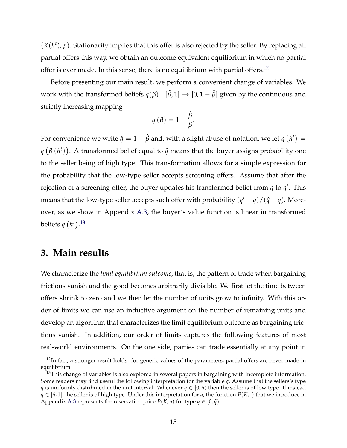$(K(h^t), p)$ . Stationarity implies that this offer is also rejected by the seller. By replacing all partial offers this way, we obtain an outcome equivalent equilibrium in which no partial offer is ever made. In this sense, there is no equilibrium with partial offers.<sup>12</sup>

Before presenting our main result, we perform a convenient change of variables. We work with the transformed beliefs  $q(\beta) : [\hat{\beta}, 1] \rightarrow [0, 1 - \hat{\beta}]$  given by the continuous and strictly increasing mapping

$$
q(\beta) = 1 - \frac{\hat{\beta}}{\beta}.
$$

For convenience we write  $\hat{q} = 1 - \hat{\beta}$  and, with a slight abuse of notation, we let  $q(h^t) =$  $\phi$  ( $\beta$   $(h<sup>t</sup>)$ ). A transformed belief equal to  $\hat{q}$  means that the buyer assigns probability one to the seller being of high type. This transformation allows for a simple expression for the probability that the low-type seller accepts screening offers. Assume that after the rejection of a screening offer, the buyer updates his transformed belief from  $q$  to  $q'$ . This means that the low-type seller accepts such offer with probability  $(q' - q)/(\hat{q} - q)$ . Moreover, as we show in Appendix [A.3,](#page-2-36) the buyer's value function is linear in transformed beliefs  $q(h^t)$ .<sup>[13](#page-2-38)</sup>

## **3. Main results**

We characterize the *limit equilibrium outcome*, that is, the pattern of trade when bargaining frictions vanish and the good becomes arbitrarily divisible. We first let the time between offers shrink to zero and we then let the number of units grow to infinity. With this order of limits we can use an inductive argument on the number of remaining units and develop an algorithm that characterizes the limit equilibrium outcome as bargaining frictions vanish. In addition, our order of limits captures the following features of most real-world environments. On the one side, parties can trade essentially at any point in

<sup>&</sup>lt;sup>12</sup>In fact, a stronger result holds: for generic values of the parameters, partial offers are never made in equilibrium.

<sup>&</sup>lt;sup>13</sup>This change of variables is also explored in several papers in bargaining with incomplete information. Some readers may find useful the following interpretation for the variable *q*. Assume that the sellers's type *q* is uniformly distributed in the unit interval. Whenever  $q \in [0, \hat{q})$  then the seller is of low type. If instead  $q \in [\hat{q}, 1]$ , the seller is of high type. Under this interpretation for  $q$ , the function  $P(K, \cdot)$  that we introduce in Appendix [A.3](#page-2-36) represents the reservation price  $P(K, q)$  for type  $q \in [0, \hat{q})$ .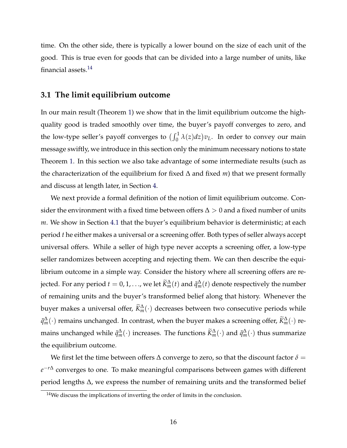time. On the other side, there is typically a lower bound on the size of each unit of the good. This is true even for goods that can be divided into a large number of units, like financial assets.<sup>14</sup>

#### **3.1 The limit equilibrium outcome**

In our main result (Theorem [1\)](#page-2-40) we show that in the limit equilibrium outcome the highquality good is traded smoothly over time, the buyer's payoff converges to zero, and the low-type seller's payoff converges to  $\bigl(\int_0^1 \lambda(z) dz\bigr) v_L$ . In order to convey our main message swiftly, we introduce in this section only the minimum necessary notions to state Theorem [1.](#page-2-40) In this section we also take advantage of some intermediate results (such as the characterization of the equilibrium for fixed  $\Delta$  and fixed *m*) that we present formally and discuss at length later, in Section [4.](#page-2-19)

We next provide a formal definition of the notion of limit equilibrium outcome. Consider the environment with a fixed time between offers  $\Delta > 0$  and a fixed number of units *m*. We show in Section [4.1](#page-2-41) that the buyer's equilibrium behavior is deterministic; at each period *t* he either makes a universal or a screening offer. Both types of seller always accept universal offers. While a seller of high type never accepts a screening offer, a low-type seller randomizes between accepting and rejecting them. We can then describe the equilibrium outcome in a simple way. Consider the history where all screening offers are rejected. For any period  $t = 0, 1, ...,$  we let  $\widetilde{K}^\Delta_m(t)$  and  $\tilde{q}^\Delta_m(t)$  denote respectively the number of remaining units and the buyer's transformed belief along that history. Whenever the buyer makes a universal offer,  $\widetilde{K}^\Delta_m(\cdot)$  decreases between two consecutive periods while  $\tilde{q}^\Delta_m(\cdot)$  remains unchanged. In contrast, when the buyer makes a screening offer,  $\widetilde{K}^\Delta_m(\cdot)$  remains unchanged while  $\tilde{q}^\Delta_m(\cdot)$  increases. The functions  $\widetilde{K}^\Delta_m(\cdot)$  and  $\tilde{q}^\Delta_m(\cdot)$  thus summarize the equilibrium outcome.

We first let the time between offers  $\Delta$  converge to zero, so that the discount factor  $\delta$  =  $e^{-r\Delta}$  converges to one. To make meaningful comparisons between games with different period lengths  $\Delta$ , we express the number of remaining units and the transformed belief

 $14$ We discuss the implications of inverting the order of limits in the conclusion.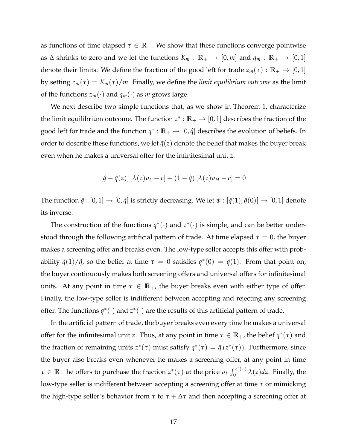as functions of time elapsed  $\tau \in \mathbb{R}_+$ . We show that these functions converge pointwise as  $\Delta$  shrinks to zero and we let the functions  $K_m : \mathbb{R}_+ \to [0, m]$  and  $q_m : \mathbb{R}_+ \to [0, 1]$ denote their limits. We define the fraction of the good left for trade  $z_m(\tau) : \mathbb{R}_+ \to [0,1]$ by setting  $z_m(\tau) = K_m(\tau)/m$ . Finally, we define the *limit equilibrium outcome* as the limit of the functions  $z_m(\cdot)$  and  $q_m(\cdot)$  as *m* grows large.

We next describe two simple functions that, as we show in Theorem [1,](#page-2-40) characterize the limit equilibrium outcome. The function  $z^* : \mathbb{R}_+ \to [0, 1]$  describes the fraction of the good left for trade and the function  $q^* : \mathbb{R}_+ \to [0, \hat{q}]$  describes the evolution of beliefs. In order to describe these functions, we let  $\bar{q}(z)$  denote the belief that makes the buyer break even when he makes a universal offer for the infinitesimal unit *z*:

$$
\left[\hat{q} - \bar{q}(z)\right] \left[\lambda(z)v_L - c\right] + (1 - \hat{q})\left[\lambda(z)v_H - c\right] = 0
$$

The function  $\bar{q}:[0,1] \to [0,\hat{q}]$  is strictly decreasing. We let  $\psi : [\bar{q}(1), \bar{q}(0)] \to [0,1]$  denote its inverse.

The construction of the functions  $q^*(\cdot)$  and  $z^*(\cdot)$  is simple, and can be better understood through the following artificial pattern of trade. At time elapsed  $\tau = 0$ , the buyer makes a screening offer and breaks even. The low-type seller accepts this offer with probability  $\bar{q}(1)/\hat{q}$ , so the belief at time  $\tau = 0$  satisfies  $q^*(0) = \bar{q}(1)$ . From that point on, the buyer continuously makes both screening offers and universal offers for infinitesimal units. At any point in time  $\tau \in \mathbb{R}_+$ , the buyer breaks even with either type of offer. Finally, the low-type seller is indifferent between accepting and rejecting any screening offer. The functions  $q^*(\cdot)$  and  $z^*(\cdot)$  are the results of this artificial pattern of trade.

In the artificial pattern of trade, the buyer breaks even every time he makes a universal offer for the infinitesimal unit *z*. Thus, at any point in time  $\tau \in \mathbb{R}_+$ , the belief  $q^*(\tau)$  and the fraction of remaining units  $z^*(\tau)$  must satisfy  $q^*(\tau) = \bar{q}(z^*(\tau))$ . Furthermore, since the buyer also breaks even whenever he makes a screening offer, at any point in time  $\tau \in \mathbb{R}_+$  he offers to purchase the fraction  $z^*(\tau)$  at the price  $v_L \int_0^{z^*(\tau)} \lambda(z) dz$ . Finally, the low-type seller is indifferent between accepting a screening offer at time *t* or mimicking the high-type seller's behavior from  $\tau$  to  $\tau + \Delta \tau$  and then accepting a screening offer at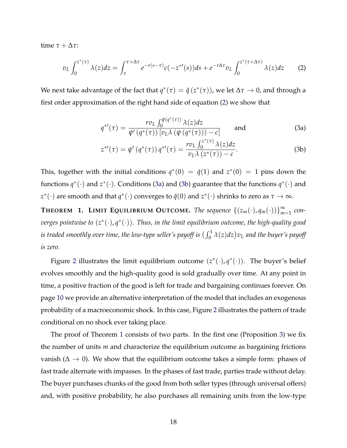time  $\tau + \Delta \tau$ :

$$
v_L \int_0^{z^*(\tau)} \lambda(z) dz = \int_{\tau}^{\tau + \Delta \tau} e^{-r(s-\tau)} c(-z^{*\prime}(s)) ds + e^{-r\Delta \tau} v_L \int_0^{z^*(\tau + \Delta \tau)} \lambda(z) dz \tag{2}
$$

We next take advantage of the fact that  $q^*(\tau) = \bar{q}(z^*(\tau))$ , we let  $\Delta \tau \to 0$ , and through a first order approximation of the right hand side of equation [\(2\)](#page-2-42) we show that

$$
q^{*'}(\tau) = \frac{rv_L \int_0^{\psi(q^*(\tau))} \lambda(z) dz}{\psi'(q^*(\tau)) [v_L \lambda (\psi(q^*(\tau))) - c]} \quad \text{and} \quad (3a)
$$

$$
z^{*'}(\tau) = \psi' \left( q^*(\tau) \right) q^{*'}(\tau) = \frac{r v_L \int_0^{2(\tau)} \lambda(z) dz}{v_L \lambda (z^*(\tau)) - c}.
$$
 (3b)

This, together with the initial conditions  $q^*(0) = \bar{q}(1)$  and  $z^*(0) = 1$  pins down the functions  $q^*(\cdot)$  and  $z^*(\cdot)$ . Conditions [\(3a\)](#page-2-43) and [\(3b\)](#page-2-44) guarantee that the functions  $q^*(\cdot)$  and *z*<sup>\*</sup>(·) are smooth and that *q*<sup>\*</sup>(·) converges to  $\bar{q}(0)$  and  $z^*(\cdot)$  shrinks to zero as  $\tau \to \infty$ .

**THEOREM 1. LIMIT EQUILIBRIUM OUTCOME.** The sequence  $\{(z_m(\cdot), q_m(\cdot))\}_{m=1}^{\infty}$  con*verges pointwise to*  $(z^*(\cdot), q^*(\cdot))$ *. Thus, in the limit equilibrium outcome, the high-quality good* is traded smoothly over time, the low-type seller's payoff is  $(\int_0^1 \lambda(z) dz) v_L$  and the buyer's payoff *is zero.*

Figure [2](#page-2-45) illustrates the limit equilibrium outcome  $(z^*(\cdot), q^*(\cdot))$ . The buyer's belief evolves smoothly and the high-quality good is sold gradually over time. At any point in time, a positive fraction of the good is left for trade and bargaining continues forever. On page [10](#page-2-46) we provide an alternative interpretation of the model that includes an exogenous probability of a macroeconomic shock. In this case, Figure [2](#page-2-45) illustrates the pattern of trade conditional on no shock ever taking place.

The proof of Theorem [1](#page-2-40) consists of two parts. In the first one (Proposition [3\)](#page-2-47) we fix the number of units *m* and characterize the equilibrium outcome as bargaining frictions vanish ( $\Delta \rightarrow 0$ ). We show that the equilibrium outcome takes a simple form: phases of fast trade alternate with impasses. In the phases of fast trade, parties trade without delay. The buyer purchases chunks of the good from both seller types (through universal offers) and, with positive probability, he also purchases all remaining units from the low-type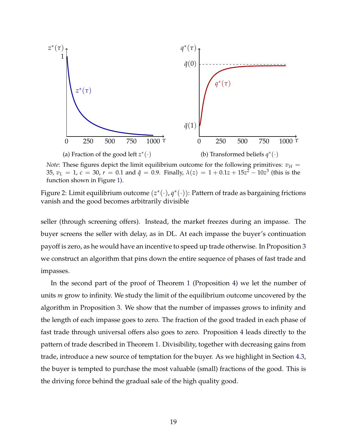

*Note*: These figures depict the limit equilibrium outcome for the following primitives:  $v_H$  = 35,  $v_L = 1$ ,  $c = 30$ ,  $r = 0.1$  and  $\hat{q} = 0.9$ . Finally,  $\lambda(z) = 1 + 0.1z + 15z^2 - 10z^3$  (this is the function shown in Figure [1\)](#page-2-26).

Figure 2: Limit equilibrium outcome  $(z^*(\cdot), q^*(\cdot))$ : Pattern of trade as bargaining frictions vanish and the good becomes arbitrarily divisible

seller (through screening offers). Instead, the market freezes during an impasse. The buyer screens the seller with delay, as in DL. At each impasse the buyer's continuation payoff is zero, as he would have an incentive to speed up trade otherwise. In Proposition [3](#page-2-47) we construct an algorithm that pins down the entire sequence of phases of fast trade and impasses.

In the second part of the proof of Theorem [1](#page-2-40) (Proposition [4\)](#page-2-47) we let the number of units *m* grow to infinity. We study the limit of the equilibrium outcome uncovered by the algorithm in Proposition [3.](#page-2-47) We show that the number of impasses grows to infinity and the length of each impasse goes to zero. The fraction of the good traded in each phase of fast trade through universal offers also goes to zero. Proposition [4](#page-2-47) leads directly to the pattern of trade described in Theorem [1.](#page-2-40) Divisibility, together with decreasing gains from trade, introduce a new source of temptation for the buyer. As we highlight in Section [4.3,](#page-2-48) the buyer is tempted to purchase the most valuable (small) fractions of the good. This is the driving force behind the gradual sale of the high quality good.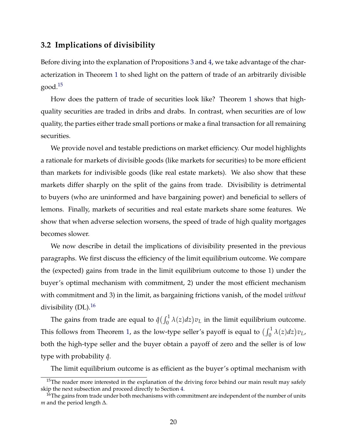#### **3.2 Implications of divisibility**

Before diving into the explanation of Propositions [3](#page-2-47) and [4,](#page-2-47) we take advantage of the characterization in Theorem [1](#page-2-40) to shed light on the pattern of trade of an arbitrarily divisible  $good.<sup>15</sup>$ 

How does the pattern of trade of securities look like? Theorem [1](#page-2-40) shows that highquality securities are traded in dribs and drabs. In contrast, when securities are of low quality, the parties either trade small portions or make a final transaction for all remaining securities.

We provide novel and testable predictions on market efficiency. Our model highlights a rationale for markets of divisible goods (like markets for securities) to be more efficient than markets for indivisible goods (like real estate markets). We also show that these markets differ sharply on the split of the gains from trade. Divisibility is detrimental to buyers (who are uninformed and have bargaining power) and beneficial to sellers of lemons. Finally, markets of securities and real estate markets share some features. We show that when adverse selection worsens, the speed of trade of high quality mortgages becomes slower.

We now describe in detail the implications of divisibility presented in the previous paragraphs. We first discuss the efficiency of the limit equilibrium outcome. We compare the (expected) gains from trade in the limit equilibrium outcome to those 1) under the buyer's optimal mechanism with commitment, 2) under the most efficient mechanism with commitment and 3) in the limit, as bargaining frictions vanish, of the model *without* divisibility  $(DL)$ .<sup>16</sup>

The gains from trade are equal to  $\hat{q}(\int_0^1 \lambda(z) dz)v_L$  in the limit equilibrium outcome. This follows from Theorem [1,](#page-2-40) as the low-type seller's payoff is equal to  $\left(\int_0^1 \lambda(z) dz\right) v_L$ , both the high-type seller and the buyer obtain a payoff of zero and the seller is of low type with probability *q*ˆ.

The limit equilibrium outcome is as efficient as the buyer's optimal mechanism with

 $15$ The reader more interested in the explanation of the driving force behind our main result may safely skip the next subsection and proceed directly to Section [4.](#page-2-19)

 $16$ The gains from trade under both mechanisms with commitment are independent of the number of units  $m$  and the period length  $\Delta$ .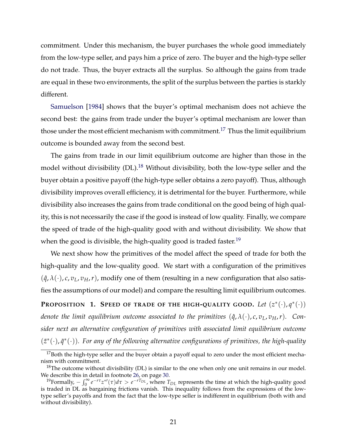commitment. Under this mechanism, the buyer purchases the whole good immediately from the low-type seller, and pays him a price of zero. The buyer and the high-type seller do not trade. Thus, the buyer extracts all the surplus. So although the gains from trade are equal in these two environments, the split of the surplus between the parties is starkly different.

[Samuelson](#page-2-1) [\[1984\]](#page-2-1) shows that the buyer's optimal mechanism does not achieve the second best: the gains from trade under the buyer's optimal mechanism are lower than those under the most efficient mechanism with commitment.<sup>[17](#page-2-51)</sup> Thus the limit equilibrium outcome is bounded away from the second best.

The gains from trade in our limit equilibrium outcome are higher than those in the model without divisibility (DL).<sup>[18](#page-2-52)</sup> Without divisibility, both the low-type seller and the buyer obtain a positive payoff (the high-type seller obtains a zero payoff). Thus, although divisibility improves overall efficiency, it is detrimental for the buyer. Furthermore, while divisibility also increases the gains from trade conditional on the good being of high quality, this is not necessarily the case if the good is instead of low quality. Finally, we compare the speed of trade of the high-quality good with and without divisibility. We show that when the good is divisible, the high-quality good is traded faster.<sup>19</sup>

We next show how the primitives of the model affect the speed of trade for both the high-quality and the low-quality good. We start with a configuration of the primitives  $(\hat{q}, \lambda(\cdot), c, v_L, v_H, r)$ , modify one of them (resulting in a new configuration that also satisfies the assumptions of our model) and compare the resulting limit equilibrium outcomes.

**PROPOSITION 1. SPEED OF TRADE OF THE HIGH-QUALITY GOOD.** Let  $(z^*(\cdot), q^*(\cdot))$ *denote the limit equilibrium outcome associated to the primitives*  $(\hat{q}, \lambda(\cdot), c, v_L, v_H, r)$ *. Consider next an alternative configuration of primitives with associated limit equilibrium outcome*  $(\tilde{z}^*(\cdot), \tilde{q}^*(\cdot))$ . For any of the following alternative configurations of primitives, the high-quality

<sup>&</sup>lt;sup>17</sup>Both the high-type seller and the buyer obtain a payoff equal to zero under the most efficient mechanism with commitment.

 $18$ The outcome without divisibility (DL) is similar to the one when only one unit remains in our model. We describe this in detail in footnote [26,](#page-2-53) on page [30.](#page-2-53)

<sup>&</sup>lt;sup>19</sup>Formally,  $-\int_0^\infty e^{-r\tau}z^{*r}(\tau)d\tau > e^{-rT_{DL}}$ , where  $T_{DL}$  represents the time at which the high-quality good is traded in DL as bargaining frictions vanish. This inequality follows from the expressions of the lowtype seller's payoffs and from the fact that the low-type seller is indifferent in equilibrium (both with and without divisibility).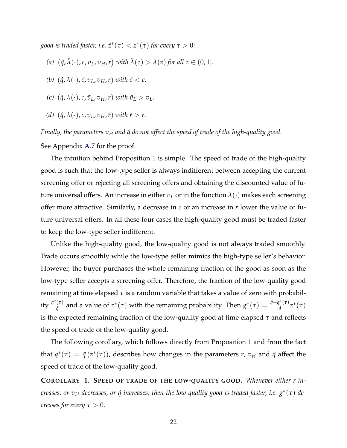*good is traded faster, i.e.*  $\tilde{z}^*(\tau) < z^*(\tau)$  *for every*  $\tau > 0$ *:* 

- (a)  $(\hat{q}, \tilde{\lambda}(\cdot), c, v_L, v_H, r)$  with  $\tilde{\lambda}(z) > \lambda(z)$  for all  $z \in (0, 1]$ *.*
- *(b)*  $(\hat{q}, \lambda(\cdot), \tilde{c}, v_L, v_H, r)$  *with*  $\tilde{c} < c$ .
- *(c)*  $(\hat{q}, \lambda(\cdot), c, \tilde{v}_L, v_H, r)$  *with*  $\tilde{v}_L > v_L$ .
- *(d)*  $(\hat{q}, \lambda(\cdot), c, v_L, v_H, \tilde{r})$  *with*  $\tilde{r} > r$ .

*Finally, the parameters*  $v_H$  *and*  $\hat{q}$  *do not affect the speed of trade of the high-quality good.* 

See Appendix [A.7](#page-2-54) for the proof.

The intuition behind Proposition [1](#page-2-55) is simple. The speed of trade of the high-quality good is such that the low-type seller is always indifferent between accepting the current screening offer or rejecting all screening offers and obtaining the discounted value of future universal offers. An increase in either  $v_L$  or in the function  $\lambda(\cdot)$  makes each screening offer more attractive. Similarly, a decrease in *c* or an increase in *r* lower the value of future universal offers. In all these four cases the high-quality good must be traded faster to keep the low-type seller indifferent.

Unlike the high-quality good, the low-quality good is not always traded smoothly. Trade occurs smoothly while the low-type seller mimics the high-type seller's behavior. However, the buyer purchases the whole remaining fraction of the good as soon as the low-type seller accepts a screening offer. Therefore, the fraction of the low-quality good remaining at time elapsed  $\tau$  is a random variable that takes a value of zero with probability  $\frac{q^*(\tau)}{\hat{q}}$  and a value of  $z^*(\tau)$  with the remaining probability. Then  $g^*(\tau) = \frac{\hat{q} - q^*(\tau)}{\hat{q}} z^*(\tau)$ is the expected remaining fraction of the low-quality good at time elapsed  $\tau$  and reflects the speed of trade of the low-quality good.

The following corollary, which follows directly from Proposition [1](#page-2-55) and from the fact that  $q^*(\tau) = \bar{q}(z^*(\tau))$ , describes how changes in the parameters *r*,  $v_H$  and  $\hat{q}$  affect the speed of trade of the low-quality good.

**COROLLARY 1. SPEED OF TRADE OF THE LOW-QUALITY GOOD.** *Whenever either r increases, or*  $v_H$  *decreases, or*  $\hat{q}$  *increases, then the low-quality good is traded faster, i.e.*  $g^*(\tau)$  *decreases for every*  $\tau > 0$ *.*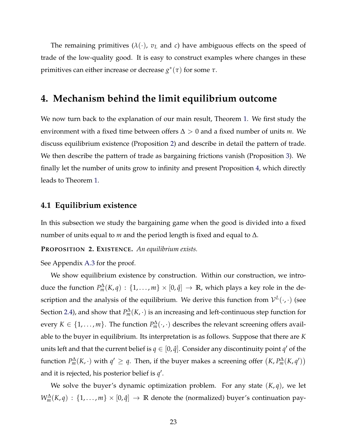The remaining primitives  $(\lambda(\cdot), v_L$  and *c*) have ambiguous effects on the speed of trade of the low-quality good. It is easy to construct examples where changes in these primitives can either increase or decrease  $g^*(\tau)$  for some  $\tau$ .

## **4. Mechanism behind the limit equilibrium outcome**

We now turn back to the explanation of our main result, Theorem [1.](#page-2-40) We first study the environment with a fixed time between offers  $\Delta > 0$  and a fixed number of units *m*. We discuss equilibrium existence (Proposition [2\)](#page-2-56) and describe in detail the pattern of trade. We then describe the pattern of trade as bargaining frictions vanish (Proposition [3\)](#page-2-47). We finally let the number of units grow to infinity and present Proposition [4,](#page-2-47) which directly leads to Theorem [1.](#page-2-40)

#### **4.1 Equilibrium existence**

In this subsection we study the bargaining game when the good is divided into a fixed number of units equal to  $m$  and the period length is fixed and equal to  $\Delta$ .

**PROPOSITION 2. EXISTENCE.** *An equilibrium exists.*

See Appendix [A.3](#page-2-36) for the proof.

We show equilibrium existence by construction. Within our construction, we introduce the function  $P_m^{\Delta}(K, q)$  :  $\{1, \ldots, m\} \times [0, \hat{q}] \to \mathbb{R}$ , which plays a key role in the description and the analysis of the equilibrium. We derive this function from  $\mathcal{V}^L(\cdot, \cdot)$  (see Section [2.4\)](#page-2-57), and show that  $P_m^{\Delta}(K, \cdot)$  is an increasing and left-continuous step function for every  $K \in \{1, \ldots, m\}$ . The function  $P_m^{\Delta}(\cdot, \cdot)$  describes the relevant screening offers available to the buyer in equilibrium. Its interpretation is as follows. Suppose that there are *K* units left and that the current belief is  $q \in [0, \hat{q}]$ . Consider any discontinuity point  $q'$  of the function  $P_m^{\Delta}(K, \cdot)$  with  $q' \ge q$ . Then, if the buyer makes a screening offer  $(K, P_m^{\Delta}(K, q'))$ and it is rejected*,* his posterior belief is  $q'.$ 

We solve the buyer's dynamic optimization problem. For any state  $(K, q)$ , we let  $W_m^{\Delta}(K,q)$  :  $\{1,\ldots,m\}\times[0,\hat{q}] \to \mathbb{R}$  denote the (normalized) buyer's continuation pay-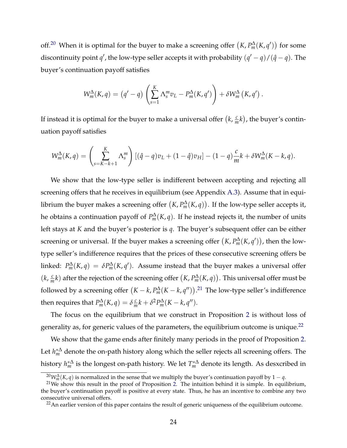off.<sup>20</sup> When it is optimal for the buyer to make a screening offer  $(K, P_m^{\Delta}(K, q'))$  for some discontinuity point  $q'$ , the low-type seller accepts it with probability  $(q'-q)/(\hat{q}-q)$ . The buyer's continuation payoff satisfies

$$
W_m^{\Delta}(K,q) = (q'-q) \left( \sum_{s=1}^K \Lambda_s^m v_L - P_m^{\Delta}(K,q') \right) + \delta W_m^{\Delta}(K,q') .
$$

If instead it is optimal for the buyer to make a universal offer  $(k, \frac{c}{m}k)$ , the buyer's continuation payoff satisfies

$$
W_m^{\Delta}(K,q) = \left(\sum_{s=K-k+1}^K \Lambda_s^m\right) \left[ (\hat{q}-q)v_L + (1-\hat{q})v_H \right] - (1-q)\frac{c}{m}k + \delta W_m^{\Delta}(K-k,q).
$$

We show that the low-type seller is indifferent between accepting and rejecting all screening offers that he receives in equilibrium (see Appendix [A.3\)](#page-2-36). Assume that in equilibrium the buyer makes a screening offer  $(K, P_m^{\Delta}(K, q))$ . If the low-type seller accepts it, he obtains a continuation payoff of  $P_m^{\Delta}(K,q)$ . If he instead rejects it, the number of units left stays at *K* and the buyer's posterior is *q*. The buyer's subsequent offer can be either screening or universal. If the buyer makes a screening offer  $(K, P_m^{\Delta}(K, q'))$ , then the lowtype seller's indifference requires that the prices of these consecutive screening offers be linked:  $P_m^{\Delta}(K,q) = \delta P_m^{\Delta}(K,q')$ . Assume instead that the buyer makes a universal offer  $(k, \frac{c}{m}k)$  after the rejection of the screening offer  $(K, P_m^{\Delta}(K, q))$ . This universal offer must be followed by a screening offer  $(K - k, P_m^{\Delta}(K - k, q''))$ .<sup>[21](#page-2-59)</sup> The low-type seller's indifference then requires that  $P_m^{\Delta}(K, q) = \delta \frac{c}{m} k + \delta^2 P_m^{\Delta}(K - k, q'').$ 

The focus on the equilibrium that we construct in Proposition [2](#page-2-56) is without loss of generality as, for generic values of the parameters, the equilibrium outcome is unique.[22](#page-2-60)

We show that the game ends after finitely many periods in the proof of Proposition [2.](#page-2-56) Let  $h_m^{*\Delta}$  denote the on-path history along which the seller rejects all screening offers. The history  $h_m^{*\Delta}$  is the longest on-path history. We let  $T_m^{*\Delta}$  denote its length. As desxcribed in

<sup>&</sup>lt;sup>20</sup>*W*<sup> $\Delta$ </sup><sub>*m*</sub>(*K*, *q*) is normalized in the sense that we multiply the buyer's continuation payoff by 1 – *q*.

<sup>&</sup>lt;sup>21</sup>We show this result in the proof of Proposition [2.](#page-2-56) The intuition behind it is simple. In equilibrium, the buyer's continuation payoff is positive at every state. Thus, he has an incentive to combine any two consecutive universal offers.

 $22$ An earlier version of this paper contains the result of generic uniqueness of the equilibrium outcome.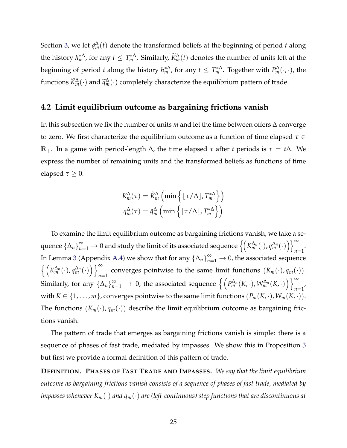Section [3,](#page-2-18) we let  $\tilde{q}^{\Delta}_{m}(t)$  denote the transformed beliefs at the beginning of period  $t$  along the history  $h_m^{*\Delta}$ , for any  $t \leq T_m^{*\Delta}$ . Similarly,  $\widetilde{K}^\Delta_m(t)$  denotes the number of units left at the beginning of period *t* along the history  $h_m^{*\Delta}$ , for any  $t \leq T_m^{*\Delta}$ . Together with  $P_m^{\Delta}(\cdot,\cdot)$ , the functions  $\widetilde{K}^\Delta_m(\cdot)$  and  $\widetilde{q}^\Delta_m(\cdot)$  completely characterize the equilibrium pattern of trade.

#### **4.2 Limit equilibrium outcome as bargaining frictions vanish**

In this subsection we fix the number of units  $m$  and let the time between offers  $\Delta$  converge to zero. We first characterize the equilibrium outcome as a function of time elapsed  $\tau \in$  $\mathbb{R}_+$ . In a game with period-length  $\Delta$ , the time elapsed  $\tau$  after *t* periods is  $\tau = t\Delta$ . We express the number of remaining units and the transformed beliefs as functions of time elapsed  $\tau \geq 0$ :

$$
K_m^{\Delta}(\tau) = \widetilde{K}_m^{\Delta} \left( \min \left\{ \lfloor \tau / \Delta \rfloor, T_m^{*\Delta} \right\} \right)
$$

$$
q_m^{\Delta}(\tau) = \widetilde{q}_m^{\Delta} \left( \min \left\{ \lfloor \tau / \Delta \rfloor, T_m^{*\Delta} \right\} \right)
$$

To examine the limit equilibrium outcome as bargaining frictions vanish, we take a sequence  $\{\Delta_n\}_{n=1}^\infty\to 0$  and study the limit of its associated sequence  $\left\{\left(K_m^{\Delta_n}(\cdot), q_m^{\Delta_n}(\cdot)\right)\right\}_{n=1}^\infty$ *n*=1 . In Lemma [3](#page-2-61) (Appendix [A.4\)](#page-2-62) we show that for any  $\{\Delta_n\}_{n=1}^\infty \to 0$ , the associated sequence  $\left\{ \left( K_m^{\Delta_n}(\cdot), q_m^{\Delta_n}(\cdot) \right) \right\}_{n=1}^{\infty}$  converges pointwise to the same limit functions  $(K_m(\cdot), q_m(\cdot))$ . Similarly, for any  $\{\Delta_n\}_{n=1}^{\infty} \to 0$ , the associated sequence  $\left\{\left(P_m^{\Delta_n}(K, \cdot), W_m^{\Delta_n}(K, \cdot)\right)\right\}_{n=1}^{\infty}$  $n=1'$ with  $K \in \{1, \ldots, m\}$ , converges pointwise to the same limit functions  $(P_m(K, \cdot), W_m(K, \cdot))$ . The functions  $(K_m(\cdot), q_m(\cdot))$  describe the limit equilibrium outcome as bargaining frictions vanish.

The pattern of trade that emerges as bargaining frictions vanish is simple: there is a sequence of phases of fast trade, mediated by impasses. We show this in Proposition [3](#page-2-47) but first we provide a formal definition of this pattern of trade.

**DEFINITION. PHASES OF FAST TRADE AND IMPASSES.** *We say that the limit equilibrium outcome as bargaining frictions vanish consists of a sequence of phases of fast trade, mediated by impasses whenever Km*(*·*) *and qm*(*·*) *are (left-continuous) step functions that are discontinuous at*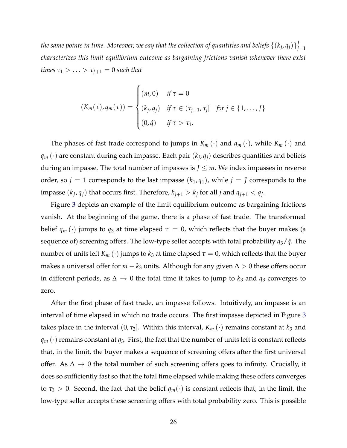*the same points in time. Moreover, we say that the collection of quantities and beliefs*  $\{(k_j,q_j)\}_{j=1}^J$ *characterizes this limit equilibrium outcome as bargaining frictions vanish whenever there exist times*  $\tau_1 > ... > \tau_{J+1} = 0$  *such that* 

$$
(K_m(\tau), q_m(\tau)) = \begin{cases} (m, 0) & \text{if } \tau = 0 \\ (k_j, q_j) & \text{if } \tau \in (\tau_{j+1}, \tau_j] \text{ for } j \in \{1, ..., J\} \\ (0, \hat{q}) & \text{if } \tau > \tau_1. \end{cases}
$$

The phases of fast trade correspond to jumps in  $K_m(\cdot)$  and  $q_m(\cdot)$ , while  $K_m(\cdot)$  and  $q_m(\cdot)$  are constant during each impasse. Each pair  $(k_j, q_j)$  describes quantities and beliefs during an impasse. The total number of impasses is  $J \leq m$ . We index impasses in reverse order, so  $j = 1$  corresponds to the last impasse  $(k_1, q_1)$ , while  $j = J$  corresponds to the impasse  $(k_J, q_J)$  that occurs first. Therefore,  $k_{j+1} > k_j$  for all *j* and  $q_{j+1} < q_j$ .

Figure [3](#page-2-45) depicts an example of the limit equilibrium outcome as bargaining frictions vanish. At the beginning of the game, there is a phase of fast trade. The transformed belief  $q_m(\cdot)$  jumps to  $q_3$  at time elapsed  $\tau = 0$ , which reflects that the buyer makes (a sequence of) screening offers. The low-type seller accepts with total probability *q*3/*q*ˆ. The number of units left  $K_m(\cdot)$  jumps to  $k_3$  at time elapsed  $\tau = 0$ , which reflects that the buyer makes a universal offer for  $m - k_3$  units. Although for any given  $\Delta > 0$  these offers occur in different periods, as  $\Delta \rightarrow 0$  the total time it takes to jump to  $k_3$  and  $q_3$  converges to zero.

After the first phase of fast trade, an impasse follows. Intuitively, an impasse is an interval of time elapsed in which no trade occurs. The first impasse depicted in Figure [3](#page-2-45) takes place in the interval  $(0, \tau_3]$ . Within this interval,  $K_m(\cdot)$  remains constant at  $k_3$  and  $q_m(\cdot)$  remains constant at  $q_3$ . First, the fact that the number of units left is constant reflects that, in the limit, the buyer makes a sequence of screening offers after the first universal offer. As  $\Delta \rightarrow 0$  the total number of such screening offers goes to infinity. Crucially, it does so sufficiently fast so that the total time elapsed while making these offers converges to  $\tau_3 > 0$ . Second, the fact that the belief  $q_m(\cdot)$  is constant reflects that, in the limit, the low-type seller accepts these screening offers with total probability zero. This is possible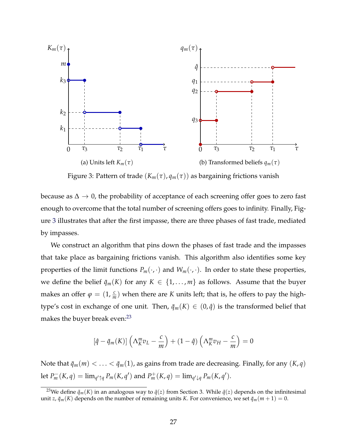

Figure 3: Pattern of trade  $(K_m(\tau), q_m(\tau))$  as bargaining frictions vanish

because as  $\Delta \rightarrow 0$ , the probability of acceptance of each screening offer goes to zero fast enough to overcome that the total number of screening offers goes to infinity. Finally, Figure [3](#page-2-45) illustrates that after the first impasse, there are three phases of fast trade, mediated by impasses.

We construct an algorithm that pins down the phases of fast trade and the impasses that take place as bargaining frictions vanish. This algorithm also identifies some key properties of the limit functions  $P_m(\cdot, \cdot)$  and  $W_m(\cdot, \cdot)$ . In order to state these properties, we define the belief  $\bar{q}_m(K)$  for any  $K \in \{1, \ldots, m\}$  as follows. Assume that the buyer makes an offer  $\varphi = (1, \frac{c}{m})$  when there are *K* units left; that is, he offers to pay the hightype's cost in exchange of one unit. Then,  $\bar{q}_m(K) \in (0, \hat{q})$  is the transformed belief that makes the buyer break even:<sup>23</sup>

$$
\left[\hat{q} - \bar{q}_m(K)\right] \left(\Lambda_K^m v_L - \frac{c}{m}\right) + (1 - \hat{q}) \left(\Lambda_K^m v_H - \frac{c}{m}\right) = 0
$$

Note that  $\bar{q}_m(m) < \ldots < \bar{q}_m(1)$ , as gains from trade are decreasing. Finally, for any  $(K, q)$ let  $P_m^-(K, q) = \lim_{q' \uparrow q} P_m(K, q')$  and  $P_m^+(K, q) = \lim_{q' \downarrow q} P_m(K, q').$ 

<sup>&</sup>lt;sup>23</sup>We define  $\bar{q}_m(K)$  in an analogous way to  $\bar{q}(z)$  from Section 3. While  $\bar{q}(z)$  depends on the infinitesimal unit *z*,  $\bar{q}_m(K)$  depends on the number of remaining units *K*. For convenience, we set  $\bar{q}_m(m+1) = 0$ .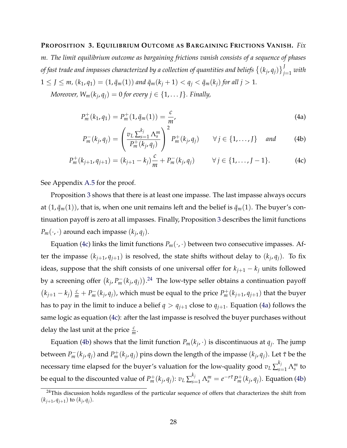#### **PROPOSITION 3. EQUILIBRIUM OUTCOME AS BARGAINING FRICTIONS VANISH.** *Fix*

*m. The limit equilibrium outcome as bargaining frictions vanish consists of a sequence of phases* of fast trade and impasses characterized by a collection of quantities and beliefs  $\left\{ (k_j, q_j) \right\}_{j=1}^J$  with  $1 \leq J \leq m$ ,  $(k_1, q_1) = (1, \bar{q}_m(1))$  and  $\bar{q}_m(k_j + 1) < q_j < \bar{q}_m(k_j)$  for all  $j > 1$ .

*Moreover,*  $W_m(k_j, q_j) = 0$  *for every*  $j \in \{1, \ldots J\}$ *. Finally,* 

$$
P_m^+(k_1, q_1) = P_m^+(1, \bar{q}_m(1)) = \frac{c}{m'},
$$
\n(4a)

$$
P_m^-(k_j, q_j) = \left(\frac{v_L \sum_{s=1}^{k_j} \Lambda_s^m}{P_m^+(k_j, q_j)}\right)^2 P_m^+(k_j, q_j) \qquad \forall j \in \{1, \dots, J\} \quad \text{and} \tag{4b}
$$

$$
P_m^+(k_{j+1}, q_{j+1}) = (k_{j+1} - k_j) \frac{c}{m} + P_m^-(k_j, q_j) \qquad \forall j \in \{1, ..., J-1\}.
$$
 (4c)

See Appendix [A.5](#page-2-63) for the proof.

Proposition [3](#page-2-47) shows that there is at least one impasse. The last impasse always occurs at  $(1, \bar{q}_m(1))$ , that is, when one unit remains left and the belief is  $\bar{q}_m(1)$ . The buyer's continuation payoff is zero at all impasses. Finally, Proposition [3](#page-2-47) describes the limit functions  $P_m(\cdot, \cdot)$  around each impasse  $(k_j, q_j)$ .

Equation [\(4c\)](#page-2-64) links the limit functions  $P_m(\cdot, \cdot)$  between two consecutive impasses. After the impasse  $(k_{j+1}, q_{j+1})$  is resolved, the state shifts without delay to  $(k_j, q_j)$ . To fix ideas, suppose that the shift consists of one universal offer for  $k_{j+1} - k_j$  units followed by a screening offer  $(k_j, P_m^-(k_j, q_j)).^{24}$  $(k_j, P_m^-(k_j, q_j)).^{24}$  $(k_j, P_m^-(k_j, q_j)).^{24}$  The low-type seller obtains a continuation payoff  $(k_{j+1} - k_j) \frac{c}{m} + P_m^-(k_j, q_j)$ , which must be equal to the price  $P_m^+(k_{j+1}, q_{j+1})$  that the buyer has to pay in the limit to induce a belief  $q > q_{j+1}$  close to  $q_{j+1}$ . Equation [\(4a\)](#page-2-66) follows the same logic as equation [\(4c\)](#page-2-64): after the last impasse is resolved the buyer purchases without delay the last unit at the price  $\frac{c}{m}$ .

Equation [\(4b\)](#page-2-67) shows that the limit function  $P_m(k_i, \cdot)$  is discontinuous at  $q_i$ . The jump between  $P_m^-(k_j, q_j)$  and  $P_m^+(k_j, q_j)$  pins down the length of the impasse  $(k_j, q_j)$ . Let  $\tilde{\tau}$  be the necessary time elapsed for the buyer's valuation for the low-quality good  $v_L\sum_{s=1}^{k_j}\Lambda_s^m$  to be equal to the discounted value of  $P_m^+(k_j,q_j)\colon v_L\sum_{s=1}^{k_j}\Lambda_s^m=e^{-r\tilde{\tau}}P_m^+(k_j,q_j).$  Equation [\(4b\)](#page-2-67)

<sup>&</sup>lt;sup>24</sup>This discussion holds regardless of the particular sequence of offers that characterizes the shift from  $(k_{j+1}, q_{j+1})$  to  $(k_j, q_j)$ .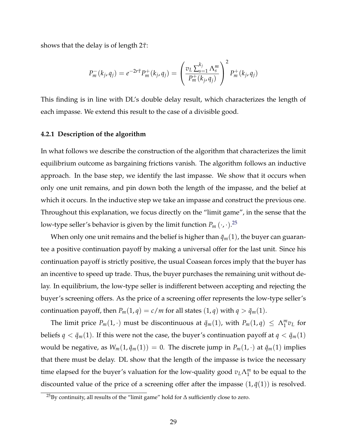shows that the delay is of length  $2\tilde{\tau}$ :

$$
P_m^-(k_j, q_j) = e^{-2r\tilde{\tau}} P_m^+(k_j, q_j) = \left(\frac{v_L \sum_{s=1}^{k_j} \Lambda_s^m}{P_m^+(k_j, q_j)}\right)^2 P_m^+(k_j, q_j)
$$

This finding is in line with DL's double delay result, which characterizes the length of each impasse. We extend this result to the case of a divisible good.

#### **4.2.1 Description of the algorithm**

In what follows we describe the construction of the algorithm that characterizes the limit equilibrium outcome as bargaining frictions vanish. The algorithm follows an inductive approach. In the base step, we identify the last impasse. We show that it occurs when only one unit remains, and pin down both the length of the impasse, and the belief at which it occurs. In the inductive step we take an impasse and construct the previous one. Throughout this explanation, we focus directly on the "limit game", in the sense that the low-type seller's behavior is given by the limit function  $P_m(\cdot,\cdot).^{25}$  $P_m(\cdot,\cdot).^{25}$  $P_m(\cdot,\cdot).^{25}$ 

When only one unit remains and the belief is higher than  $\bar{q}_m(1)$ , the buyer can guarantee a positive continuation payoff by making a universal offer for the last unit. Since his continuation payoff is strictly positive, the usual Coasean forces imply that the buyer has an incentive to speed up trade. Thus, the buyer purchases the remaining unit without delay. In equilibrium, the low-type seller is indifferent between accepting and rejecting the buyer's screening offers. As the price of a screening offer represents the low-type seller's continuation payoff, then  $P_m(1, q) = c/m$  for all states  $(1, q)$  with  $q > \bar{q}_m(1)$ .

The limit price  $P_m(1, \cdot)$  must be discontinuous at  $\bar{q}_m(1)$ , with  $P_m(1, q) \leq \Lambda_1^m v_L$  for beliefs  $q < \bar{q}_m(1)$ . If this were not the case, the buyer's continuation payoff at  $q < \bar{q}_m(1)$ would be negative, as  $W_m(1, \bar{q}_m(1)) = 0$ . The discrete jump in  $P_m(1, \cdot)$  at  $\bar{q}_m(1)$  implies that there must be delay. DL show that the length of the impasse is twice the necessary time elapsed for the buyer's valuation for the low-quality good  $v_L \Lambda_1^m$  to be equal to the discounted value of the price of a screening offer after the impasse  $(1, \bar{q}(1))$  is resolved.

<sup>&</sup>lt;sup>25</sup>By continuity, all results of the "limit game" hold for  $\Delta$  sufficiently close to zero.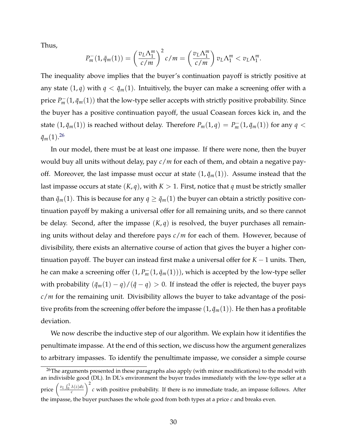Thus,

$$
P_m^-(1,\bar{q}_m(1))=\left(\frac{v_L\Lambda_1^m}{c/m}\right)^2c/m=\left(\frac{v_L\Lambda_1^m}{c/m}\right)v_L\Lambda_1^m
$$

The inequality above implies that the buyer's continuation payoff is strictly positive at any state  $(1, q)$  with  $q < \bar{q}_m(1)$ . Intuitively, the buyer can make a screening offer with a price  $P_m^-(1,\bar q_m(1))$  that the low-type seller accepts with strictly positive probability. Since the buyer has a positive continuation payoff, the usual Coasean forces kick in, and the state  $(1,\bar{q}_m(1))$  is reached without delay. Therefore  $P_m(1,q) = P_m^-(1,\bar{q}_m(1))$  for any  $q <$  $\bar{q}_m(1).$ <sup>[26](#page-2-53)</sup>

In our model, there must be at least one impasse. If there were none, then the buyer would buy all units without delay, pay *c*/*m* for each of them, and obtain a negative payoff. Moreover, the last impasse must occur at state  $(1, \bar{q}_m(1))$ . Assume instead that the last impasse occurs at state  $(K, q)$ , with  $K > 1$ . First, notice that *q* must be strictly smaller than  $\bar{q}_m(1)$ . This is because for any  $q \geq \bar{q}_m(1)$  the buyer can obtain a strictly positive continuation payoff by making a universal offer for all remaining units, and so there cannot be delay. Second, after the impasse (*K*, *q*) is resolved, the buyer purchases all remaining units without delay and therefore pays *c*/*m* for each of them. However, because of divisibility, there exists an alternative course of action that gives the buyer a higher continuation payoff. The buyer can instead first make a universal offer for  $K - 1$  units. Then, he can make a screening offer  $(1, P_m^-(1, \bar{q}_m(1)))$ , which is accepted by the low-type seller with probability  $(\bar{q}_m(1) - q)/(\hat{q} - q) > 0$ . If instead the offer is rejected, the buyer pays *c*/*m* for the remaining unit. Divisibility allows the buyer to take advantage of the positive profits from the screening offer before the impasse  $(1, \bar{q}_m(1))$ . He then has a profitable deviation.

We now describe the inductive step of our algorithm. We explain how it identifies the penultimate impasse. At the end of this section, we discuss how the argument generalizes to arbitrary impasses. To identify the penultimate impasse, we consider a simple course

 $26$ The arguments presented in these paragraphs also apply (with minor modifications) to the model with an indivisible good (DL). In DL's environment the buyer trades immediately with the low-type seller at a price  $\left(\frac{v_L \int_0^1 \lambda(z) dz}{c}\right)$  $\setminus^2$ *c* with positive probability. If there is no immediate trade, an impasse follows. After the impasse, the buyer purchases the whole good from both types at a price *c* and breaks even.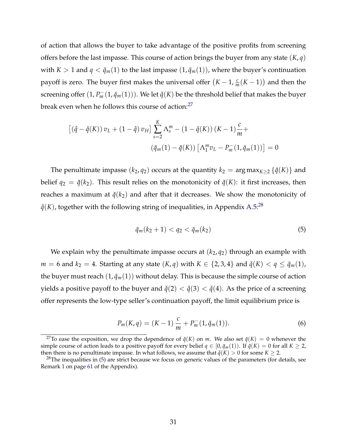of action that allows the buyer to take advantage of the positive profits from screening offers before the last impasse. This course of action brings the buyer from any state (*K*, *q*) with  $K > 1$  and  $q < \bar{q}_m(1)$  to the last impasse  $(1, \bar{q}_m(1))$ , where the buyer's continuation payoff is zero. The buyer first makes the universal offer  $(K-1, \frac{c}{m}(K-1))$  and then the screening offer  $(1, P_m^-(1, \bar q_m(1)))$ . We let  $\check q(K)$  be the threshold belief that makes the buyer break even when he follows this course of action:<sup>27</sup>

$$
[(\hat{q} - \check{q}(K)) v_L + (1 - \hat{q}) v_H] \sum_{s=2}^{K} \Lambda_s^m - (1 - \check{q}(K)) (K - 1) \frac{c}{m} +
$$

$$
(\bar{q}_m(1) - \check{q}(K)) [\Lambda_1^m v_L - P_m^-(1, \bar{q}_m(1))] = 0
$$

The penultimate impasse  $(k_2, q_2)$  occurs at the quantity  $k_2 = \arg \max_{K>2} {\{\check{q}(K)\}}$  and belief  $q_2 = \check{q}(k_2)$ . This result relies on the monotonicity of  $\check{q}(K)$ : it first increases, then reaches a maximum at  $\check{q}(k_2)$  and after that it decreases. We show the monotonicity of  $\check{q}(K)$ , together with the following string of inequalities, in Appendix [A.5:](#page-2-63)<sup>[28](#page-2-70)</sup>

$$
\bar{q}_m(k_2 + 1) < q_2 < \bar{q}_m(k_2) \tag{5}
$$

We explain why the penultimate impasse occurs at  $(k_2, q_2)$  through an example with *m* = 6 and  $k_2 = 4$ . Starting at any state  $(K, q)$  with  $K \in \{2, 3, 4\}$  and  $\check{q}(K) < q \leq \bar{q}_m(1)$ , the buyer must reach  $(1, \bar{q}_m(1))$  without delay. This is because the simple course of action yields a positive payoff to the buyer and  $\check{q}(2) < \check{q}(3) < \check{q}(4)$ . As the price of a screening offer represents the low-type seller's continuation payoff, the limit equilibrium price is

$$
P_m(K,q) = (K-1)\frac{c}{m} + P_m^-(1,\bar{q}_m(1)).
$$
\n(6)

<sup>&</sup>lt;sup>27</sup>To ease the exposition, we drop the dependence of  $\check{q}(K)$  on *m*. We also set  $\check{q}(K) = 0$  whenever the simple course of action leads to a positive payoff for every belief  $q \in [0, \bar{q}_m(1))$ . If  $\check{q}(K) = 0$  for all  $K \geq 2$ , then there is no penultimate impasse. In what follows, we assume that  $\tilde{q}(K) > 0$  for some  $K \geq 2$ .

<sup>&</sup>lt;sup>28</sup>The inequalities in  $(5)$  are strict because we focus on generic values of the parameters (for details, see Remark [1](#page-2-72) on page [61](#page-2-72) of the Appendix).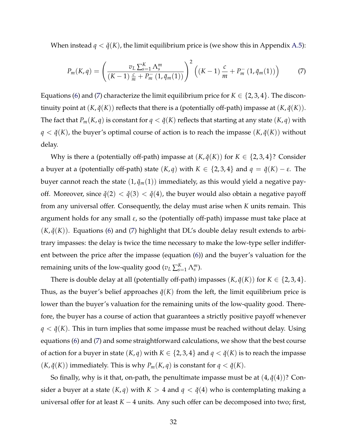When instead  $q < \check{q}(K)$ , the limit equilibrium price is (we show this in Appendix [A.5\)](#page-2-63):

$$
P_m(K,q) = \left(\frac{v_L \sum_{s=1}^K \Lambda_s^m}{(K-1) \frac{c}{m} + P_m^-(1, \bar{q}_m(1))}\right)^2 \left((K-1) \frac{c}{m} + P_m^-(1, \bar{q}_m(1))\right) \tag{7}
$$

Equations [\(6\)](#page-2-73) and [\(7\)](#page-2-74) characterize the limit equilibrium price for  $K \in \{2, 3, 4\}$ . The discontinuity point at  $(K, \check{q}(K))$  reflects that there is a (potentially off-path) impasse at  $(K, \check{q}(K))$ . The fact that  $P_m(K,q)$  is constant for  $q < \check{q}(K)$  reflects that starting at any state  $(K,q)$  with  $q < \check{q}(K)$ , the buyer's optimal course of action is to reach the impasse  $(K, \check{q}(K))$  without delay.

Why is there a (potentially off-path) impasse at  $(K, \check{q}(K))$  for  $K \in \{2, 3, 4\}$ ? Consider a buyer at a (potentially off-path) state  $(K, q)$  with  $K \in \{2, 3, 4\}$  and  $q = \check{q}(K) - \varepsilon$ . The buyer cannot reach the state  $(1, \bar{q}_m(1))$  immediately, as this would yield a negative payoff. Moreover, since  $\check{q}(2) < \check{q}(3) < \check{q}(4)$ , the buyer would also obtain a negative payoff from any universal offer. Consequently, the delay must arise when *K* units remain. This argument holds for any small  $\varepsilon$ , so the (potentially off-path) impasse must take place at  $(K, \check{q}(K))$ . Equations [\(6\)](#page-2-73) and [\(7\)](#page-2-74) highlight that DL's double delay result extends to arbitrary impasses: the delay is twice the time necessary to make the low-type seller indifferent between the price after the impasse (equation [\(6\)](#page-2-73)) and the buyer's valuation for the remaining units of the low-quality good ( $v_L \sum_{s=1}^K \Lambda_s^m$ ).

There is double delay at all (potentially off-path) impasses  $(K, \check{q}(K))$  for  $K \in \{2, 3, 4\}$ . Thus, as the buyer's belief approaches  $\check{q}(K)$  from the left, the limit equilibrium price is lower than the buyer's valuation for the remaining units of the low-quality good. Therefore, the buyer has a course of action that guarantees a strictly positive payoff whenever  $q < \check{q}(K)$ . This in turn implies that some impasse must be reached without delay. Using equations [\(6\)](#page-2-73) and [\(7\)](#page-2-74) and some straightforward calculations, we show that the best course of action for a buyer in state  $(K, q)$  with  $K \in \{2, 3, 4\}$  and  $q < \check{q}(K)$  is to reach the impasse  $(K, \check{q}(K))$  immediately. This is why  $P_m(K, q)$  is constant for  $q < \check{q}(K)$ .

So finally, why is it that, on-path, the penultimate impasse must be at  $(4, \check{q}(4))$ ? Consider a buyer at a state  $(K, q)$  with  $K > 4$  and  $q < \check{q}(4)$  who is contemplating making a universal offer for at least  $K - 4$  units. Any such offer can be decomposed into two; first,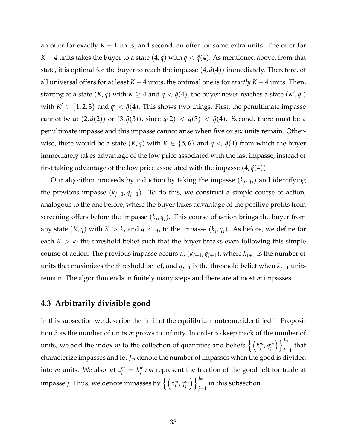an offer for exactly  $K - 4$  units, and second, an offer for some extra units. The offer for *K* – 4 units takes the buyer to a state  $(4, q)$  with  $q < \check{q}(4)$ . As mentioned above, from that state, it is optimal for the buyer to reach the impasse  $(4, \check{q}(4))$  immediately. Therefore, of all universal offers for at least  $K - 4$  units, the optimal one is for *exactly*  $K - 4$  units. Then, starting at a state  $(K, q)$  with  $K \geq 4$  and  $q < \check{q}(4)$ , the buyer never reaches a state  $(K', q')$ with  $K' \in \{1, 2, 3\}$  and  $q' < \check{q}(4)$ . This shows two things. First, the penultimate impasse cannot be at  $(2, \check{q}(2))$  or  $(3, \check{q}(3))$ , since  $\check{q}(2) < \check{q}(3) < \check{q}(4)$ . Second, there must be a penultimate impasse and this impasse cannot arise when five or six units remain. Otherwise, there would be a state  $(K, q)$  with  $K \in \{5, 6\}$  and  $q < \check{q}(4)$  from which the buyer immediately takes advantage of the low price associated with the last impasse, instead of first taking advantage of the low price associated with the impasse  $(4, \check{q}(4))$ .

Our algorithm proceeds by induction by taking the impasse  $(k_i, q_i)$  and identifying the previous impasse  $(k_{j+1}, q_{j+1})$ . To do this, we construct a simple course of action, analogous to the one before, where the buyer takes advantage of the positive profits from screening offers before the impasse  $(k_i, q_i)$ . This course of action brings the buyer from any state  $(K, q)$  with  $K > k_j$  and  $q < q_j$  to the impasse  $(k_j, q_j)$ . As before, we define for each  $K > k_j$  the threshold belief such that the buyer breaks even following this simple course of action. The previous impasse occurs at  $(k_{j+1}, q_{j+1})$ , where  $k_{j+1}$  is the number of units that maximizes the threshold belief, and  $q_{j+1}$  is the threshold belief when  $k_{j+1}$  units remain. The algorithm ends in finitely many steps and there are at most *m* impasses.

#### **4.3 Arbitrarily divisible good**

In this subsection we describe the limit of the equilibrium outcome identified in Proposition [3](#page-2-47) as the number of units *m* grows to infinity. In order to keep track of the number of units, we add the index *m* to the collection of quantities and beliefs  $\left\{ \left(k_{j}^{m}, q_{j}^{m}\right)\right\}$ ⌘o*Jm*  $\sum_{j=1}^{\infty}$  that characterize impasses and let *Jm* denote the number of impasses when the good is divided into *m* units. We also let  $z_j^m = k_j^m/m$  represent the fraction of the good left for trade at impasse *j*. Thus, we denote impasses by  $\left\{ \left( z_j^m, q_j^m \right) \right\}$ ⌘o*Jm*  $j=1$  in this subsection.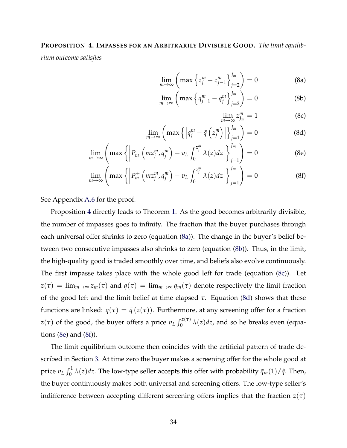#### **PROPOSITION 4. IMPASSES FOR AN ARBITRARILY DIVISIBLE GOOD.** *The limit equilib-*

*rium outcome satisfies*

$$
\lim_{m \to \infty} \left( \max \left\{ z_j^m - z_{j-1}^m \right\}_{j=2}^{J_m} \right) = 0 \tag{8a}
$$

$$
\lim_{m \to \infty} \left( \max \left\{ q_{j-1}^m - q_j^m \right\}_{j=2}^{J_m} \right) = 0 \tag{8b}
$$

$$
\lim_{m \to \infty} z_{J_m}^m = 1 \tag{8c}
$$

$$
\lim_{m \to \infty} \left( \max \left\{ \left| q_j^m - \bar{q} \left( z_j^m \right) \right| \right\}_{j=1}^{J_m} \right) = 0 \tag{8d}
$$

$$
\lim_{m \to \infty} \left( \max \left\{ \left| P_m^- \left( m z_j^m, q_j^m \right) - v_L \int_0^{z_j^m} \lambda(z) dz \right| \right\}_{j=1}^{J_m} \right) = 0 \tag{8e}
$$

$$
\lim_{m \to \infty} \left( \max \left\{ \left| P_m^+ \left( m z_j^m , q_j^m \right) - v_L \int_0^{z_j^m} \lambda(z) dz \right| \right\}_{j=1}^{J_m} \right) = 0 \tag{8f}
$$

See Appendix [A.6](#page-2-75) for the proof.

Proposition [4](#page-2-47) directly leads to Theorem [1.](#page-2-40) As the good becomes arbitrarily divisible, the number of impasses goes to infinity. The fraction that the buyer purchases through each universal offer shrinks to zero (equation [\(8a\)](#page-2-76)). The change in the buyer's belief between two consecutive impasses also shrinks to zero (equation [\(8b\)](#page-2-77)). Thus, in the limit, the high-quality good is traded smoothly over time, and beliefs also evolve continuously. The first impasse takes place with the whole good left for trade (equation [\(8c\)](#page-2-78)). Let  $z(\tau) = \lim_{m \to \infty} z_m(\tau)$  and  $q(\tau) = \lim_{m \to \infty} q_m(\tau)$  denote respectively the limit fraction of the good left and the limit belief at time elapsed  $\tau$ . Equation [\(8d\)](#page-2-79) shows that these functions are linked:  $q(\tau) = \bar{q}(z(\tau))$ . Furthermore, at any screening offer for a fraction  $z(\tau)$  of the good, the buyer offers a price  $v_L \int_0^{z(\tau)} \lambda(z) dz$ , and so he breaks even (equations [\(8e\)](#page-2-80) and [\(8f\)](#page-2-81)).

The limit equilibrium outcome then coincides with the artificial pattern of trade described in Section [3.](#page-2-18) At time zero the buyer makes a screening offer for the whole good at price  $v_L \int_0^1 \lambda(z) dz$ . The low-type seller accepts this offer with probability  $\bar{q}_m(1)/\hat{q}$ . Then, the buyer continuously makes both universal and screening offers. The low-type seller's indifference between accepting different screening offers implies that the fraction  $z(\tau)$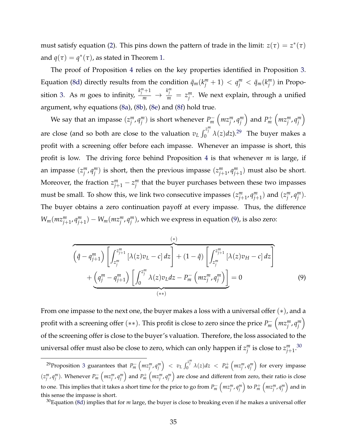must satisfy equation [\(2\)](#page-2-0). This pins down the pattern of trade in the limit:  $z(\tau) = z^*(\tau)$ and  $q(\tau) = q^*(\tau)$ , as stated in Theorem [1.](#page-2-1)

The proof of Proposition [4](#page-2-2) relies on the key properties identified in Proposition [3.](#page-2-2) Equation [\(8d\)](#page-2-3) directly results from the condition  $\bar{q}_m(k_j^m + 1) < q_j^m < \bar{q}_m(k_j^m)$  in Proposition [3.](#page-2-2) As *m* goes to infinity,  $k_j^m+1$  $\frac{1}{m} \rightarrow$  $k_j^m$  = *z*<sup>*m*</sup>. We next explain, through a unified argument, why equations [\(8a\)](#page-2-4), [\(8b\)](#page-2-5), [\(8e\)](#page-2-6) and [\(8f\)](#page-2-7) hold true.

We say that an impasse  $(z_j^m, q_j^m)$  is short whenever  $P_m^ \left(mz_j^m, q_j^m\right)$  $\left($  and  $P_m^+$  $\left(mz_j^m, q_j^m\right)$  $\setminus$ are close (and so both are close to the valuation  $v_L \int_0^{z_l^m} \lambda(z) dz$ ).<sup>[29](#page-2-8)</sup> The buyer makes a profit with a screening offer before each impasse. Whenever an impasse is short, this profit is low. The driving force behind Proposition [4](#page-2-2) is that whenever *m* is large, if an impasse  $(z_j^m, q_j^m)$  is short, then the previous impasse  $(z_{j+1}^m, q_{j+1}^m)$  must also be short. Moreover, the fraction  $z_{j+1}^m - z_j^m$  that the buyer purchases between these two impasses must be small. To show this, we link two consecutive impasses  $(z_{j+1}^m, q_{j+1}^m)$  and  $(z_j^m, q_j^m)$ . The buyer obtains a zero continuation payoff at every impasse. Thus, the difference  $W_m(mx_{j+1}^m, q_{j+1}^m) - W_m(mx_j^m, q_j^m)$ , which we express in equation [\(9\)](#page-2-9), is also zero:

$$
\left(\hat{q} - q_{j+1}^m\right) \left[\int_{z_j^m}^{z_{j+1}^m} \left[\lambda(z)v_L - c\right] dz\right] + \left(1 - \hat{q}\right) \left[\int_{z_j^m}^{z_{j+1}^m} \left[\lambda(z)v_H - c\right] dz\right] + \underbrace{\left(q_j^m - q_{j+1}^m\right) \left[\int_0^{z_j^m} \lambda(z)v_L dz - P_m\left(mz_j^m, q_j^m\right)\right]}_{(**)}
$$
\n
$$
(9)
$$

From one impasse to the next one, the buyer makes a loss with a universal offer  $(*)$ , and a profit with a screening offer  $(**)$ . This profit is close to zero since the price  $P_m^ \left(mz_j^m, q_j^m\right)$  $\setminus$ of the screening offer is close to the buyer's valuation. Therefore, the loss associated to the universal offer must also be close to zero, which can only happen if  $z_j^m$  is close to  $z_{j+1}^m.^{30}$  $z_{j+1}^m.^{30}$  $z_{j+1}^m.^{30}$ 

<sup>&</sup>lt;sup>29</sup> Proposition [3](#page-2-2) guarantees that  $P_m^ \left(mz_j^m, q_j^m\right)$  $\left( \int_{0}^{z_{j}^{m}} \lambda(z) dz \right) < P_{m}^{+} \left( m z_{j}^{m}, q_{j}^{m} \right)$ ) for every impasse  $(z_j^m, q_j^m)$ . Whenever  $P_m^-\left(mz_j^m, q_j^m\right)$  $\int$  and  $P_m^+$   $\left(mz_j^m, q_j^m\right)$ ) are close and different from zero, their ratio is close to one. This implies that it takes a short time for the price to go from  $P_m^ \left(mz_j^m,q_j^m\right)$  $\left( max_j^m, q_j^m \right)$ ⌘ and in this sense the impasse is short.

<sup>30</sup>Equation [\(8d\)](#page-2-3) implies that for *m* large, the buyer is close to breaking even if he makes a universal offer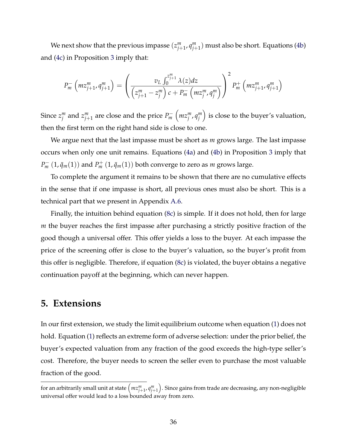We next show that the previous impasse  $(z_{j+1}^m, q_{j+1}^m)$  must also be short. Equations [\(4b\)](#page-2-11) and [\(4c\)](#page-2-12) in Proposition [3](#page-2-2) imply that:

$$
P_m^-\left(mz_{j+1}^m, q_{j+1}^m\right) = \left(\frac{v_L \int_0^{z_{j+1}^m} \lambda(z) dz}{\left(z_{j+1}^m - z_j^m\right) c + P_m^-\left(mz_j^m, q_j^m\right)}\right)^2 P_m^+\left(mz_{j+1}^m, q_{j+1}^m\right)
$$

Since  $z_j^m$  and  $z_{j+1}^m$  are close and the price  $P_m^ \left(mz_j^m, q_j^m\right)$ ⌘ is close to the buyer's valuation, then the first term on the right hand side is close to one.

We argue next that the last impasse must be short as *m* grows large. The last impasse occurs when only one unit remains. Equations [\(4a\)](#page-2-13) and [\(4b\)](#page-2-11) in Proposition [3](#page-2-2) imply that  $P_m^- \left(1, \bar{q}_m(1)\right)$  and  $P_m^+ \left(1, \bar{q}_m(1)\right)$  both converge to zero as *m* grows large.

To complete the argument it remains to be shown that there are no cumulative effects in the sense that if one impasse is short, all previous ones must also be short. This is a technical part that we present in Appendix [A.6.](#page-2-14)

Finally, the intuition behind equation [\(8c\)](#page-2-15) is simple. If it does not hold, then for large *m* the buyer reaches the first impasse after purchasing a strictly positive fraction of the good though a universal offer. This offer yields a loss to the buyer. At each impasse the price of the screening offer is close to the buyer's valuation, so the buyer's profit from this offer is negligible. Therefore, if equation [\(8c\)](#page-2-15) is violated, the buyer obtains a negative continuation payoff at the beginning, which can never happen.

## **5. Extensions**

In our first extension, we study the limit equilibrium outcome when equation [\(1\)](#page-2-16) does not hold. Equation [\(1\)](#page-2-16) reflects an extreme form of adverse selection: under the prior belief, the buyer's expected valuation from any fraction of the good exceeds the high-type seller's cost. Therefore, the buyer needs to screen the seller even to purchase the most valuable fraction of the good.

for an arbitrarily small unit at state  $\left(\textit{mz}_{j+1}^{m},\textit{q}_{j+1}^{m}\right.$ ⌘ . Since gains from trade are decreasing, any non-negligible universal offer would lead to a loss bounded away from zero.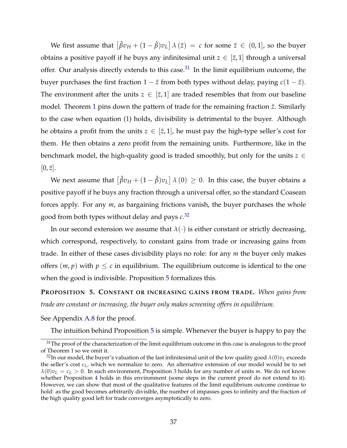We first assume that  $\left[\hat{\beta}v_H + (1-\hat{\beta})v_L\right] \lambda(\bar{z}) = c$  for some  $\bar{z} \in (0,1]$ , so the buyer obtains a positive payoff if he buys any infinitesimal unit  $z \in [\bar{z}, 1]$  through a universal offer. Our analysis directly extends to this case. $31$  In the limit equilibrium outcome, the buyer purchases the first fraction  $1 - \bar{z}$  from both types without delay, paying  $c(1 - \bar{z})$ . The environment after the units  $z \in [\bar{z}, 1]$  are traded resembles that from our baseline model. Theorem [1](#page-2-1) pins down the pattern of trade for the remaining fraction  $\bar{z}$ . Similarly to the case when equation [\(1\)](#page-2-16) holds, divisibility is detrimental to the buyer. Although he obtains a profit from the units  $z \in [\bar{z}, 1]$ , he must pay the high-type seller's cost for them. He then obtains a zero profit from the remaining units. Furthermore, like in the benchmark model, the high-quality good is traded smoothly, but only for the units  $z \in$  $[0, \bar{z}].$ 

We next assume that  $\left[\hat{\beta}v_H + (1-\hat{\beta})v_L\right] \lambda(0) \geq 0$ . In this case, the buyer obtains a positive payoff if he buys any fraction through a universal offer, so the standard Coasean forces apply. For any *m*, as bargaining frictions vanish, the buyer purchases the whole good from both types without delay and pays *c*. [32](#page-2-18)

In our second extension we assume that  $\lambda(\cdot)$  is either constant or strictly decreasing, which correspond, respectively, to constant gains from trade or increasing gains from trade. In either of these cases divisibility plays no role: for any *m* the buyer only makes offers  $(m, p)$  with  $p \leq c$  in equilibrium. The equilibrium outcome is identical to the one when the good is indivisible. Proposition [5](#page-2-19) formalizes this.

**PROPOSITION 5. CONSTANT OR INCREASING GAINS FROM TRADE.** *When gains from trade are constant or increasing, the buyer only makes screening offers in equilibrium.*

See Appendix [A.8](#page-2-20) for the proof.

The intuition behind Proposition [5](#page-2-19) is simple. Whenever the buyer is happy to pay the

 $31$ The proof of the characterization of the limit equilibrium outcome in this case is analogous to the proof of Theorem [1](#page-2-1) so we omit it.

 $32$ In our model, the buyer's valuation of the last infinitesimal unit of the low quality good  $\lambda(0)v_L$  exceeds the seller's cost *cL*, which we normalize to zero. An alternative extension of our model would be to set  $\lambda(0)v_L = c_L > 0$ . In such environment, Proposition [3](#page-2-2) holds for any number of units *m*. We do not know whether Proposition [4](#page-2-2) holds in this environment (some steps in the current proof do not extend to it). However, we can show that most of the qualitative features of the limit equilibrium outcome continue to hold: as the good becomes arbitrarily divisible, the number of impasses goes to infinity and the fraction of the high quality good left for trade converges asymptotically to zero.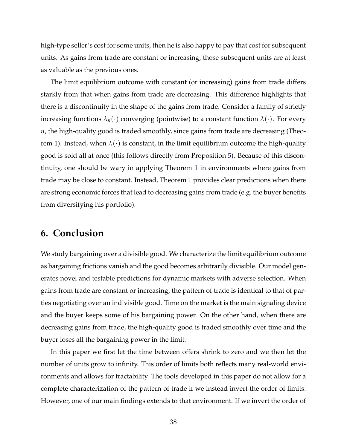high-type seller's cost for some units, then he is also happy to pay that cost for subsequent units. As gains from trade are constant or increasing, those subsequent units are at least as valuable as the previous ones.

The limit equilibrium outcome with constant (or increasing) gains from trade differs starkly from that when gains from trade are decreasing. This difference highlights that there is a discontinuity in the shape of the gains from trade. Consider a family of strictly increasing functions  $\lambda_n(\cdot)$  converging (pointwise) to a constant function  $\lambda(\cdot)$ . For every *n*, the high-quality good is traded smoothly, since gains from trade are decreasing (Theo-rem [1\)](#page-2-1). Instead, when  $\lambda(\cdot)$  is constant, in the limit equilibrium outcome the high-quality good is sold all at once (this follows directly from Proposition [5\)](#page-2-19). Because of this discontinuity, one should be wary in applying Theorem [1](#page-2-1) in environments where gains from trade may be close to constant. Instead, Theorem [1](#page-2-1) provides clear predictions when there are strong economic forces that lead to decreasing gains from trade (e.g. the buyer benefits from diversifying his portfolio).

## **6. Conclusion**

We study bargaining over a divisible good. We characterize the limit equilibrium outcome as bargaining frictions vanish and the good becomes arbitrarily divisible. Our model generates novel and testable predictions for dynamic markets with adverse selection. When gains from trade are constant or increasing, the pattern of trade is identical to that of parties negotiating over an indivisible good. Time on the market is the main signaling device and the buyer keeps some of his bargaining power. On the other hand, when there are decreasing gains from trade, the high-quality good is traded smoothly over time and the buyer loses all the bargaining power in the limit.

In this paper we first let the time between offers shrink to zero and we then let the number of units grow to infinity. This order of limits both reflects many real-world environments and allows for tractability. The tools developed in this paper do not allow for a complete characterization of the pattern of trade if we instead invert the order of limits. However, one of our main findings extends to that environment. If we invert the order of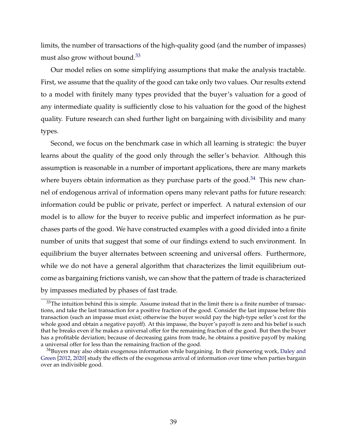limits, the number of transactions of the high-quality good (and the number of impasses) must also grow without bound.<sup>33</sup>

Our model relies on some simplifying assumptions that make the analysis tractable. First, we assume that the quality of the good can take only two values. Our results extend to a model with finitely many types provided that the buyer's valuation for a good of any intermediate quality is sufficiently close to his valuation for the good of the highest quality. Future research can shed further light on bargaining with divisibility and many types.

Second, we focus on the benchmark case in which all learning is strategic: the buyer learns about the quality of the good only through the seller's behavior. Although this assumption is reasonable in a number of important applications, there are many markets where buyers obtain information as they purchase parts of the good. $34$  This new channel of endogenous arrival of information opens many relevant paths for future research: information could be public or private, perfect or imperfect. A natural extension of our model is to allow for the buyer to receive public and imperfect information as he purchases parts of the good. We have constructed examples with a good divided into a finite number of units that suggest that some of our findings extend to such environment. In equilibrium the buyer alternates between screening and universal offers. Furthermore, while we do not have a general algorithm that characterizes the limit equilibrium outcome as bargaining frictions vanish, we can show that the pattern of trade is characterized by impasses mediated by phases of fast trade.

 $33$ The intuition behind this is simple. Assume instead that in the limit there is a finite number of transactions, and take the last transaction for a positive fraction of the good. Consider the last impasse before this transaction (such an impasse must exist; otherwise the buyer would pay the high-type seller's cost for the whole good and obtain a negative payoff). At this impasse, the buyer's payoff is zero and his belief is such that he breaks even if he makes a universal offer for the remaining fraction of the good. But then the buyer has a profitable deviation; because of decreasing gains from trade, he obtains a positive payoff by making a universal offer for less than the remaining fraction of the good.

<sup>&</sup>lt;sup>34</sup>Buyers may also obtain exogenous information while bargaining. In their pioneering work, [Daley and](#page-2-23) [Green](#page-2-23) [\[2012,](#page-2-23) [2020\]](#page-2-24) study the effects of the exogenous arrival of information over time when parties bargain over an indivisible good.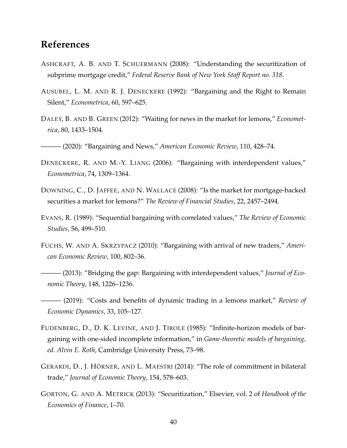# **References**

- ASHCRAFT, A. B. AND T. SCHUERMANN (2008): "Understanding the securitization of subprime mortgage credit," *Federal Reserve Bank of New York Staff Report no. 318*.
- AUSUBEL, L. M. AND R. J. DENECKERE (1992): "Bargaining and the Right to Remain Silent," *Econometrica*, 60, 597–625.
- DALEY, B. AND B. GREEN (2012): "Waiting for news in the market for lemons," *Econometrica*, 80, 1433–1504.
- ——— (2020): "Bargaining and News," *American Economic Review*, 110, 428–74.
- DENECKERE, R. AND M.-Y. LIANG (2006): "Bargaining with interdependent values," *Econometrica*, 74, 1309–1364.
- DOWNING, C., D. JAFFEE, AND N. WALLACE (2008): "Is the market for mortgage-backed securities a market for lemons?" *The Review of Financial Studies*, 22, 2457–2494.
- EVANS, R. (1989): "Sequential bargaining with correlated values," *The Review of Economic Studies*, 56, 499–510.
- FUCHS, W. AND A. SKRZYPACZ (2010): "Bargaining with arrival of new traders," *American Economic Review*, 100, 802–36.
- ——— (2013): "Bridging the gap: Bargaining with interdependent values," *Journal of Economic Theory*, 148, 1226–1236.
- ——— (2019): "Costs and benefits of dynamic trading in a lemons market," *Review of Economic Dynamics*, 33, 105–127.
- FUDENBERG, D., D. K. LEVINE, AND J. TIROLE (1985): "Infinite-horizon models of bargaining with one-sided incomplete information," in *Game-theoretic models of bargaining, ed. Alvin E. Roth*, Cambridge University Press, 73–98.
- GERARDI, D., J. HÖRNER, AND L. MAESTRI (2014): "The role of commitment in bilateral trade," *Journal of Economic Theory*, 154, 578–603.
- GORTON, G. AND A. METRICK (2013): "Securitization," Elsevier, vol. 2 of *Handbook of the Economics of Finance*, 1–70.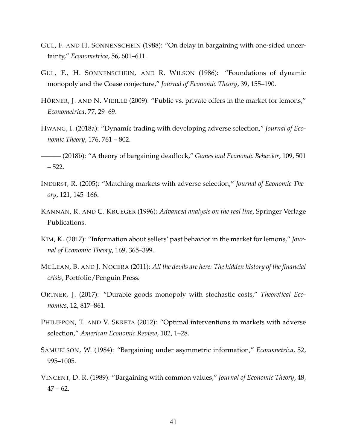- GUL, F. AND H. SONNENSCHEIN (1988): "On delay in bargaining with one-sided uncertainty," *Econometrica*, 56, 601–611.
- GUL, F., H. SONNENSCHEIN, AND R. WILSON (1986): "Foundations of dynamic monopoly and the Coase conjecture," *Journal of Economic Theory*, 39, 155–190.
- HÖRNER, J. AND N. VIEILLE (2009): "Public vs. private offers in the market for lemons," *Econometrica*, 77, 29–69.
- HWANG, I. (2018a): "Dynamic trading with developing adverse selection," *Journal of Economic Theory*, 176, 761 – 802.

——— (2018b): "A theory of bargaining deadlock," *Games and Economic Behavior*, 109, 501 – 522.

- INDERST, R. (2005): "Matching markets with adverse selection," *Journal of Economic Theory*, 121, 145–166.
- KANNAN, R. AND C. KRUEGER (1996): *Advanced analysis on the real line*, Springer Verlage Publications.
- KIM, K. (2017): "Information about sellers' past behavior in the market for lemons," *Journal of Economic Theory*, 169, 365–399.
- MCLEAN, B. AND J. NOCERA (2011): *All the devils are here: The hidden history of the financial crisis*, Portfolio/Penguin Press.
- ORTNER, J. (2017): "Durable goods monopoly with stochastic costs," *Theoretical Economics*, 12, 817–861.
- PHILIPPON, T. AND V. SKRETA (2012): "Optimal interventions in markets with adverse selection," *American Economic Review*, 102, 1–28.
- SAMUELSON, W. (1984): "Bargaining under asymmetric information," *Econometrica*, 52, 995–1005.
- VINCENT, D. R. (1989): "Bargaining with common values," *Journal of Economic Theory*, 48,  $47 - 62.$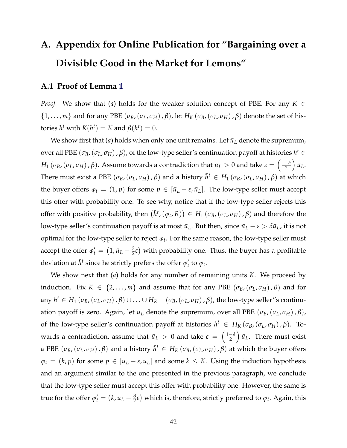# **A. Appendix for Online Publication for "Bargaining over a Divisible Good in the Market for Lemons"**

#### **A.1 Proof of Lemma [1](#page-2-25)**

*Proof.* We show that (*a*) holds for the weaker solution concept of PBE. For any  $K \in$  $\{1,\ldots,m\}$  and for any PBE  $(\sigma_B,(\sigma_L, \sigma_H), \beta)$ , let  $H_K(\sigma_B,(\sigma_L, \sigma_H), \beta)$  denote the set of histories  $h^t$  with  $K(h^t) = K$  and  $\beta(h^t) = 0$ .

We show first that  $(a)$  holds when only one unit remains. Let  $\bar{u}_L$  denote the supremum, over all PBE  $(\sigma_B, (\sigma_L, \sigma_H), \beta)$ , of the low-type seller's continuation payoff at histories  $h^t \in$  $H_1\left(\sigma_B, \left(\sigma_L, \sigma_H\right), \beta\right)$ . Assume towards a contradiction that  $\bar{u}_L>0$  and take  $\epsilon=\left(\frac{1-\delta_A}{2}\right)$  $\big)$   $\bar{u}_L$ . There must exist a PBE  $(\sigma_B, (\sigma_L, \sigma_H), \beta)$  and a history  $\bar{h}^t \in H_1\left(\sigma_B, (\sigma_L, \sigma_H), \beta\right)$  at which the buyer offers  $\varphi_t = (1, p)$  for some  $p \in [\bar{u}_L - \varepsilon, \bar{u}_L]$ . The low-type seller must accept this offer with probability one. To see why, notice that if the low-type seller rejects this offer with positive probability, then  $(\bar{h}^t,(\varphi_t,R)) \in H_1(\sigma_B,(\sigma_L,\sigma_H),\beta)$  and therefore the low-type seller's continuation payoff is at most  $\bar{u}_L$ . But then, since  $\bar{u}_L - \varepsilon > \delta \bar{u}_L$ , it is not optimal for the low-type seller to reject  $\varphi_t$ . For the same reason, the low-type seller must accept the offer  $\varphi'_t = (1, \bar{u}_L - \frac{3}{2}\varepsilon)$  with probability one. Thus, the buyer has a profitable deviation at  $\bar{h}^t$  since he strictly prefers the offer  $\varphi'_t$  to  $\varphi_t$ .

We show next that (*a*) holds for any number of remaining units *K*. We proceed by induction. Fix  $K \in \{2, \ldots, m\}$  and assume that for any PBE  $(\sigma_B, (\sigma_L, \sigma_H), \beta)$  and for any  $h^t \in H_1(\sigma_B, (\sigma_L, \sigma_H), \beta) \cup ... \cup H_{K-1}(\sigma_B, (\sigma_L, \sigma_H), \beta)$ , the low-type seller"s continuation payoff is zero. Again, let  $\bar{u}_L$  denote the supremum, over all PBE ( $\sigma_B$ , ( $\sigma_L$ ,  $\sigma_H$ ),  $\beta$ ), of the low-type seller's continuation payoff at histories  $h^t \in H_K(\sigma_B, (\sigma_L, \sigma_H), \beta)$ . Towards a contradiction, assume that  $\bar{u}_L > 0$  and take  $\epsilon = \left(\frac{1-\delta}{2}\right)$  $\int \bar{u}_L$ . There must exist a PBE  $(\sigma_B,(\sigma_L, \sigma_H), \beta)$  and a history  $\bar{h}^t \in H_K(\sigma_B,(\sigma_L, \sigma_H), \beta)$  at which the buyer offers  $\varphi_t = (k, p)$  for some  $p \in [\bar{u}_L - \varepsilon, \bar{u}_L]$  and some  $k \leq K$ . Using the induction hypothesis and an argument similar to the one presented in the previous paragraph, we conclude that the low-type seller must accept this offer with probability one. However, the same is true for the offer  $\varphi'_t = (k, \bar{u}_L - \frac{3}{2}\varepsilon)$  which is, therefore, strictly preferred to  $\varphi_t$ . Again, this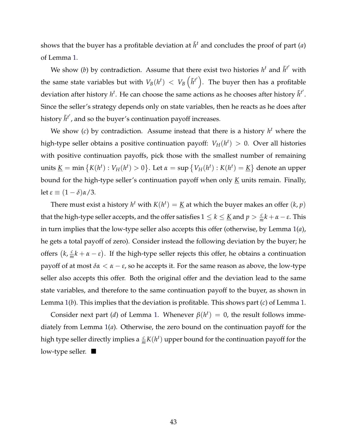shows that the buyer has a profitable deviation at  $\bar{h}^t$  and concludes the proof of part (*a*) of Lemma [1.](#page-2-25)

We show (*b*) by contradiction. Assume that there exist two histories  $h^t$  and  $\tilde{h}^{t'}$  with the same state variables but with  $V_B(h^t)~<~V_B\left(\tilde{h}^{t'}\right).$  The buyer then has a profitable deviation after history  $h^t$ . He can choose the same actions as he chooses after history  $\tilde{h}^{t'}$ . Since the seller's strategy depends only on state variables, then he reacts as he does after history  $\tilde{h}^{t'}$ , and so the buyer's continuation payoff increases.

We show (*c*) by contradiction. Assume instead that there is a history  $h<sup>t</sup>$  where the high-type seller obtains a positive continuation payoff:  $V_H(h^t) > 0$ . Over all histories with positive continuation payoffs, pick those with the smallest number of remaining  $x = \min\left\{K(h^t): V_H(h^t) > 0\right\}$ . Let  $\alpha = \sup\left\{V_H(h^t): K(h^t) = \underline{K}\right\}$  denote an upper bound for the high-type seller's continuation payoff when only *K* units remain. Finally, let  $\epsilon \equiv (1 - \delta)\alpha/3$ .

There must exist a history  $h^t$  with  $K(h^t) = K$  at which the buyer makes an offer  $(k, p)$ that the high-type seller accepts, and the offer satisfies  $1 \leq k \leq \underline{K}$  and  $p > \frac{c}{m}k + \alpha - \varepsilon$ . This in turn implies that the low-type seller also accepts this offer (otherwise, by Lemma [1\(](#page-2-25)*a*), he gets a total payoff of zero). Consider instead the following deviation by the buyer; he offers  $(k, \frac{c}{m}k + \alpha - \varepsilon)$ . If the high-type seller rejects this offer, he obtains a continuation payoff of at most  $\delta \alpha < \alpha - \varepsilon$ , so he accepts it. For the same reason as above, the low-type seller also accepts this offer. Both the original offer and the deviation lead to the same state variables, and therefore to the same continuation payoff to the buyer, as shown in Lemma [1\(](#page-2-25)*b*). This implies that the deviation is profitable. This shows part (*c*) of Lemma [1.](#page-2-25)

Consider next part (*d*) of Lemma [1.](#page-2-25) Whenever  $\beta(h^t) = 0$ , the result follows immediately from Lemma [1\(](#page-2-25)*a*). Otherwise, the zero bound on the continuation payoff for the high type seller directly implies a  $\frac{c}{m}K(h^t)$  upper bound for the continuation payoff for the low-type seller.  $\blacksquare$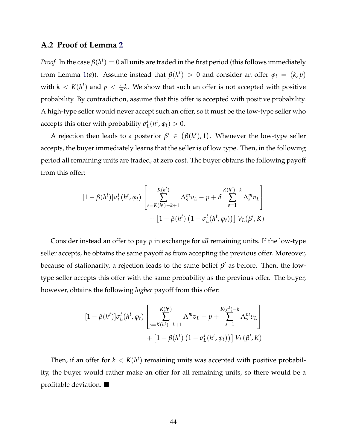#### **A.2 Proof of Lemma [2](#page-2-26)**

*Proof.* In the case  $\beta(h^t) = 0$  all units are traded in the first period (this follows immediately from Lemma [1\(](#page-2-25)*a*)). Assume instead that  $\beta(h^t) > 0$  and consider an offer  $\varphi_t = (k, p)$ with  $k < K(h^t)$  and  $p < \frac{c}{m}k$ . We show that such an offer is not accepted with positive probability. By contradiction, assume that this offer is accepted with positive probability. A high-type seller would never accept such an offer, so it must be the low-type seller who accepts this offer with probability  $\sigma_L^t(h^t, \varphi_t) > 0$ .

A rejection then leads to a posterior  $\beta' \in (\beta(h^t), 1)$ . Whenever the low-type seller accepts, the buyer immediately learns that the seller is of low type. Then, in the following period all remaining units are traded, at zero cost. The buyer obtains the following payoff from this offer:

$$
[1 - \beta(h^t)]\sigma_L^t(h^t, \varphi_t) \left[ \sum_{s = K(h^t) - k + 1}^{K(h^t)} \Lambda_s^m v_L - p + \delta \sum_{s = 1}^{K(h^t) - k} \Lambda_s^m v_L \right] + [1 - \beta(h^t) (1 - \sigma_L^t(h^t, \varphi_t))] V_L(\beta', K)
$$

Consider instead an offer to pay *p* in exchange for *all* remaining units. If the low-type seller accepts, he obtains the same payoff as from accepting the previous offer. Moreover, because of stationarity, a rejection leads to the same belief  $\beta'$  as before. Then, the lowtype seller accepts this offer with the same probability as the previous offer. The buyer, however, obtains the following *higher* payoff from this offer:

$$
[1 - \beta(h^t)]\sigma_L^t(h^t, \varphi_t) \left[ \sum_{s = K(h^t) - k + 1}^{K(h^t)} \Lambda_s^m v_L - p + \sum_{s = 1}^{K(h^t) - k} \Lambda_s^m v_L \right] + [1 - \beta(h^t) (1 - \sigma_L^t(h^t, \varphi_t))] V_L(\beta', K)
$$

Then, if an offer for  $k < K(h^t)$  remaining units was accepted with positive probability, the buyer would rather make an offer for all remaining units, so there would be a profitable deviation.  $\blacksquare$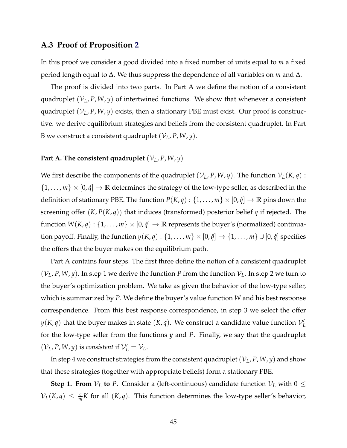#### **A.3 Proof of Proposition [2](#page-2-27)**

In this proof we consider a good divided into a fixed number of units equal to *m* a fixed period length equal to  $\Delta$ . We thus suppress the dependence of all variables on *m* and  $\Delta$ .

The proof is divided into two parts. In Part A we define the notion of a consistent quadruplet  $(V_L, P, W, y)$  of intertwined functions. We show that whenever a consistent quadruplet  $(V_L, P, W, y)$  exists, then a stationary PBE must exist. Our proof is constructive: we derive equilibrium strategies and beliefs from the consistent quadruplet. In Part B we construct a consistent quadruplet  $(\mathcal{V}_L, P, W, y)$ .

#### **Part A. The consistent quadruplet**  $(V_L, P, W, y)$

We first describe the components of the quadruplet  $(V_L, P, W, y)$ . The function  $V_L(K, q)$ :  $\{1,\ldots,m\}\times[0,\hat{q}]\to\mathbb{R}$  determines the strategy of the low-type seller, as described in the definition of stationary PBE. The function  $P(K, q) : \{1, \ldots, m\} \times [0, \hat{q}] \rightarrow \mathbb{R}$  pins down the screening offer (*K*, *P*(*K*, *q*)) that induces (transformed) posterior belief *q* if rejected. The function  $W(K, q) : \{1, \ldots, m\} \times [0, \hat{q}] \rightarrow \mathbb{R}$  represents the buyer's (normalized) continuation payoff. Finally, the function  $y(K, q) : \{1, \ldots, m\} \times [0, \hat{q}] \rightarrow \{1, \ldots, m\} \cup [0, \hat{q}]$  specifies the offers that the buyer makes on the equilibrium path.

Part A contains four steps. The first three define the notion of a consistent quadruplet  $(V_L, P, W, y)$ . In step 1 we derive the function *P* from the function  $V_L$ . In step 2 we turn to the buyer's optimization problem. We take as given the behavior of the low-type seller, which is summarized by *P*. We define the buyer's value function *W* and his best response correspondence. From this best response correspondence, in step 3 we select the offer  $y(K,q)$  that the buyer makes in state  $(K,q)$ . We construct a candidate value function  $\mathcal{V}'_L$ for the low-type seller from the functions *y* and *P*. Finally, we say that the quadruplet  $(V_L, P, W, y)$  is *consistent* if  $V'_L = V_L$ .

In step 4 we construct strategies from the consistent quadruplet  $(\mathcal{V}_L, P, W, y)$  and show that these strategies (together with appropriate beliefs) form a stationary PBE.

**Step 1. From**  $V_L$  to P. Consider a (left-continuous) candidate function  $V_L$  with  $0 \leq$  $V_L(K,q) \leq \frac{c}{m}K$  for all  $(K,q)$ . This function determines the low-type seller's behavior,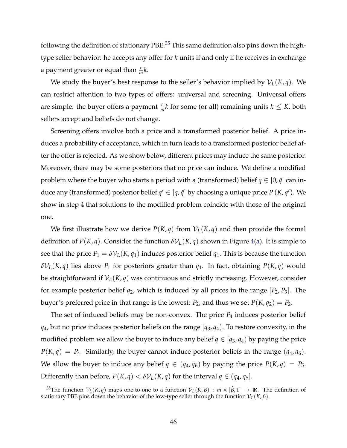following the definition of stationary PBE.<sup>35</sup> This same definition also pins down the hightype seller behavior: he accepts any offer for *k* units if and only if he receives in exchange a payment greater or equal than  $\frac{c}{m}k$ .

We study the buyer's best response to the seller's behavior implied by  $\mathcal{V}_L(K,q)$ . We can restrict attention to two types of offers: universal and screening. Universal offers are simple: the buyer offers a payment  $\frac{c}{m}k$  for some (or all) remaining units  $k \leq K$ , both sellers accept and beliefs do not change.

Screening offers involve both a price and a transformed posterior belief. A price induces a probability of acceptance, which in turn leads to a transformed posterior belief after the offer is rejected. As we show below, different prices may induce the same posterior. Moreover, there may be some posteriors that no price can induce. We define a modified problem where the buyer who starts a period with a (transformed) belief  $q \in [0, \hat{q}]$  can induce any (transformed) posterior belief  $q' \in [q, \hat{q}]$  by choosing a unique price  $P(K, q')$ . We show in step 4 that solutions to the modified problem coincide with those of the original one.

We first illustrate how we derive  $P(K, q)$  from  $V_L(K, q)$  and then provide the formal definition of *P*(*K*, *q*). Consider the function  $\delta V_L(K,q)$  shown in Figure [4\(a\)](#page-2-29). It is simple to see that the price  $P_1 = \delta V_L(K, q_1)$  induces posterior belief  $q_1$ . This is because the function  $\delta$ *V*<sub>*L*</sub>(*K*, *q*) lies above *P*<sub>1</sub> for posteriors greater than *q*<sub>1</sub>. In fact, obtaining *P*(*K*, *q*) would be straightforward if  $V_L(K,q)$  was continuous and strictly increasing. However, consider for example posterior belief  $q_2$ , which is induced by all prices in the range  $[P_2, P_3]$ . The buyer's preferred price in that range is the lowest:  $P_2$ ; and thus we set  $P(K, q_2) = P_2$ .

The set of induced beliefs may be non-convex. The price  $P_4$  induces posterior belief  $q_4$ , but no price induces posterior beliefs on the range  $[q_3, q_4]$ . To restore convexity, in the modified problem we allow the buyer to induce any belief  $q \in [q_3, q_4)$  by paying the price  $P(K, q) = P_4$ . Similarly, the buyer cannot induce posterior beliefs in the range  $(q_4, q_6)$ . We allow the buyer to induce any belief  $q \in (q_4, q_6)$  by paying the price  $P(K, q) = P_5$ . Differently than before,  $P(K, q) < \delta V_L(K, q)$  for the interval  $q \in (q_4, q_5]$ .

<sup>&</sup>lt;sup>35</sup>The function  $V_L(K,q)$  maps one-to-one to a function  $V_L(K,\beta)$  :  $m \times [\hat{\beta},1] \rightarrow \mathbb{R}$ . The definition of stationary PBE pins down the behavior of the low-type seller through the function  $V_L(K,\beta)$ .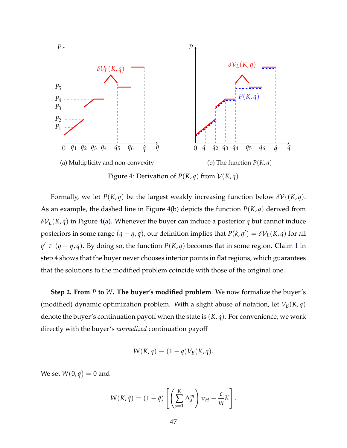

Figure 4: Derivation of  $P(K, q)$  from  $V(K, q)$ 

Formally, we let *P*(*K*, *q*) be the largest weakly increasing function below  $\delta V_L(K, q)$ . As an example, the dashed line in Figure [4\(b\)](#page-2-29) depicts the function  $P(K, q)$  derived from  $\delta V_L(K,q)$  in Figure [4\(a\)](#page-2-29). Whenever the buyer can induce a posterior *q* but cannot induce posteriors in some range  $(q - \eta, q)$ , our definition implies that  $P(k, q') = \delta V_L(K, q)$  for all  $q' \in (q - \eta, q)$ . By doing so, the function  $P(K, q)$  becomes flat in some region. Claim [1](#page-2-30) in step 4 shows that the buyer never chooses interior points in flat regions, which guarantees that the solutions to the modified problem coincide with those of the original one.

**Step 2. From** *P* **to** *W***. The buyer's modified problem**. We now formalize the buyer's (modified) dynamic optimization problem. With a slight abuse of notation, let  $V_B(K,q)$ denote the buyer's continuation payoff when the state is (*K*, *q*). For convenience, we work directly with the buyer's *normalized* continuation payoff

$$
W(K,q) \equiv (1-q)V_B(K,q).
$$

We set  $W(0, q) = 0$  and

$$
W(K,\hat{q}) = (1-\hat{q}) \left[ \left( \sum_{s=1}^{K} \Lambda_s^m \right) v_H - \frac{c}{m} K \right].
$$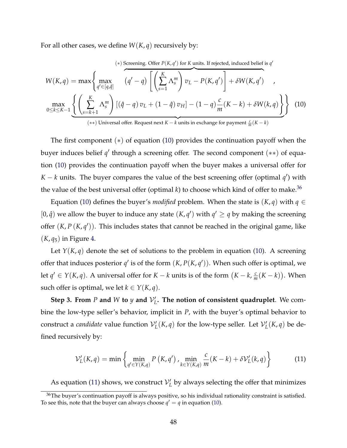For all other cases, we define  $W(K, q)$  recursively by:

$$
W(K,q) = \max \left\{ \max_{q' \in [q,\hat{q}]} \left( \frac{\sum_{s=k+1}^{K} \Lambda_{s}^{m}}{(q'-q)} \left[ \left( \sum_{s=1}^{K} \Lambda_{s}^{m} \right) v_{L} - P(K,q') \right] + \delta W(K,q') \right. \right\}
$$
\n
$$
\max_{0 \le k \le K-1} \underbrace{\left\{ \left( \sum_{s=k+1}^{K} \Lambda_{s}^{m} \right) \left[ (\hat{q}-q) v_{L} + (1-\hat{q}) v_{H} \right] - (1-q) \frac{c}{m} (K-k) + \delta W(k,q) \right\}}_{\text{(**) Universal offer. Request next } K-k \text{ units in exchange for payment } \frac{c}{m}(K-k)
$$
\n(10)

The first component  $(*)$  of equation [\(10\)](#page-2-31) provides the continuation payoff when the buyer induces belief  $q'$  through a screening offer. The second component  $(**)$  of equation [\(10\)](#page-2-31) provides the continuation payoff when the buyer makes a universal offer for *K* – *k* units. The buyer compares the value of the best screening offer (optimal  $q'$ ) with the value of the best universal offer (optimal  $k$ ) to choose which kind of offer to make.<sup>36</sup>

Equation [\(10\)](#page-2-31) defines the buyer's *modified* problem. When the state is  $(K, q)$  with  $q \in$  $[0, \hat{q})$  we allow the buyer to induce any state  $(K, q')$  with  $q' \ge q$  by making the screening offer  $(K, P(K, q'))$ . This includes states that cannot be reached in the original game, like  $(K, q_5)$  in Figure [4.](#page-2-29)

Let  $Y(K, q)$  denote the set of solutions to the problem in equation [\(10\)](#page-2-31). A screening offer that induces posterior  $q'$  is of the form  $(K, P(K, q'))$ . When such offer is optimal, we let  $q' \in Y(K, q)$ . A universal offer for  $K - k$  units is of the form  $(K - k, \frac{c}{m}(K - k))$ . When such offer is optimal, we let  $k \in Y(K, q)$ .

**Step 3. From**  $P$  and  $W$  to  $y$  and  $V'_L$ . The notion of consistent quadruplet. We combine the low-type seller's behavior, implicit in *P*, with the buyer's optimal behavior to construct a *candidate* value function  $\mathcal{V}'_L(K,q)$  for the low-type seller. Let  $\mathcal{V}'_L(K,q)$  be defined recursively by:

$$
\mathcal{V}'_L(K,q) = \min \left\{ \min_{q' \in Y(K,q)} P\left(K,q'\right), \min_{k \in Y(K,q)} \frac{c}{m}(K-k) + \delta \mathcal{V}'_L(k,q) \right\} \tag{11}
$$

As equation [\(11\)](#page-2-33) shows, we construct  $\mathcal{V}_L'$  by always selecting the offer that minimizes

<sup>&</sup>lt;sup>36</sup>The buyer's continuation payoff is always positive, so his individual rationality constraint is satisfied. To see this, note that the buyer can always choose  $q' = q$  in equation [\(10\)](#page-2-31).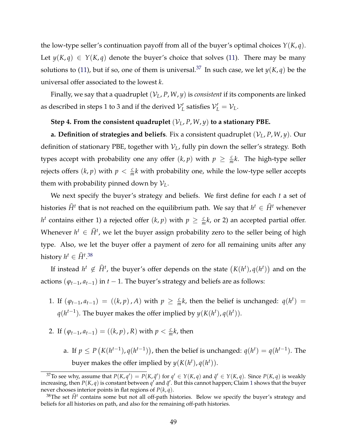the low-type seller's continuation payoff from all of the buyer's optimal choices *Y*(*K*, *q*). Let  $y(K, q) \in Y(K, q)$  denote the buyer's choice that solves [\(11\)](#page-2-33). There may be many solutions to [\(11\)](#page-2-33), but if so, one of them is universal.<sup>37</sup> In such case, we let  $y(K, q)$  be the universal offer associated to the lowest *k*.

Finally, we say that a quadruplet (*VL*, *P*, *W*, *y*) is *consistent* if its components are linked as described in steps 1 to 3 and if the derived  $\mathcal{V}'_L$  satisfies  $\mathcal{V}'_L = \mathcal{V}_L$ .

#### Step 4. From the consistent quadruplet  $(V_L, P, W, y)$  to a stationary PBE.

**a. Definition of strategies and beliefs**. Fix a consistent quadruplet  $(V_L, P, W, y)$ . Our definition of stationary PBE, together with  $V_L$ , fully pin down the seller's strategy. Both types accept with probability one any offer  $(k, p)$  with  $p \geq \frac{c}{m}k$ . The high-type seller rejects offers  $(k, p)$  with  $p < \frac{c}{m}k$  with probability one, while the low-type seller accepts them with probability pinned down by  $V_L$ .

We next specify the buyer's strategy and beliefs. We first define for each *t* a set of histories  $\widehat{H}^t$  that is not reached on the equilibrium path. We say that  $h^t \in \widehat{H}^t$  whenever  $h^t$  contains either 1) a rejected offer  $(k, p)$  with  $p \geq \frac{c}{m}k$ , or 2) an accepted partial offer. Whenever  $h^t \in \widehat{H}^t$ , we let the buyer assign probability zero to the seller being of high type. Also, we let the buyer offer a payment of zero for all remaining units after any history  $h^t \in \widehat{H}^{t,38}$  $h^t \in \widehat{H}^{t,38}$  $h^t \in \widehat{H}^{t,38}$ 

If instead  $h^t \notin \widehat{H}^t$ , the buyer's offer depends on the state  $(K(h^t), q(h^t))$  and on the actions  $(\varphi_{t-1}, a_{t-1})$  in  $t-1$ . The buyer's strategy and beliefs are as follows:

- 1. If  $(\varphi_{t-1}, a_{t-1}) = ((k, p), A)$  with  $p \geq \frac{c}{m}k$ , then the belief is unchanged:  $q(h^t) =$  $q(h^{t-1})$ . The buyer makes the offer implied by  $y(K(h^t), q(h^t))$ .
- 2. If  $(\varphi_{t-1}, a_{t-1}) = ((k, p), R)$  with  $p < \frac{c}{m}k$ , then
	- a. If  $p \leq P(K(h^{t-1}), q(h^{t-1}))$ , then the belief is unchanged:  $q(h^t) = q(h^{t-1})$ . The buyer makes the offer implied by  $y(K(h^t), q(h^t))$ .

<sup>&</sup>lt;sup>37</sup>To see why, assume that  $P(K, q') = P(K, \tilde{q}')$  for  $q' \in Y(K, q)$  and  $\tilde{q}' \in Y(K, q)$ . Since  $P(K, q)$  is weakly increasing, then  $P(K, q)$  is constant between  $q'$  and  $\tilde{q}'$ . But this cannot happen; Claim [1](#page-2-30) shows that the buyer never chooses interior points in flat regions of  $P(k, q)$ .

<sup>&</sup>lt;sup>38</sup>The set  $\hat{H}$ <sup>t</sup> contains some but not all off-path histories. Below we specify the buyer's strategy and beliefs for all histories on path, and also for the remaining off-path histories.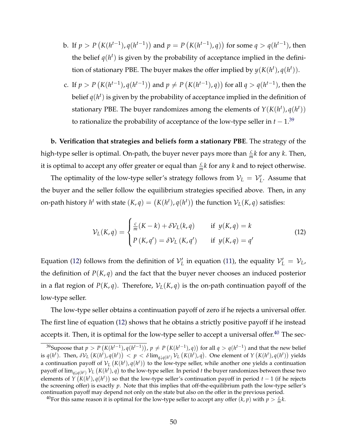- b. If  $p > P(K(h^{t-1}), q(h^{t-1}))$  and  $p = P(K(h^{t-1}), q))$  for some  $q > q(h^{t-1})$ , then the belief  $q(h^t)$  is given by the probability of acceptance implied in the definition of stationary PBE. The buyer makes the offer implied by  $y(K(h^t), q(h^t))$ .
- c. If  $p > P(K(h^{t-1}), q(h^{t-1}))$  and  $p \neq P(K(h^{t-1}), q))$  for all  $q > q(h^{t-1})$ , then the belief  $q(h^t)$  is given by the probability of acceptance implied in the definition of stationary PBE. The buyer randomizes among the elements of  $Y(K(h^t), q(h^t))$ to rationalize the probability of acceptance of the low-type seller in  $t - 1$ .<sup>[39](#page-2-36)</sup>

**b. Verification that strategies and beliefs form a stationary PBE**. The strategy of the high-type seller is optimal. On-path, the buyer never pays more than  $\frac{c}{m}k$  for any  $k$ . Then, it is optimal to accept any offer greater or equal than  $\frac{c}{m}k$  for any  $k$  and to reject otherwise.

The optimality of the low-type seller's strategy follows from  $\mathcal{V}_L = \mathcal{V}'_L$ . Assume that the buyer and the seller follow the equilibrium strategies specified above. Then, in any on-path history  $h^t$  with state  $(K, q) = (K(h^t), q(h^t))$  the function  $\mathcal{V}_L(K, q)$  satisfies:

$$
\mathcal{V}_L(K,q) = \begin{cases} \frac{c}{m}(K-k) + \delta \mathcal{V}_L(k,q) & \text{if } y(K,q) = k \\ P(K,q') = \delta \mathcal{V}_L(K,q') & \text{if } y(K,q) = q' \end{cases}
$$
(12)

Equation [\(12\)](#page-2-37) follows from the definition of  $V'_L$  in equation [\(11\)](#page-2-33), the equality  $V'_L = V_L$ , the definition of  $P(K, q)$  and the fact that the buyer never chooses an induced posterior in a flat region of  $P(K,q)$ . Therefore,  $V_L(K,q)$  is the on-path continuation payoff of the low-type seller.

The low-type seller obtains a continuation payoff of zero if he rejects a universal offer. The first line of equation [\(12\)](#page-2-37) shows that he obtains a strictly positive payoff if he instead accepts it. Then, it is optimal for the low-type seller to accept a universal offer.<sup>[40](#page-2-38)</sup> The sec-

<sup>&</sup>lt;sup>39</sup>Supoose that  $p > P(K(h^{t-1}), q(h^{t-1}))$ ,  $p \neq P(K(h^{t-1}), q))$  for all  $q > q(h^{t-1})$  and that the new belief is  $q(h^t)$ . Then,  $\delta V_L(K(h^t), q(h^t)) < p < \delta \lim_{q \downarrow q(h^t)} V_L(K(h^t), q)$ . One element of  $Y(K(h^t), q(h^t))$  yields a continuation payoff of  $V_L(K(h^t), q(h^t))$  to the low-type seller, while another one yields a continuation payoff of  $\lim_{q\downarrow q(h^t)}$   $\mathcal{V}_L$   $(K(h^t), q)$  to the low-type seller. In period  $t$  the buyer randomizes between these two elements of  $\hat{Y}(K(h^t), q(h^t))$  so that the low-type seller's continuation payoff in period  $t-1$  (if he rejects the screening offer) is exactly *p*. Note that this implies that off-the-equilibrium path the low-type seller's continuation payoff may depend not only on the state but also on the offer in the previous period.

<sup>&</sup>lt;sup>40</sup>For this same reason it is optimal for the low-type seller to accept any offer  $(k, p)$  with  $p > \frac{c}{m}k$ .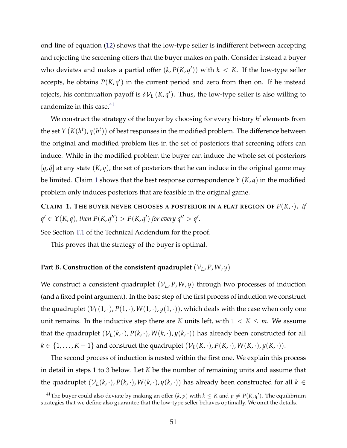ond line of equation [\(12\)](#page-2-37) shows that the low-type seller is indifferent between accepting and rejecting the screening offers that the buyer makes on path. Consider instead a buyer who deviates and makes a partial offer  $(k, P(K, q'))$  with  $k~<~K$ . If the low-type seller accepts, he obtains  $P(K, q')$  in the current period and zero from then on. If he instead rejects, his continuation payoff is  $\delta\mathcal{V}_L\left(K,\mathfrak{q}'\right)$ . Thus, the low-type seller is also willing to randomize in this case.<sup>41</sup>

We construct the strategy of the buyer by choosing for every history  $h<sup>t</sup>$  elements from the set  $Y\left(K(h^t), q(h^t)\right)$  of best responses in the modified problem. The difference between the original and modified problem lies in the set of posteriors that screening offers can induce. While in the modified problem the buyer can induce the whole set of posteriors  $[q, \hat{q}]$  at any state  $(K, q)$ , the set of posteriors that he can induce in the original game may be limited. Claim [1](#page-2-30) shows that the best response correspondence *Y* (*K*, *q*) in the modified problem only induces posteriors that are feasible in the original game.

**CLAIM 1. THE BUYER NEVER CHOOSES A POSTERIOR IN A FLAT REGION OF**  $P(K, \cdot)$ **.** If  $q' \in Y(K, q)$ , then  $P(K, q'') > P(K, q')$  for every  $q'' > q'.$ 

See Section [T.1](#page-2-39) of the Technical Addendum for the proof.

This proves that the strategy of the buyer is optimal.

#### **Part B. Construction of the consistent quadruplet**  $(V_L, P, W, y)$

We construct a consistent quadruplet  $(V_L, P, W, y)$  through two processes of induction (and a fixed point argument). In the base step of the first process of induction we construct the quadruplet  $(V_L(1, \cdot), P(1, \cdot), W(1, \cdot), y(1, \cdot))$ , which deals with the case when only one unit remains. In the inductive step there are *K* units left, with  $1 < K \le m$ . We assume that the quadruplet  $(V_L(k, \cdot), P(k, \cdot), W(k, \cdot), y(k, \cdot))$  has already been constructed for all  $k \in \{1, \ldots, K-1\}$  and construct the quadruplet  $(\mathcal{V}_L(K, \cdot), P(K, \cdot), W(K, \cdot), y(K, \cdot)).$ 

The second process of induction is nested within the first one. We explain this process in detail in steps 1 to 3 below. Let *K* be the number of remaining units and assume that the quadruplet  $(V_L(k, \cdot), P(k, \cdot), W(k, \cdot), y(k, \cdot))$  has already been constructed for all  $k \in$ 

<sup>&</sup>lt;sup>41</sup>The buyer could also deviate by making an offer  $(k, p)$  with  $k \le K$  and  $p \ne P(K, q')$ . The equilibrium strategies that we define also guarantee that the low-type seller behaves optimally. We omit the details.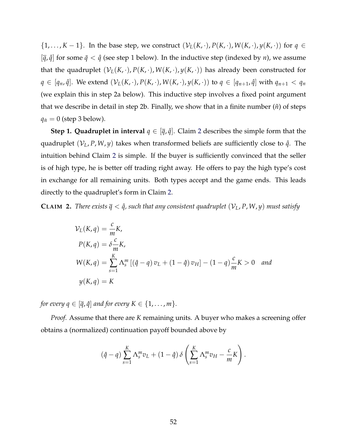$\{1, \ldots, K-1\}$ . In the base step, we construct  $(\mathcal{V}_L(K, \cdot), P(K, \cdot), W(K, \cdot), y(K, \cdot))$  for  $q \in$  $[\bar{q}, \hat{q}]$  for some  $\bar{q} < \hat{q}$  (see step 1 below). In the inductive step (indexed by *n*), we assume that the quadruplet  $(V_L(K, \cdot), P(K, \cdot), W(K, \cdot), y(K, \cdot))$  has already been constructed for  $q \in [q_n, \hat{q}]$ . We extend  $(\mathcal{V}_L(K, \cdot), P(K, \cdot), W(K, \cdot), y(K, \cdot))$  to  $q \in [q_{n+1}, \hat{q}]$  with  $q_{n+1} < q_n$ (we explain this in step 2a below). This inductive step involves a fixed point argument that we describe in detail in step 2b. Finally, we show that in a finite number  $(\tilde{n})$  of steps  $q_{\tilde{n}} = 0$  (step 3 below).

**Step 1. Quadruplet in interval**  $q \in [\bar{q}, \hat{q}]$ . Claim [2](#page-2-30) describes the simple form that the quadruplet  $(V_L, P, W, y)$  takes when transformed beliefs are sufficiently close to  $\hat{q}$ . The intuition behind Claim [2](#page-2-30) is simple. If the buyer is sufficiently convinced that the seller is of high type, he is better off trading right away. He offers to pay the high type's cost in exchange for all remaining units. Both types accept and the game ends. This leads directly to the quadruplet's form in Claim [2.](#page-2-30)

**CLAIM** 2. *There exists*  $\bar{q} < \hat{q}$ , such that any consistent quadruplet  $(V_L, P, W, y)$  must satisfy

$$
\mathcal{V}_L(K, q) = \frac{c}{m} K,
$$
  
\n
$$
P(K, q) = \delta \frac{c}{m} K,
$$
  
\n
$$
W(K, q) = \sum_{s=1}^{K} \Lambda_s^m \left[ (\hat{q} - q) v_L + (1 - \hat{q}) v_H \right] - (1 - q) \frac{c}{m} K > 0 \text{ and }
$$
  
\n
$$
y(K, q) = K
$$

*for every*  $q \in [\overline{q}, \hat{q}]$  *and for every*  $K \in \{1, \ldots, m\}$ *.* 

*Proof.* Assume that there are *K* remaining units. A buyer who makes a screening offer obtains a (normalized) continuation payoff bounded above by

$$
(\hat{q}-q)\sum_{s=1}^K \Lambda_s^m v_L + (1-\hat{q})\,\delta\left(\sum_{s=1}^K \Lambda_s^m v_H - \frac{c}{m}K\right).
$$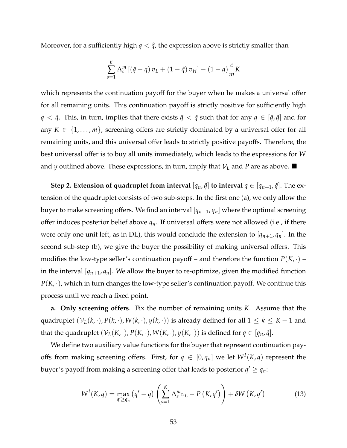Moreover, for a sufficiently high  $q < \hat{q}$ , the expression above is strictly smaller than

$$
\sum_{s=1}^{K} \Lambda_s^m \left[ \left( \hat{q} - q \right) v_L + \left( 1 - \hat{q} \right) v_H \right] - \left( 1 - q \right) \frac{c}{m} K
$$

which represents the continuation payoff for the buyer when he makes a universal offer for all remaining units. This continuation payoff is strictly positive for sufficiently high *q* <  $\hat{q}$ . This, in turn, implies that there exists  $\bar{q}$  <  $\hat{q}$  such that for any  $q \in [\bar{q}, \hat{q}]$  and for any  $K \in \{1, \ldots, m\}$ , screening offers are strictly dominated by a universal offer for all remaining units, and this universal offer leads to strictly positive payoffs. Therefore, the best universal offer is to buy all units immediately, which leads to the expressions for *W* and *y* outlined above. These expressions, in turn, imply that  $V_L$  and *P* are as above.  $\blacksquare$ 

**Step 2. Extension of quadruplet from interval**  $[q_n, \hat{q}]$  **to interval**  $q \in [q_{n+1}, \hat{q}]$ . The extension of the quadruplet consists of two sub-steps. In the first one (a), we only allow the buyer to make screening offers. We find an interval  $[q_{n+1}, q_n]$  where the optimal screening offer induces posterior belief above *qn*. If universal offers were not allowed (i.e., if there were only one unit left, as in DL), this would conclude the extension to  $[q_{n+1}, q_n]$ . In the second sub-step (b), we give the buyer the possibility of making universal offers. This modifies the low-type seller's continuation payoff – and therefore the function  $P(K, \cdot)$  – in the interval  $[q_{n+1}, q_n]$ . We allow the buyer to re-optimize, given the modified function  $P(K, \cdot)$ , which in turn changes the low-type seller's continuation payoff. We continue this process until we reach a fixed point.

**a. Only screening offers**. Fix the number of remaining units *K*. Assume that the quadruplet  $(V_L(k, \cdot), P(k, \cdot), W(k, \cdot), y(k, \cdot))$  is already defined for all  $1 \leq k \leq K - 1$  and that the quadruplet  $(V_L(K, \cdot), P(K, \cdot), W(K, \cdot), y(K, \cdot))$  is defined for  $q \in [q_n, \hat{q}]$ .

We define two auxiliary value functions for the buyer that represent continuation payoffs from making screening offers. First, for  $q \in [0, q_n]$  we let  $W^I(K, q)$  represent the buyer's payoff from making a screening offer that leads to posterior  $q' \geq q_n$ :

$$
W^{I}(K,q) = \max_{q' \geq q_{n}} (q' - q) \left( \sum_{s=1}^{K} \Lambda_{s}^{m} v_{L} - P\left(K, q'\right) \right) + \delta W\left(K, q'\right) \tag{13}
$$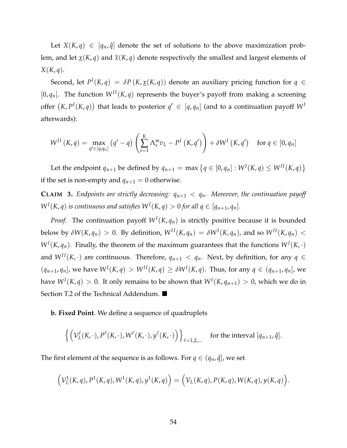Let  $X(K, q) \in [q_n, \hat{q}]$  denote the set of solutions to the above maximization problem, and let  $\underline{x}(K, q)$  and  $\overline{x}(K, q)$  denote respectively the smallest and largest elements of *X*(*K*, *q*).

Second, let  $P^I(K,q) = \delta P(K, \underline{x}(K,q))$  denote an auxiliary pricing function for  $q \in$  $[0, q_n]$ . The function  $W^{II}(K, q)$  represents the buyer's payoff from making a screening offer  $(K, P^I(K,q))$  that leads to posterior  $q' \in [q, q_n]$  (and to a continuation payoff  $W^I$ afterwards):

$$
W^{II}(K,q) = \max_{q' \in [q,q_n]} (q'-q) \left( \sum_{s=1}^K \Lambda_s^m v_L - P^I(K,q') \right) + \delta W^I(K,q') \quad \text{for } q \in [0,q_n]
$$

Let the endpoint  $q_{n+1}$  be defined by  $q_{n+1} = \max\{q \in [0, q_n]: W^I(K,q) \leq W^{II}(K,q)\}$ if the set is non-empty and  $q_{n+1} = 0$  otherwise.

**CLAIM 3.** *Endpoints are strictly decreasing:*  $q_{n+1} < q_n$ . Moreover, the continuation payoff  $W^I(K, q)$  *is continuous and satisfies*  $W^I(K, q) > 0$  *for all*  $q \in [q_{n+1}, q_n]$ *.* 

*Proof.* The continuation payoff  $W<sup>I</sup>(K,q<sub>n</sub>)$  is strictly positive because it is bounded below by  $\delta W(K,q_n) > 0$ . By definition,  $W^{II}(K,q_n) = \delta W^I(K,q_n)$ , and so  $W^{II}(K,q_n) <$  $W^I(K, q_n)$ . Finally, the theorem of the maximum guarantees that the functions  $W^I(K, \cdot)$ and  $W^{II}(K, \cdot)$  are continuous. Therefore,  $q_{n+1} < q_n$ . Next, by definition, for any  $q \in$  $(q_{n+1}, q_n]$ , we have  $W^I(K, q) > W^{II}(K, q) \geq \delta W^I(K, q)$ . Thus, for any  $q \in (q_{n+1}, q_n]$ , we have  $W^I(K,q) > 0.$  It only remains to be shown that  $W^I(K,q_{n+1}) > 0$ , which we do in Section [T.2](#page-2-40) of the Technical Addendum.  $\blacksquare$ 

**b. Fixed Point**. We define a sequence of quadruplets

$$
\left\{ \left( \mathcal{V}_L^{\ell}(K,\cdot), P^{\ell}(K,\cdot), W^{\ell}(K,\cdot), y^{\ell}(K,\cdot) \right) \right\}_{\ell=1,2,\ldots} \quad \text{for the interval } [q_{n+1}, \hat{q}].
$$

The first element of the sequence is as follows. For  $q \in (q_n, \hat{q})$ , we set

$$
\left(\mathcal{V}_L^1(K,q), P^1(K,q), W^1(K,q), y^1(K,q)\right) = \left(\mathcal{V}_L(K,q), P(K,q), W(K,q), y(K,q)\right).
$$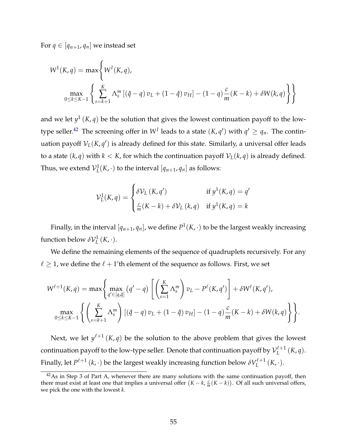For  $q \in [q_{n+1}, q_n]$  we instead set

$$
W^{1}(K,q) = \max \left\{ W^{I}(K,q),
$$
  
\n
$$
\max_{0 \le k \le K-1} \left\{ \sum_{s=k+1}^{K} \Lambda_{s}^{m} \left[ (\hat{q} - q) v_{L} + (1 - \hat{q}) v_{H} \right] - (1 - q) \frac{c}{m} (K - k) + \delta W(k,q) \right\} \right\}
$$

and we let  $y^1(K, q)$  be the solution that gives the lowest continuation payoff to the low-type seller.<sup>[42](#page-2-34)</sup> The screening offer in  $W^I$  leads to a state  $(K, q')$  with  $q' \geq q_n$ . The continuation payoff  $\mathcal{V}_L(K,q')$  is already defined for this state. Similarly, a universal offer leads to a state  $(k, q)$  with  $k < K$ , for which the continuation payoff  $\mathcal{V}_L(k, q)$  is already defined. Thus, we extend  $\mathcal{V}_L^1(K, \cdot)$  to the interval  $[q_{n+1}, q_n]$  as follows:

$$
\mathcal{V}_L^1(K,q) = \begin{cases} \delta \mathcal{V}_L(K,q') & \text{if } y^1(K,q) = q' \\ \frac{c}{m}(K-k) + \delta \mathcal{V}_L(k,q) & \text{if } y^1(K,q) = k \end{cases}
$$

Finally, in the interval  $[q_{n+1}, q_n]$ , we define  $P^1(K, \cdot)$  to be the largest weakly increasing function below  $\delta \mathcal{V}_L^1(K, \cdot)$ .

We define the remaining elements of the sequence of quadruplets recursively. For any  $\ell \geq 1$ , we define the  $\ell + 1$ 'th element of the sequence as follows. First, we set

$$
W^{\ell+1}(K,q) = \max\left\{\max_{q' \in [q,\hat{q}]} (q'-q) \left[ \left( \sum_{s=1}^K \Lambda_s^m \right) v_L - P^{\ell}(K,q') \right] + \delta W^{\ell}(K,q'), \max_{0 \le k \le K-1} \left\{ \left( \sum_{s=k+1}^K \Lambda_s^m \right) \left[ (\hat{q}-q) v_L + (1-\hat{q}) v_H \right] - (1-q) \frac{c}{m} (K-k) + \delta W(k,q) \right\} \right\}.
$$

Next, we let  $y^{\ell+1}(K,q)$  be the solution to the above problem that gives the lowest continuation payoff to the low-type seller. Denote that continuation payoff by  $\mathcal{V}^{\ell+1}_L(K,q).$ Finally, let  $P^{\ell+1}\left(k,\cdot\right)$  be the largest weakly increasing function below  $\delta V^{\ell+1}_L\left(K,\cdot\right)$ .

 $42$ As in Step 3 of Part A, whenever there are many solutions with the same continuation payoff, then there must exist at least one that implies a universal offer  $(K - k, \frac{c}{m}(K - k))$ . Of all such universal offers, we pick the one with the lowest *k*.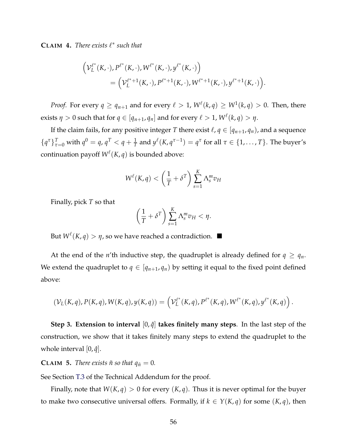**CLAIM 4.** *There exists*  $\ell^*$  *such that* 

$$
\left(V_L^{\ell^*}(K,\cdot), P^{\ell^*}(K,\cdot), W^{\ell^*}(K,\cdot), y^{\ell^*}(K,\cdot)\right) = \left(V_L^{\ell^*+1}(K,\cdot), P^{\ell^*+1}(K,\cdot), W^{\ell^*+1}(K,\cdot), y^{\ell^*+1}(K,\cdot)\right).
$$

*Proof.* For every  $q \geq q_{n+1}$  and for every  $\ell > 1$ ,  $W^{\ell}(k,q) \geq W^{\ell}(k,q) > 0$ . Then, there exists  $\eta > 0$  such that for  $q \in [q_{n+1}, q_n]$  and for every  $\ell > 1$ ,  $W^{\ell}(k, q) > \eta$ .

If the claim fails, for any positive integer *T* there exist  $\ell$ ,  $q \in [q_{n+1}, q_n)$ , and a sequence  $\{q^{\tau}\}_{\tau=0}^T$  with  $q^0 = q$ ,  $q^T < q + \frac{1}{T}$  and  $y^{\ell}(K, q^{\tau-1}) = q^{\tau}$  for all  $\tau \in \{1, ..., T\}$ . The buyer's continuation payoff  $W^{\ell}(K, q)$  is bounded above:

$$
W^{\ell}(K,q) < \left(\frac{1}{T} + \delta^T\right) \sum_{s=1}^K \Lambda_s^m v_H
$$

Finally, pick *T* so that

$$
\left(\frac{1}{T} + \delta^T\right) \sum_{s=1}^K \Lambda_s^m v_H < \eta.
$$

But  $W^{\ell}(K, q) > \eta$ , so we have reached a contradiction.

At the end of the *n*'th inductive step, the quadruplet is already defined for  $q \geq q_n$ . We extend the quadruplet to  $q \in [q_{n+1}, q_n)$  by setting it equal to the fixed point defined above:

$$
(\mathcal{V}_L(K,q), P(K,q), W(K,q), y(K,q)) = \left(\mathcal{V}_L^{\ell^*}(K,q), P^{\ell^*}(K,q), W^{\ell^*}(K,q), y^{\ell^*}(K,q)\right).
$$

**Step 3. Extension to interval**  $[0, \hat{q}]$  **takes finitely many steps**. In the last step of the construction, we show that it takes finitely many steps to extend the quadruplet to the whole interval  $[0, \hat{q}]$ .

**CLAIM 5.** *There exists*  $\tilde{n}$  *so that*  $q_{\tilde{n}} = 0$ *.* 

See Section [T.3](#page-2-41) of the Technical Addendum for the proof.

Finally, note that  $W(K, q) > 0$  for every  $(K, q)$ . Thus it is never optimal for the buyer to make two consecutive universal offers. Formally, if  $k \in Y(K,q)$  for some  $(K,q)$ , then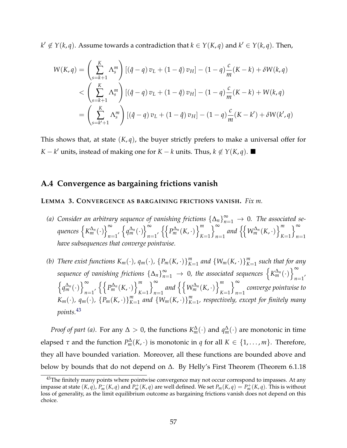$k' \notin Y(k,q)$ . Assume towards a contradiction that  $k \in Y(K,q)$  and  $k' \in Y(k,q)$ . Then,

$$
W(K,q) = \left(\sum_{s=k+1}^{K} \Lambda_s^m\right) \left[ (\hat{q} - q) v_L + (1 - \hat{q}) v_H \right] - (1 - q) \frac{c}{m} (K - k) + \delta W(k,q)
$$
  

$$
< \left(\sum_{s=k+1}^{K} \Lambda_s^m\right) \left[ (\hat{q} - q) v_L + (1 - \hat{q}) v_H \right] - (1 - q) \frac{c}{m} (K - k) + W(k,q)
$$
  

$$
= \left(\sum_{s=k'+1}^{K} \Lambda_s^m\right) \left[ (\hat{q} - q) v_L + (1 - \hat{q}) v_H \right] - (1 - q) \frac{c}{m} (K - k') + \delta W(k',q)
$$

This shows that, at state  $(K, q)$ , the buyer strictly prefers to make a universal offer for *K* − *k*<sup>*l*</sup> units, instead of making one for *K* − *k* units. Thus,  $k \notin Y(K, q)$ . ■

#### **A.4 Convergence as bargaining frictions vanish**

#### **LEMMA 3. CONVERGENCE AS BARGAINING FRICTIONS VANISH.** *Fix m.*

- *(a)* Consider an arbitrary sequence of vanishing frictions  $\{\Delta_n\}_{n=1}^{\infty} \to 0$ . The associated se- $\mathcal{G}$ *quences*  $\left\{K_m^{\Delta_n}(\cdot)\right\}_{n=1}^\infty$  $\sum_{n=1}^{\infty}$ ,  $\left\{ q_m^{\Delta_n}(\cdot) \right\}_{n=1}^{\infty}$  $\sum_{n=1}^{\infty}$ ,  $\left\{ \left\{ P_m^{\Delta_n}(K, \cdot) \right\} \right\}_{K}^{m}$ *K*=1  $\bigcap_{i=1}^{\infty}$  $\sum_{n=1}^{\infty}$  and  $\left\{\left\{W_m^{\Delta_n}(K, \cdot)\right\}_{K}^{m}\right\}$ *K*=1  $\big\}^{\infty}$ *n*=1 *have subsequences that converge pointwise.*
- (b) There exist functions  $K_m(\cdot)$ ,  $q_m(\cdot)$ ,  $\{P_m(K, \cdot)\}_{K=1}^m$  and  $\{W_m(K, \cdot)\}_{K=1}^m$  such that for any sequence of vanishing frictions  $\{\Delta_n\}_{n=1}^{\infty} \to 0$ , the associated sequences  $\left\{K_m^{\Delta_n}(\cdot)\right\}_{n=1}^{\infty}$  $n=1'$  $\left\{q_m^{\Delta_n}(\cdot)\right\}_{n=1}^{\infty}$  $\sum_{n=1}^{\infty}$ ,  $\left\{ \left\{ P_m^{\Delta_n}(K, \cdot) \right\} \right\}^m$ *K*=1  $\int_{-\infty}^{\infty}$  $\sum_{n=1}^{\infty}$  and  $\left\{ \left\{ W_m^{\Delta_n}(K, \cdot) \right\}_{K}^{m} \right\}$ *K*=1  $\int_{-\infty}^{\infty}$ *n*=1 *converge pointwise to*  $K_m(\cdot)$ ,  $q_m(\cdot)$ ,  $\{P_m(K,\cdot)\}_{K=1}^m$  and  $\{W_m(K,\cdot)\}_{K=1}^m$ , respectively, except for finitely many *points.*[43](#page-2-42)

*Proof of part (a)*. For any  $\Delta > 0$ , the functions  $K_m^{\Delta}(\cdot)$  and  $q_m^{\Delta}(\cdot)$  are monotonic in time elapsed  $\tau$  and the function  $P_m^{\Delta}(K, \cdot)$  is monotonic in *q* for all  $K \in \{1, \ldots, m\}$ . Therefore, they all have bounded variation. Moreover, all these functions are bounded above and below by bounds that do not depend on  $\Delta$ . By Helly's First Theorem (Theorem 6.1.18

 $43$ The finitely many points where pointwise convergence may not occur correspond to impasses. At any impasse at state  $(K,q)$ ,  $P_m^-(K,q)$  and  $P_m^+(K,q)$  are well defined. We set  $P_m(K,q) = P_m^+(K,q)$ . This is without loss of generality, as the limit equilibrium outcome as bargaining frictions vanish does not depend on this choice.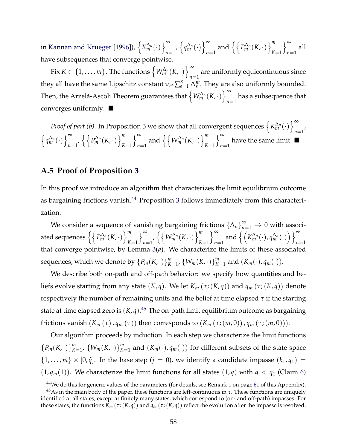in [Kannan and Krueger](#page-2-43) [\[1996\]](#page-2-43)),  $\left\{K_m^{\Delta_n}(\cdot)\right\}_{n=1}^{\infty}$  $\sum_{n=1}^{\infty}$ ,  $\left\{ q_m^{\Delta_n}(\cdot) \right\}_{n=1}^{\infty}$  $\sum_{n=1}^{\infty}$  and  $\left\{ \left\{ P_{m}^{\Delta_{n}}(K,\cdot)\right\} _{K}^{m}\right\}$ *K*=1  $\big)$   $\infty$ *n*=1 all have subsequences that converge pointwise.

Fix  $K \in \{1, \ldots, m\}$ . The functions  $\left\{W_m^{\Delta_n}(K, \cdot)\right\}_{n=1}^{\infty}$ are uniformly equicontinuous since<br> $n=1$ they all have the same Lipschitz constant  $v_H\sum_{s=1}^K\Lambda_s^m$ . They are also uniformly bounded. Then, the Arzelà-Ascoli Theorem guarantees that  $\left\{W_m^{\Delta_n}(K, \cdot)\right\}_{n=1}^{\infty}$  $n=1$  has a subsequence that converges uniformly.  $\blacksquare$ 

*Proof of part (b).* In Proposition [3](#page-2-2) we show that all convergent sequences  $\left\{K_m^{\Delta_n}(\cdot)\right\}_{n=1}^{\infty}$  $n=1'$  $\left\{q_m^{\Delta_n}(\cdot)\right\}_{n=1}^{\infty}$  $\sum_{n=1}^{\infty}$ ,  $\left\{ \left\{ P_m^{\Delta_n}(K, \cdot) \right\} \right\}^m$ *K*=1  $\big)$   $\infty$  $\sum_{n=1}^{\infty}$  and  $\left\{ \left\{ W_m^{\Delta_n}(K, \cdot) \right\}_{K}^{m} \right\}$ *K*=1  $\big)$   $\infty$ have the same limit.  $\blacksquare$ 

### **A.5 Proof of Proposition [3](#page-2-2)**

In this proof we introduce an algorithm that characterizes the limit equilibrium outcome as bargaining frictions vanish.<sup>[44](#page-2-44)</sup> Proposition [3](#page-2-2) follows immediately from this characterization.

We consider a sequence of vanishing bargaining frictions  $\{\Delta_n\}_{n=1}^{\infty} \to 0$  with associated sequences  $\left\{\left\{P_m^{\Delta_n}(K, \cdot)\right\}_{K}^m\right\}$ *K*=1  $\int_{-\infty}^{\infty}$ *n*=1  $\left\{ \left\{ W_m^{\Delta_n}(K, \cdot) \right\}_{K}^m \right\}$ *K*=1  $\int_{-\infty}^{\infty}$  $\sum_{n=1}^{\infty}$  and  $\left\{ \left( K_{m}^{\Delta_{n}}(\cdot), q_{m}^{\Delta_{n}}(\cdot) \right) \right\}_{n=1}^{\infty}$ *n*=1 that converge pointwise, by Lemma [3\(](#page-2-45)*a*). We characterize the limits of these associated sequences, which we denote by  $\{P_m(K, \cdot)\}_{K=1}^m$ ,  $\{W_m(K, \cdot)\}_{K=1}^m$  and  $(K_m(\cdot), q_m(\cdot)).$ 

We describe both on-path and off-path behavior: we specify how quantities and beliefs evolve starting from any state  $(K, q)$ . We let  $K_m(\tau; (K, q))$  and  $q_m(\tau; (K, q))$  denote respectively the number of remaining units and the belief at time elapsed  $\tau$  if the starting state at time elapsed zero is (*K*, *q*). [45](#page-2-46) The on-path limit equilibrium outcome as bargaining frictions vanish  $(K_m(\tau), q_m(\tau))$  then corresponds to  $(K_m(\tau; (m, 0)), q_m(\tau; (m, 0))).$ 

Our algorithm proceeds by induction. In each step we characterize the limit functions  ${P_m(K, \cdot)}_{K=1}^m$ ,  ${W_m(K, \cdot)}_{K=1}^m$  and  $(K_m(\cdot), q_m(\cdot))$  for different subsets of the state space  $\{1,\ldots,m\}\times[0,\hat{q}]$ . In the base step  $(j=0)$ , we identify a candidate impasse  $(k_1,q_1)$  =  $(1, \bar{q}_m(1))$ . We characterize the limit functions for all states  $(1, q)$  with  $q < q_1$  (Claim [6\)](#page-2-47)

<sup>&</sup>lt;sup>44</sup>We do this for generic values of the parameters (for details, see Remark [1](#page-2-48) on page [61](#page-2-48) of this Appendix).

 $45$ As in the main body of the paper, these functions are left-continuous in  $\tau$ . These functions are uniquely identified at all states, except at finitely many states, which correspond to (on- and off-path) impasses. For these states, the functions  $K_m(\tau; (K, q))$  and  $q_m(\tau; (K, q))$  reflect the evolution after the impasse is resolved.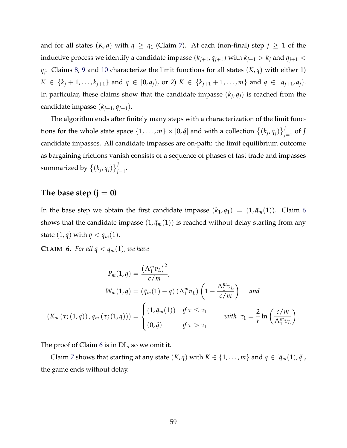and for all states  $(K, q)$  with  $q \ge q_1$  (Claim [7\)](#page-2-2). At each (non-final) step  $j \ge 1$  of the inductive process we identify a candidate impasse  $(k_{j+1}, q_{j+1})$  with  $k_{j+1} > k_j$  and  $q_{j+1} <$  $q_i$ . Claims [8,](#page-2-49) [9](#page-2-50) and [10](#page-2-51) characterize the limit functions for all states  $(K, q)$  with either 1)  $K \in \{k_j + 1, \ldots, k_{j+1}\}\$  and  $q \in [0, q_j)$ , or 2)  $K \in \{k_{j+1} + 1, \ldots, m\}\$  and  $q \in [q_{j+1}, q_j)$ . In particular, these claims show that the candidate impasse  $(k_j, q_j)$  is reached from the candidate impasse  $(k_{j+1}, q_{j+1})$ .

The algorithm ends after finitely many steps with a characterization of the limit functions for the whole state space  $\{1,\ldots,m\}\times [0,\hat{q}]$  and with a collection  $\{(k_j,q_j)\}_{j=1}^J$  of  $J$ candidate impasses. All candidate impasses are on-path: the limit equilibrium outcome as bargaining frictions vanish consists of a sequence of phases of fast trade and impasses summarized by  $\left\{ (k_j, q_j) \right\}_{j=1}^J$ .

### The base step  $(i = 0)$

In the base step we obtain the first candidate impasse  $(k_1, q_1) = (1, \bar{q}_m(1))$ . Claim [6](#page-2-47) shows that the candidate impasse  $(1, \bar{q}_m(1))$  is reached without delay starting from any state  $(1, q)$  with  $q < \bar{q}_m(1)$ .

**CLAIM 6.** *For all*  $q < \bar{q}_m(1)$ *, we have* 

$$
P_m(1,q) = \frac{(\Lambda_1^m v_L)^2}{c/m},
$$
  
\n
$$
W_m(1,q) = (\bar{q}_m(1) - q) (\Lambda_1^m v_L) \left(1 - \frac{\Lambda_1^m v_L}{c/m}\right) \text{ and}
$$
  
\n
$$
(K_m(\tau; (1,q)), q_m(\tau; (1,q))) = \begin{cases} (1, \bar{q}_m(1)) & \text{if } \tau \le \tau_1 \\ (0, \hat{q}) & \text{if } \tau > \tau_1 \end{cases} \text{ with } \tau_1 = \frac{2}{r} \ln \left( \frac{c/m}{\Lambda_1^m v_L} \right).
$$

The proof of Claim [6](#page-2-47) is in DL, so we omit it.

Claim [7](#page-2-2) shows that starting at any state  $(K, q)$  with  $K \in \{1, \ldots, m\}$  and  $q \in [\bar{q}_m(1), \hat{q}]$ , the game ends without delay.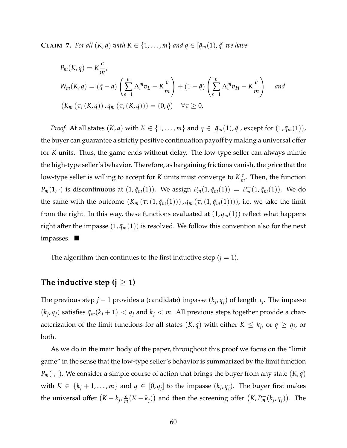**CLAIM 7.** *For all*  $(K, q)$  *with*  $K \in \{1, \ldots, m\}$  *and*  $q \in [\bar{q}_m(1), \hat{q}]$  *we have* 

$$
P_m(K, q) = K \frac{c}{m'},
$$
  
\n
$$
W_m(K, q) = (\hat{q} - q) \left( \sum_{s=1}^K \Lambda_s^m v_L - K \frac{c}{m} \right) + (1 - \hat{q}) \left( \sum_{s=1}^K \Lambda_s^m v_H - K \frac{c}{m} \right)
$$
 and  
\n
$$
(K_m(\tau; (K, q)), q_m(\tau; (K, q))) = (0, \hat{q}) \quad \forall \tau \ge 0.
$$

*Proof.* At all states  $(K, q)$  with  $K \in \{1, \ldots, m\}$  and  $q \in [\bar{q}_m(1), \hat{q}]$ , except for  $(1, \bar{q}_m(1))$ , the buyer can guarantee a strictly positive continuation payoff by making a universal offer for *K* units. Thus, the game ends without delay. The low-type seller can always mimic the high-type seller's behavior. Therefore, as bargaining frictions vanish, the price that the low-type seller is willing to accept for *K* units must converge to  $K_{\overline{m}}^c$ . Then, the function  $P_m(1, \cdot)$  is discontinuous at  $(1, \bar{q}_m(1))$ . We assign  $P_m(1, \bar{q}_m(1)) = P_m^+(1, \bar{q}_m(1))$ . We do the same with the outcome  $(K_m(\tau; (1, \bar{q}_m(1)))$ ,  $q_m(\tau; (1, \bar{q}_m(1))))$ , i.e. we take the limit from the right. In this way, these functions evaluated at  $(1, \bar{q}_m(1))$  reflect what happens right after the impasse  $(1, \bar{q}_m(1))$  is resolved. We follow this convention also for the next impasses.  $\blacksquare$ 

The algorithm then continues to the first inductive step  $(j = 1)$ .

## The inductive step  $(i \geq 1)$

The previous step  $j - 1$  provides a (candidate) impasse  $(k_i, q_i)$  of length  $\tau_i$ . The impasse  $(k_i, q_i)$  satisfies  $\bar{q}_m(k_i + 1) < q_i$  and  $k_i < m$ . All previous steps together provide a characterization of the limit functions for all states  $(K, q)$  with either  $K \leq k_j$ , or  $q \geq q_j$ , or both.

As we do in the main body of the paper, throughout this proof we focus on the "limit game" in the sense that the low-type seller's behavior is summarized by the limit function  $P_m(\cdot, \cdot)$ . We consider a simple course of action that brings the buyer from any state  $(K, q)$ with  $K \in \{k_j + 1, \ldots, m\}$  and  $q \in [0, q_j]$  to the impasse  $(k_j, q_j)$ . The buyer first makes the universal offer  $(K - k_j, \frac{c}{m}(K - k_j))$  and then the screening offer  $(K, P_m^-(k_j, q_j))$ . The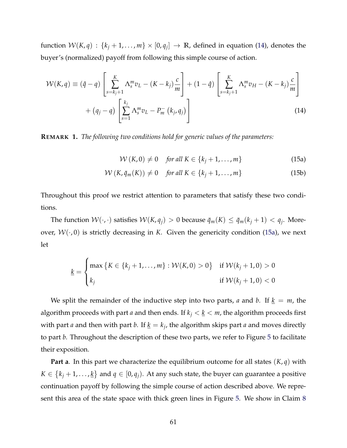function  $W(K,q)$ :  $\{k_j + 1, \ldots, m\} \times [0,q_j] \rightarrow \mathbb{R}$ , defined in equation [\(14\)](#page-2-52), denotes the buyer's (normalized) payoff from following this simple course of action.

$$
\mathcal{W}(K,q) \equiv (\hat{q} - q) \left[ \sum_{s=k_j+1}^{K} \Lambda_s^m v_L - (K - k_j) \frac{c}{m} \right] + (1 - \hat{q}) \left[ \sum_{s=k_j+1}^{K} \Lambda_s^m v_H - (K - k_j) \frac{c}{m} \right] + (q_j - q) \left[ \sum_{s=1}^{k_j} \Lambda_s^m v_L - P_m^-(k_j, q_j) \right]
$$
\n(14)

**REMARK 1.** *The following two conditions hold for generic values of the parameters:*

$$
W(K,0) \neq 0 \quad \text{for all } K \in \{k_j+1,\ldots,m\}
$$
 (15a)

$$
W(K, \bar{q}_m(K)) \neq 0 \quad \text{for all } K \in \{k_j + 1, \dots, m\}
$$
 (15b)

Throughout this proof we restrict attention to parameters that satisfy these two conditions.

The function  $W(\cdot, \cdot)$  satisfies  $W(K, q_i) > 0$  because  $\bar{q}_m(K) \leq \bar{q}_m(k_i + 1) < q_i$ . Moreover,  $W(\cdot, 0)$  is strictly decreasing in *K*. Given the genericity condition [\(15a\)](#page-2-53), we next let

$$
\underline{k} = \begin{cases} \max \left\{ K \in \{k_j + 1, \dots, m\} : \mathcal{W}(K, 0) > 0 \right\} & \text{if } \mathcal{W}(k_j + 1, 0) > 0 \\ k_j & \text{if } \mathcal{W}(k_j + 1, 0) < 0 \end{cases}
$$

We split the remainder of the inductive step into two parts, *a* and *b*. If  $k = m$ , the algorithm proceeds with part *a* and then ends. If  $k_j < \underline{k} < m$ , the algorithm proceeds first with part *a* and then with part *b*. If  $\underline{k} = k_j$ , the algorithm skips part *a* and moves directly to part *b*. Throughout the description of these two parts, we refer to Figure [5](#page-2-29) to facilitate their exposition.

**Part a**. In this part we characterize the equilibrium outcome for all states  $(K, q)$  with  $K \in \{k_j+1,\ldots,k\}$  and  $q \in [0,q_j)$ . At any such state, the buyer can guarantee a positive continuation payoff by following the simple course of action described above. We represent this area of the state space with thick green lines in Figure [5.](#page-2-29) We show in Claim [8](#page-2-49)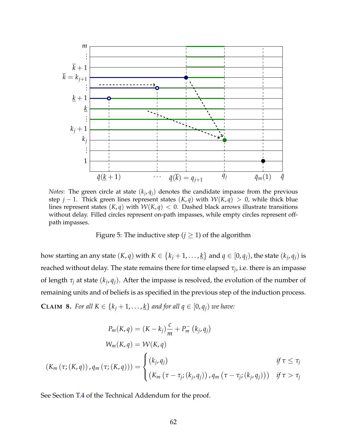

*Notes*: The green circle at state  $(k_i, q_i)$  denotes the candidate impasse from the previous step  $j - 1$ . Thick green lines represent states  $(K, q)$  with  $W(K, q) > 0$ , while thick blue lines represent states  $(K, q)$  with  $W(K, q) < 0$ . Dashed black arrows illustrate transitions without delay. Filled circles represent on-path impasses, while empty circles represent offpath impasses.

Figure 5: The inductive step ( $j \geq 1$ ) of the algorithm

how starting an any state  $(K, q)$  with  $K \in \{k_j + 1, \ldots, \underline{k}\}$  and  $q \in [0, q_j)$ , the state  $(k_j, q_j)$  is reached without delay. The state remains there for time elapsed  $\tau_i$ , i.e. there is an impasse of length  $\tau$ *<sub>j</sub>* at state  $(k_j, q_j)$ . After the impasse is resolved, the evolution of the number of remaining units and of beliefs is as specified in the previous step of the induction process. **CLAIM 8.** For all  $K \in \{k_j + 1, \ldots, k\}$  and for all  $q \in [0, q_j)$  we have:

$$
P_m(K,q) = (K - k_j) \frac{c}{m} + P_m^-(k_j, q_j)
$$
  

$$
W_m(K,q) = W(K,q)
$$
  

$$
(K_m(\tau; (K,q)), q_m(\tau; (K,q))) = \begin{cases} (k_j, q_j) & \text{if } \tau \leq \tau_j \\ (K_m(\tau - \tau_j; (k_j, q_j)), q_m(\tau - \tau_j; (k_j, q_j))) & \text{if } \tau > \tau_j \end{cases}
$$

See Section [T.4](#page-2-40) of the Technical Addendum for the proof.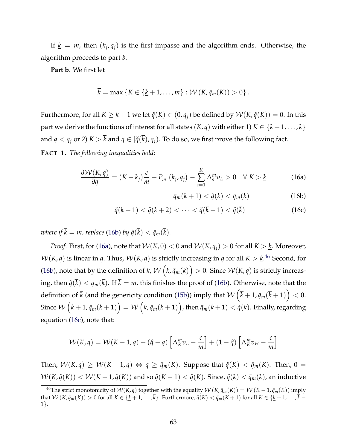If  $\underline{k} = m$ , then  $(k_i, q_i)$  is the first impasse and the algorithm ends. Otherwise, the algorithm proceeds to part *b*.

**Part b**. We first let

$$
k = \max \{ K \in \{ \underline{k} + 1, \ldots, m \} : \mathcal{W} (K, \bar{q}_m(K)) > 0 \} .
$$

Furthermore, for all  $K \geq k + 1$  we let  $\check{q}(K) \in (0, q_i)$  be defined by  $W(K, \check{q}(K)) = 0$ . In this part we derive the functions of interest for all states  $(K, q)$  with either 1)  $K \in \{k+1, \ldots, \overline{k}\}$ and  $q < q_j$  or 2)  $K > \overline{k}$  and  $q \in [\check{q}(\overline{k}), q_j)$ . To do so, we first prove the following fact.

**FACT 1.** *The following inequalities hold:*

$$
\frac{\partial \mathcal{W}(K,q)}{\partial q} = (K - k_j) \frac{c}{m} + P_m^-(k_j, q_j) - \sum_{s=1}^K \Lambda_s^m v_L > 0 \quad \forall \ K > \underline{k} \tag{16a}
$$

$$
\bar{q}_m(\bar{k}+1) < \check{q}(\bar{k}) < \bar{q}_m(\bar{k}) \tag{16b}
$$

$$
\check{q}(\underline{k}+1) < \check{q}(\underline{k}+2) < \cdots < \check{q}(\overline{k}-1) < \check{q}(\overline{k}) \tag{16c}
$$

*where if*  $\bar{k} = m$ *, replace* [\(16b\)](#page-2-54) *by*  $\check{q}(\bar{k}) < \bar{q}_m(\bar{k})$ *.* 

*Proof.* First, for [\(16a\)](#page-2-55), note that  $W(K, 0) < 0$  and  $W(K, q_i) > 0$  for all  $K > k$ . Moreover,  $W(K, q)$  is linear in *q*. Thus,  $W(K, q)$  is strictly increasing in *q* for all  $K > k<sup>46</sup>$  $K > k<sup>46</sup>$  $K > k<sup>46</sup>$  Second, for [\(16b\)](#page-2-54), note that by the definition of  $\bar{k}$ ,  $\mathcal{W}\left(\bar{k},\bar{q}_m(\bar{k})\right)>0.$  Since  $\mathcal{W}(K,q)$  is strictly increasing, then  $\check{q}(\bar{k}) < \bar{q}_m(\bar{k})$ . If  $\bar{k} = m$ , this finishes the proof of [\(16b\)](#page-2-54). Otherwise, note that the definition of  $\bar{k}$  (and the genericity condition [\(15b\)](#page-2-57)) imply that  $\mathcal{W}\left(\bar{k}+1,\bar{q}_m(\bar{k}+1)\right)< 0.$  $\text{Since } \mathcal{W}\left(\bar{k}+1,\bar{q}_m(\bar{k}+1)\right)=\mathcal{W}\left(\bar{k},\bar{q}_m(\bar{k}+1)\right)$ , then  $\bar{q}_m(\bar{k}+1)<\gamma(\bar{k})$ . Finally, regarding equation [\(16c\)](#page-2-58), note that:

$$
W(K,q) = W(K-1,q) + (\hat{q}-q) \left[ \Lambda_K^m v_L - \frac{c}{m} \right] + (1-\hat{q}) \left[ \Lambda_K^m v_H - \frac{c}{m} \right]
$$

Then,  $W(K, q) \geq W(K-1, q) \Leftrightarrow q \geq \bar{q}_m(K)$ . Suppose that  $\check{q}(K) < \bar{q}_m(K)$ . Then, 0 =  $W(K, \check{q}(K)) < W(K-1, \check{q}(K))$  and so  $\check{q}(K-1) < \check{q}(K)$ . Since,  $\check{q}(\overline{k}) < \bar{q}_m(\overline{k})$ , an inductive

<sup>&</sup>lt;sup>46</sup>The strict monotonicity of  $W(K, q)$  together with the equality  $W(K, \bar{q}_m(K)) = W(K - 1, \bar{q}_m(K))$  imply that  $W(K, \bar{q}_m(K)) > 0$  for all  $K \in \{k+1, ..., k\}$ . Furthermore,  $\check{q}(K) < \bar{q}_m(K+1)$  for all  $K \in \{k+1, ..., k-1\}$ 1*}*.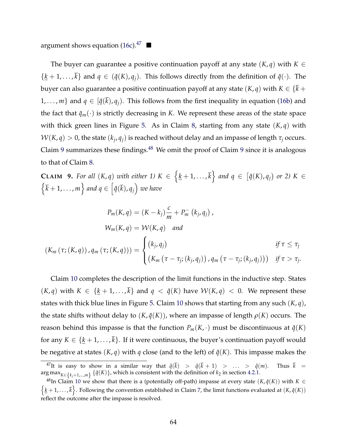argument shows equation [\(16c\)](#page-2-58).<sup>47</sup>

The buyer can guarantee a positive continuation payoff at any state  $(K,q)$  with  $K \in$  $\{\underline{k} + 1, \ldots, \overline{k}\}\$  and  $q \in (\check{q}(K), q_i)$ . This follows directly from the definition of  $\check{q}(\cdot)$ . The buyer can also guarantee a positive continuation payoff at any state  $(K, q)$  with  $K \in \{ \overline{k} + \overline{k} \}$  $1, \ldots, m$ } and  $q \in [\check{q}(k), q_i]$ . This follows from the first inequality in equation [\(16b\)](#page-2-54) and the fact that  $\bar{q}_m(\cdot)$  is strictly decreasing in *K*. We represent these areas of the state space with thick green lines in Figure [5.](#page-2-29) As in Claim [8,](#page-2-49) starting from any state (*K*, *q*) with  $W(K, q) > 0$ , the state  $(k_i, q_i)$  is reached without delay and an impasse of length  $\tau_i$  occurs. Claim [9](#page-2-50) summarizes these findings.<sup>[48](#page-2-59)</sup> We omit the proof of Claim 9 since it is analogous to that of Claim [8.](#page-2-49)

**CLAIM 9.** For all  $(K,q)$  with either 1)  $K \in \{k+1,\ldots,\overline{k}\}$  and  $q \in [\check{q}(K), q_j]$  or 2)  $K \in$  $\left\{\bar{k} + 1, \ldots, m\right\}$  and  $q \in \left[\check{q}(\bar{k}), q_j\right)$  we have

$$
P_m(K, q) = (K - k_j) \frac{c}{m} + P_m^-(k_j, q_j),
$$
  
\n
$$
W_m(K, q) = W(K, q) \text{ and}
$$
  
\n
$$
(K_m(\tau; (K, q)), q_m(\tau; (K, q))) = \begin{cases} (k_j, q_j) & \text{if } \tau \leq \tau_j \\ (K_m(\tau - \tau_j; (k_j, q_j)), q_m(\tau - \tau_j; (k_j, q_j))) & \text{if } \tau > \tau_j. \end{cases}
$$

Claim [10](#page-2-51) completes the description of the limit functions in the inductive step. States  $(K, q)$  with  $K \in \{k + 1, \ldots, \overline{k}\}$  and  $q < \check{q}(K)$  have  $W(K, q) < 0$ . We represent these states with thick blue lines in Figure [5.](#page-2-29) Claim [10](#page-2-51) shows that starting from any such (*K*, *q*), the state shifts without delay to  $(K, \check{q}(K))$ , where an impasse of length  $\rho(K)$  occurs. The reason behind this impasse is that the function  $P_m(K, \cdot)$  must be discontinuous at  $\check{q}(K)$ for any  $K \in \{\underline{k} + 1, ..., \overline{k}\}$ . If it were continuous, the buyer's continuation payoff would be negative at states  $(K, q)$  with  $q$  close (and to the left) of  $\check{q}(K)$ . This impasse makes the

<sup>&</sup>lt;sup>47</sup>It is easy to show in a similar way that  $\check{q}(\bar{k})$  >  $\check{q}(\bar{k} + 1)$  > ... >  $\check{q}(m)$ . Thus  $\bar{k}$  = arg max $_{K\in\{k_i+1,\dots,m\}}$  { $\tilde{q}(K)$ }, which is consistent with the definition of  $k_2$  in section [4.2.1.](#page-2-60)

<sup>&</sup>lt;sup>48</sup>In Claim [10](#page-2-51) we show that there is a (potentially off-path) impasse at every state  $(K, \check{q}(K))$  with  $K \in$  $\{\underline{k}+1,\ldots,\overline{k}\}$ . Following the convention established in Claim [7,](#page-2-2) the limit functions evaluated at  $(K, \breve{q}(K))$ reflect the outcome after the impasse is resolved.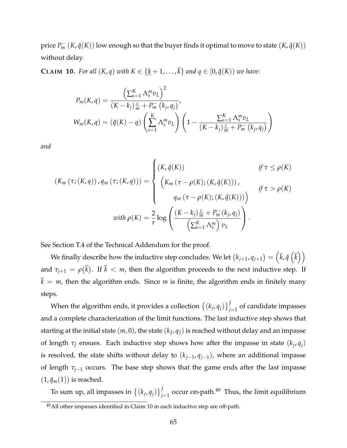price  $P_m^ (K, \check{q}(K))$  low enough so that the buyer finds it optimal to move to state  $(K, \check{q}(K))$ without delay.

**CLAIM 10.** *For all*  $(K, q)$  *with*  $K \in \{k + 1, \ldots, \overline{k}\}$  *and*  $q \in [0, \breve{q}(K))$  *we have:* 

$$
P_m(K,q) = \frac{\left(\sum_{s=1}^K \Lambda_s^m v_L\right)^2}{(K - k_j) \frac{c}{m} + P_m^-(k_j, q_j)},
$$
  

$$
W_m(K,q) = (\check{q}(K) - q) \left(\sum_{s=1}^K \Lambda_s^m v_L\right) \left(1 - \frac{\sum_{s=1}^K \Lambda_s^m v_L}{(K - k_j) \frac{c}{m} + P_m^-(k_j, q_j)}\right)
$$

*and*

$$
(K_m(\tau; (K,q)), q_m(\tau; (K,q))) = \begin{cases} (K, \check{q}(K)) & \text{if } \tau \le \rho(K) \\ \left( K_m(\tau - \rho(K); (K, \check{q}(K))) \right), & \text{if } \tau > \rho(K) \\ q_m(\tau - \rho(K); (K, \check{q}(K))) \end{cases}
$$
  
with  $\rho(K) = \frac{2}{r} \log \left( \frac{(K - k_j) \frac{c}{m} + P_m(k_j, q_j)}{\left( \sum_{s=1}^K \Lambda_s^m \right) v_L} \right).$ 

See Section [T.4](#page-2-40) of the Technical Addendum for the proof.

We finally describe how the inductive step concludes. We let  $(k_{j+1}, q_{j+1}) = \left(\bar{k}, \check{q}\left(\bar{k}\right)\right)$ and  $\tau_{j+1} = \rho(\overline{k})$ . If  $\overline{k} < m$ , then the algorithm proceeds to the next inductive step. If  $k = m$ , then the algorithm ends. Since *m* is finite, the algorithm ends in finitely many steps.

When the algorithm ends, it provides a collection  $\left\{\left(k_j, q_j\right)\right\}_{j=1}^J$  of candidate impasses and a complete characterization of the limit functions. The last inductive step shows that starting at the initial state  $(m, 0)$ , the state  $(k_I, q_I)$  is reached without delay and an impasse of length  $\tau$ <sup>*I*</sup> ensues. Each inductive step shows how after the impasse in state  $(k_i, q_i)$ is resolved, the state shifts without delay to  $(k_{j-1}, q_{j-1})$ , where an additional impasse of length  $\tau_{i-1}$  occurs. The base step shows that the game ends after the last impasse  $(1, \bar{q}_m(1))$  is reached.

To sum up, all impasses in  $\{(k_j, q_j)\}_{j=1}^J$  occur on-path.<sup>[49](#page-2-61)</sup> Thus, the limit equilibrium

<sup>&</sup>lt;sup>49</sup>All other impasses identified in Claim [10](#page-2-51) in each inductive step are off-path.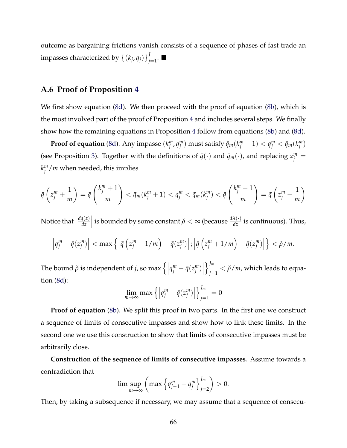outcome as bargaining frictions vanish consists of a sequence of phases of fast trade an impasses characterized by  $\left\{\left(k_j, q_j\right)\right\}_{j=1}^J$ .  $\blacksquare$ 

#### **A.6 Proof of Proposition [4](#page-2-2)**

We first show equation [\(8d\)](#page-2-3). We then proceed with the proof of equation [\(8b\)](#page-2-5), which is the most involved part of the proof of Proposition [4](#page-2-2) and includes several steps. We finally show how the remaining equations in Proposition [4](#page-2-2) follow from equations [\(8b\)](#page-2-5) and [\(8d\)](#page-2-3).

**Proof of equation** [\(8d\)](#page-2-3). Any impasse  $(k_j^m,q_j^m)$  must satisfy  $\bar{q}_m(k_j^m+1)< q_j^m<\bar{q}_m(k_j^m)$ (see Proposition [3\)](#page-2-2). Together with the definitions of  $\bar{q}(\cdot)$  and  $\bar{q}_m(\cdot)$ , and replacing  $z_j^m =$  $k_j^m/m$  when needed, this implies

$$
\bar{q}\left(z_j^m + \frac{1}{m}\right) = \bar{q}\left(\frac{k_j^m + 1}{m}\right) < \bar{q}_m(k_j^m + 1) < q_j^m < \bar{q}_m(k_j^m) < \bar{q}\left(\frac{k_j^m - 1}{m}\right) = \bar{q}\left(z_j^m - \frac{1}{m}\right)
$$

Notice that  $\Big|$  $d\bar{q}(z)$ *dz* | is bounded by some constant  $\check{\rho} < \infty$  (because  $\frac{d\lambda(\cdot)}{dz}$  is continuous). Thus,

$$
\left|q_j^m - \bar{q}(z_j^m)\right| < \max\left\{\left|\bar{q}\left(z_j^m - 1/m\right) - \bar{q}(z_j^m)\right|; \left|\bar{q}\left(z_j^m + 1/m\right) - \bar{q}(z_j^m)\right|\right\} < \tilde{\rho}/m.
$$

The bound  $\check{\rho}$  is independent of *j*, so max  $\left\{\left|q_j^m - \bar{q}(z_j^m)\right|\right\}$ o*Jm*  $\sum_{j=1}^m < \check{\rho}/m$ , which leads to equation [\(8d\)](#page-2-3):

$$
\lim_{m \to \infty} \max \left\{ \left| q_j^m - \bar{q}(z_j^m) \right| \right\}_{j=1}^{J_m} = 0
$$

**Proof of equation** [\(8b\)](#page-2-5). We split this proof in two parts. In the first one we construct a sequence of limits of consecutive impasses and show how to link these limits. In the second one we use this construction to show that limits of consecutive impasses must be arbitrarily close.

**Construction of the sequence of limits of consecutive impasses**. Assume towards a contradiction that

$$
\limsup_{m \to \infty} \left( \max \left\{ q_{j-1}^m - q_j^m \right\}_{j=2}^{J_m} \right) > 0.
$$

Then, by taking a subsequence if necessary, we may assume that a sequence of consecu-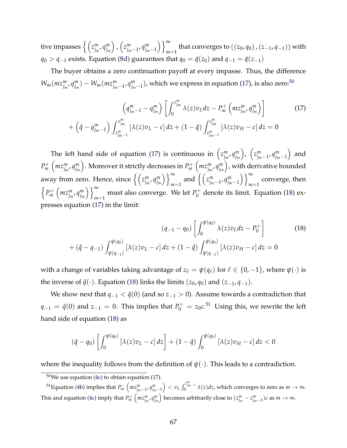tive impasses  $\left\{\left(z_{j_{m}}^m,q_{j_{m}}^m\right) \right\}$  $\binom{z_{j_m-1}^m, q_{j_m-1}^m}{}$  $\bigcup_{\infty}$ *m*=1 that converges to  $((z_0, q_0), (z_{-1}, q_{-1}))$  with *q*<sub>0</sub> > *q*<sub>-1</sub> exists. Equation [\(8d\)](#page-2-3) guarantees that *q*<sub>0</sub> =  $\bar{q}(z_0)$  and *q*<sub>-1</sub> =  $\bar{q}(z_{-1})$ 

The buyer obtains a zero continuation payoff at every impasse. Thus, the difference  $W_m(mx_{j_m}^m, q_{j_m}^m) - W_m(mx_{j_{m-1}}^m, q_{j_{m-1}}^m)$ , which we express in equation [\(17\)](#page-2-62), is also zero:<sup>50</sup>

$$
\left(q_{j_m-1}^m - q_{j_m}^m\right) \left[\int_0^{z_{j_m}^m} \lambda(z) v_L dz - P_m^+ \left(m z_{j_m}^m, q_{j_m}^m\right)\right]
$$
\n
$$
+ \left(\hat{q} - q_{j_m-1}^m\right) \int_{z_{j_m-1}^m}^{z_{j_m}^m} \left[\lambda(z) v_L - c\right] dz + (1 - \hat{q}) \int_{z_{j_m-1}^m}^{z_{j_m}^m} \left[\lambda(z) v_H - c\right] dz = 0
$$
\n(17)

The left hand side of equation [\(17\)](#page-2-62) is continuous in  $\left(z_{j_m}^m, q_{j_m}^m\right)$  $\binom{z_{j_m-1}^m, q_{j_m-1}^m}{}$ ) and *P*<sup>+</sup> *m*  $\left(mz_{j_m}^m, q_{j_m}^m\right)$ ). Moreover it strictly decreases in  $P_m^+$  $\left(mz_{j_m}^m, q_{j_m}^m\right)$ ), with derivative bounded away from zero. Hence, since  $\left\{ \left( z_{j_m}^m, q_{j_m}^m \right) \right\}$  $\bigcup_{\infty}$  $\sum_{m=1}^{\infty}$  and  $\Big\{ \Big( z_{j_m-1}^m, q_{j_m-1}^m \Big)$  $\Big)$   $\Big\}$ <sup> $\infty$ </sup> converge, then  $\left\{P_m^+\right\}$  $\left(mz_{j_m}^m, q_{j_m}^m\right)$  $\left(\frac{m}{m}\right)$  must also converge. We let  $P_0^+$  denote its limit. Equation [\(18\)](#page-2-64) expresses equation [\(17\)](#page-2-62) in the limit:

$$
(q_{-1} - q_0) \left[ \int_0^{\psi(q_0)} \lambda(z) v_L dz - P_0^+ \right]
$$
\n
$$
+ (\hat{q} - q_{-1}) \int_{\psi(q_{-1})}^{\psi(q_0)} [\lambda(z) v_L - c] dz + (1 - \hat{q}) \int_{\psi(q_{-1})}^{\psi(q_0)} [\lambda(z) v_H - c] dz = 0
$$
\n(18)

with a change of variables taking advantage of  $z_\ell = \psi(q_\ell)$  for  $\ell \in \{0, -1\}$ , where  $\psi(\cdot)$  is the inverse of  $\bar{q}(\cdot)$ . Equation [\(18\)](#page-2-64) links the limits ( $z_0$ ,  $q_0$ ) and ( $z_{-1}$ ,  $q_{-1}$ ).

We show next that  $q_{-1} < \bar{q}(0)$  (and so  $z_{-1} > 0$ ). Assume towards a contradiction that  $q_{-1} = \bar{q}(0)$  and  $z_{-1} = 0$ . This implies that  $P_0^+ = z_0 c$ .<sup>[51](#page-2-65)</sup> Using this, we rewrite the left hand side of equation [\(18\)](#page-2-64) as

$$
(\hat{q}-q_0)\left[\int_0^{\psi(q_0)} \left[\lambda(z)v_L-c\right]dz\right] + (1-\hat{q})\int_0^{\psi(q_0)} \left[\lambda(z)v_H-c\right]dz < 0
$$

where the inequality follows from the definition of  $\psi(\cdot)$ . This leads to a contradiction.

 $^{51}$ Equation [\(4b\)](#page-2-11) implies that  $P_m^ \left(mz_{j_m-1}^m,q_{j_m-1}^m\right)$  $\left( \int_{0}^{z_{jm}^{m}-1}{\lambda(z)dz\text{, which converges to zero as }m\rightarrow\infty.} \right)$ This and equation [\(4c\)](#page-2-12) imply that  $P_m^+\left(mz_{j_m}^m,q_{j_m}^m\right)$ ) becomes arbitrarily close to  $(z_{j_m}^m - z_{j_m-1}^m)c$  as  $m \to \infty$ .

 $50$ We use equation [\(4c\)](#page-2-12) to obtain equation [\(17\)](#page-2-62).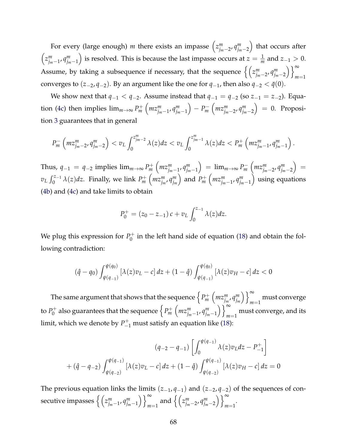For every (large enough) *m* there exists an impasse  $\left(z_{j_m-2}^m, q_{j_m-2}^m\right)$ ⌘ that occurs after  $\left(z_{j_m-1}^m,q_{j_m-1}^m\right)$ ) is resolved. This is because the last impasse occurs at  $z = \frac{1}{m}$  and  $z_{-1} > 0$ . Assume, by taking a subsequence if necessary, that the sequence  $\left\{\left(z_{j_m-2}^m,q_{j_m-2}^m\right)^2\right\}$  $\bigcup_{\infty}$ *m*=1 converges to  $(z_{-2}, q_{-2})$ . By an argument like the one for  $q_{-1}$ , then also  $q_{-2} < \bar{q}(0)$ .

We show next that  $q_{-1} < q_{-2}$ . Assume instead that  $q_{-1} = q_{-2}$  (so  $z_{-1} = z_{-2}$ ). Equa-tion [\(4c\)](#page-2-12) then implies  $\lim_{m\to\infty} P_m^+$  $\left( m z_{j_m-1}^m, q_{j_m-1}^m \right)$  $= P_m^ \left(mz_{jm-2}^m, q_{jm-2}^m\right)$  $= 0$ . Proposition [3](#page-2-2) guarantees that in general

$$
P_m^-\left(mz_{j_m-2}^m,q_{j_m-2}^m\right)< v_L\int_0^{z_{j_m-2}^m}\lambda(z)dz< v_L\int_0^{z_{j_m-1}^m}\lambda(z)dz< P_m^+\left(mz_{j_m-1}^m,q_{j_m-1}^m\right).
$$

Thus,  $q_{-1} = q_{-2}$  implies  $\lim_{m \to \infty} P_m^+$  $\left( m z_{jm-1}^m, q_{jm-1}^m \right)$  $\Big) = \lim_{m \to \infty} P_m^ \left( m z_{jm-2}^m, q_{jm-2}^m \right)$  $=$  $v_L \int_0^{z_{-1}} \lambda(z) dz$ . Finally, we link  $P_m^+$  $\left(mz_{j_m}^m, q_{j_m}^m\right)$  $\sum_{m=1}^{\infty}$  and  $P_m^+$  $\left(mz_{j_m-1}^m, q_{j_m-1}^m\right)$ ⌘ using equations [\(4b\)](#page-2-11) and [\(4c\)](#page-2-12) and take limits to obtain

$$
P_0^+ = (z_0 - z_{-1}) c + v_L \int_0^{z_{-1}} \lambda(z) dz.
$$

We plug this expression for  $P_0^+$  in the left hand side of equation [\(18\)](#page-2-64) and obtain the following contradiction:

$$
(\hat{q} - q_0) \int_{\psi(q_{-1})}^{\psi(q_0)} [\lambda(z)v_L - c] \, dz + (1 - \hat{q}) \int_{\psi(q_{-1})}^{\psi(q_0)} [\lambda(z)v_H - c] \, dz < 0
$$

The same argument that shows that the sequence  $\left\{ P_m^+ \right\}$  $\left(mz_{j_m}^m, q_{j_m}^m\right)$ )  $\}^{\infty}$  must converge *m*=1 to  $P_0^+$  also guarantees that the sequence  $\left\{P_m^+\right\}$  $\left(mz_{j_m-1}^m, q_{j_m-1}^m\right)$  $\bigcup_{\infty}^{\infty}$ *m*=1 must converge, and its limit, which we denote by  $P_{-1}^+$  must satisfy an equation like [\(18\)](#page-2-64):

$$
(q_{-2} - q_{-1}) \left[ \int_0^{\psi(q_{-1})} \lambda(z) v_L dz - P_{-1}^+ \right]
$$
  
+  $(\hat{q} - q_{-2}) \int_{\psi(q_{-2})}^{\psi(q_{-1})} [\lambda(z) v_L - c] dz + (1 - \hat{q}) \int_{\psi(q_{-2})}^{\psi(q_{-1})} [\lambda(z) v_H - c] dz = 0$ 

The previous equation links the limits  $(z_{-1}, q_{-1})$  and  $(z_{-2}, q_{-2})$  of the sequences of consecutive impasses  $\left\{ \left( z_{j_m-1}^m, q_{j_m-1}^m \right) \right\}$  $\bigcup_{\infty}$  $\sum_{m=1}^{\infty}$  and  $\Big\{ \Big( z_{j_m-2}^m, q_{j_m-2}^m \Big)$  $\bigcup_{\infty}$ *m*=1 .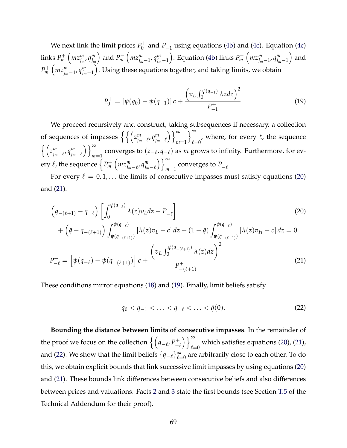We next link the limit prices  $P_0^+$  and  $P_{-1}^+$  using equations [\(4b\)](#page-2-11) and [\(4c\)](#page-2-12). Equation (4c) links *P*<sup>+</sup> *m*  $\left(mz_{j_m}^m, q_{j_m}^m\right)$  $\big)$  and  $P_m^ \left( m z_{j_m-1}^m, q_{j_m-1}^m \right)$ ). Equation [\(4b\)](#page-2-11) links  $P_m^ \left( m z_{j_m-1}^m, q_{j_m-1}^m \right)$ ) and *P*<sup>+</sup> *m*  $\left( m z_{j_m-1}^m, q_{j_m-1}^m \right)$ ⌘ . Using these equations together, and taking limits, we obtain

$$
P_0^+ = \left[\psi(q_0) - \psi(q_{-1})\right]c + \frac{\left(v_L \int_0^{\psi(q_{-1})} \lambda z dz\right)^2}{P_{-1}^+}.
$$
 (19)

We proceed recursively and construct, taking subsequences if necessary, a collection of sequences of impasses  $\left\{ \left\{ \left( z_{j_{m}-\ell}^{m},q_{j_{m}-\ell}^{m}\right) \right\} \right\}$  $\bigcap^{\infty}$ *m*=1  $\big)$   $\infty$  $_{\ell=0}'$ , where, for every  $\ell$ , the sequence  $\left\{\left(z_{j_m-\ell}^m,q_{j_m-\ell}^m\right) \right.$  $\left(\sum_{m=1}^{\infty}$  converges to  $(z_{-\ell}, q_{-\ell})$  as *m* grows to infinity. Furthermore, for every  $\ell$ , the sequence  $\Big\{P_m^+\Big\}$  $\left( m z_{j_m - \ell}^m, q_{j_m - \ell}^m \right)$  $\bigcup_{\infty}$  $\sum_{m=1}^{\infty}$  converges to  $P_{-\ell}^+$ .

For every  $\ell = 0, 1, \ldots$  the limits of consecutive impasses must satisfy equations [\(20\)](#page-2-66) and [\(21\)](#page-2-67).

$$
\left(q_{-(\ell+1)}-q_{-\ell}\right)\left[\int_0^{\psi(q_{-\ell})}\lambda(z)v_Ldz - P_{-\ell}^+\right] \tag{20}
$$
\n
$$
+\left(\hat{q}-q_{-(\ell+1)}\right)\int_{\psi(q_{-(\ell+1)})}^{\psi(q_{-\ell})}[\lambda(z)v_L - c] \, dz + (1-\hat{q})\int_{\psi(q_{-(\ell+1)})}^{\psi(q_{-\ell})}[\lambda(z)v_H - c] \, dz = 0
$$
\n
$$
P_{-\ell}^+ = \left[\psi(q_{-\ell}) - \psi(q_{-(\ell+1)})\right]c + \frac{\left(v_L \int_0^{\psi(q_{-(\ell+1)})} \lambda(z)dz\right)^2}{P_{-(\ell+1)}^+} \tag{21}
$$

These conditions mirror equations [\(18\)](#page-2-64) and [\(19\)](#page-2-68). Finally, limit beliefs satisfy

$$
q_0 < q_{-1} < \ldots < q_{-\ell} < \ldots < \bar{q}(0).
$$
 (22)

**Bounding the distance between limits of consecutive impasses**. In the remainder of the proof we focus on the collection  $\left\{ \left( q_{-\ell},P_{-\ell}^{+}\right) \right\}$  $\bigcup_{\infty}$ which satisfies equations [\(20\)](#page-2-66), [\(21\)](#page-2-67),  $l=0$ and [\(22\)](#page-2-69). We show that the limit beliefs  $\{q_{-\ell}\}_{\ell=0}^{\infty}$  are arbitrarily close to each other. To do this, we obtain explicit bounds that link successive limit impasses by using equations [\(20\)](#page-2-66) and [\(21\)](#page-2-67). These bounds link differences between consecutive beliefs and also differences between prices and valuations. Facts [2](#page-2-2) and [3](#page-2-51) state the first bounds (see Section [T.5](#page-2-70) of the Technical Addendum for their proof).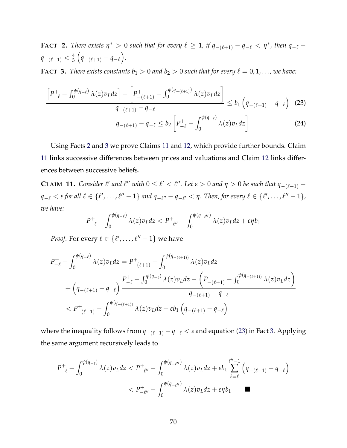**FACT** 2. There exists  $\eta^* > 0$  such that for every  $\ell \geq 1$ , if  $q_{-(\ell+1)} - q_{-\ell} < \eta^*$ , then  $q_{-\ell}$  $q_{-(\ell-1)} < \frac{4}{3}$  $\Bigl(q_{-(\ell+1)}-q_{-\ell}\Bigr).$ 

**FACT 3.** *There exists constants*  $b_1 > 0$  *and*  $b_2 > 0$  *such that for every*  $\ell = 0, 1, \ldots$ *, we have:* 

$$
\frac{\left[P_{-\ell}^{+}-\int_{0}^{\psi(q_{-\ell})}\lambda(z)v_{L}dz\right]-\left[P_{-(\ell+1)}^{+}-\int_{0}^{\psi(q_{-(\ell+1)})}\lambda(z)v_{L}dz\right]}{q_{-(\ell+1)}-q_{-\ell}} \leq b_{1}\left(q_{-(\ell+1)}-q_{-\ell}\right) (23)
$$
\n
$$
q_{-(\ell+1)}-q_{-\ell} \leq b_{2}\left[P_{-\ell}^{+}-\int_{0}^{\psi(q_{-\ell})}\lambda(z)v_{L}dz\right] (24)
$$

Using Facts [2](#page-2-2) and [3](#page-2-51) we prove Claims [11](#page-2-71) and [12,](#page-2-2) which provide further bounds. Claim [11](#page-2-71) links successive differences between prices and valuations and Claim [12](#page-2-2) links differences between successive beliefs.

**CLAIM 11.** *Consider*  $\ell'$  *and*  $\ell''$  *with*  $0 \leq \ell' < \ell''$ *. Let*  $\epsilon > 0$  *and*  $\eta > 0$  *be such that*  $q_{-(\ell+1)}$  $q_{-\ell} < \varepsilon$  for all  $\ell \in \{\ell', \ldots, \ell''-1\}$  and  $q_{-\ell''}-q_{-\ell'} < \eta$ . Then, for every  $\ell \in \{\ell', \ldots, \ell''-1\}$ , *we have:*

$$
P_{-\ell}^+ - \int_0^{\psi(q_{-\ell})} \lambda(z) v_L dz < P_{-\ell''}^+ - \int_0^{\psi(q_{-\ell''})} \lambda(z) v_L dz + \varepsilon \eta b_1
$$

*Proof.* For every  $\ell \in \{\ell', \ldots, \ell'' - 1\}$  we have

$$
P_{-\ell}^{+} - \int_{0}^{\psi(q_{-\ell})} \lambda(z) v_{L} dz = P_{-(\ell+1)}^{+} - \int_{0}^{\psi(q_{-(\ell+1)})} \lambda(z) v_{L} dz + \left(q_{-(\ell+1)} - q_{-\ell}\right) \frac{P_{-\ell}^{+} - \int_{0}^{\psi(q_{-\ell})} \lambda(z) v_{L} dz - \left(P_{-(\ell+1)}^{+} - \int_{0}^{\psi(q_{-(\ell+1)})} \lambda(z) v_{L} dz\right)}{q_{-(\ell+1)} - q_{-\ell}} < P_{-(\ell+1)}^{+} - \int_{0}^{\psi(q_{-(\ell+1)})} \lambda(z) v_{L} dz + \varepsilon b_{1} \left(q_{-(\ell+1)} - q_{-\ell}\right)
$$

where the inequality follows from  $q_{-(\ell+1)} - q_{-\ell} < \varepsilon$  and equation [\(23\)](#page-2-72) in Fact [3.](#page-2-51) Applying the same argument recursively leads to

$$
P_{-\ell}^{+} - \int_{0}^{\psi(q_{-\ell})} \lambda(z) v_{L} dz < P_{-\ell''}^{+} - \int_{0}^{\psi(q_{-\ell''})} \lambda(z) v_{L} dz + \varepsilon b_{1} \sum_{\tilde{\ell} = \ell}^{\ell'' - 1} \left( q_{-(\tilde{\ell}+1)} - q_{-\tilde{\ell}} \right) \\ < P_{-\ell''}^{+} - \int_{0}^{\psi(q_{-\ell''})} \lambda(z) v_{L} dz + \varepsilon \eta b_{1} \qquad \blacksquare
$$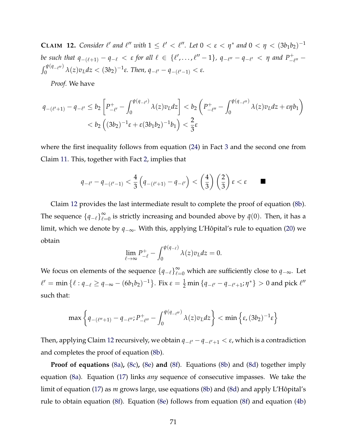**CLAIM 12.** *Consider*  $\ell'$  *and*  $\ell''$  *with*  $1 \leq \ell' < \ell''$ . Let  $0 < \epsilon < \eta^*$  *and*  $0 < \eta < (3b_1b_2)^{-1}$ *be such that*  $q_{-(\ell+1)} - q_{-\ell} < \varepsilon$  *for all*  $\ell \in {\ell', \dots, \ell'' - 1}$ ,  $q_{-\ell''} - q_{-\ell'} < \eta$  and  $P_{-\ell''}^+ - \int_0^{\psi(q_{-\ell''})} \lambda(z) v_{\ell} dz < (3b_2)^{-1} \varepsilon$ . Then,  $q_{-\ell'} - q_{-(\ell'-1)} < \varepsilon$ .  $\int_0^{\psi(q_{-\ell''})} \lambda(z) v_L dz < (3b_2)^{-1} \varepsilon$ . Then,  $q_{-\ell'} - q_{-(\ell'-1)} < \varepsilon$ .

*Proof.* We have

$$
q_{-(\ell'+1)} - q_{-\ell'} \le b_2 \left[ P_{-\ell'}^+ - \int_0^{\psi(q_{-\ell'})} \lambda(z) v_L dz \right] < b_2 \left( P_{-\ell''}^+ - \int_0^{\psi(q_{-\ell''})} \lambda(z) v_L dz + \varepsilon \eta b_1 \right)
$$
  
< 
$$
< b_2 \left( (3b_2)^{-1} \varepsilon + \varepsilon (3b_1 b_2)^{-1} b_1 \right) < \frac{2}{3} \varepsilon
$$

where the first inequality follows from equation [\(24\)](#page-2-0) in Fact [3](#page-2-1) and the second one from Claim [11.](#page-2-2) This, together with Fact [2,](#page-2-3) implies that

$$
q_{-\ell'}-q_{-(\ell'-1)} < \frac{4}{3}\left(q_{-(\ell'+1)}-q_{-\ell'}\right) < \left(\frac{4}{3}\right)\left(\frac{2}{3}\right)\varepsilon < \varepsilon \qquad \blacksquare
$$

Claim [12](#page-2-3) provides the last intermediate result to complete the proof of equation [\(8b\)](#page-2-4). The sequence  $\{q_{-\ell}\}_{\ell=0}^{\infty}$  is strictly increasing and bounded above by  $\bar{q}(0)$ . Then, it has a limit, which we denote by  $q_{-\infty}$ . With this, applying L'Hôpital's rule to equation ([20\)](#page-2-5) we obtain

$$
\lim_{\ell \to \infty} P_{-\ell}^+ - \int_0^{\psi(q_{-\ell})} \lambda(z) v_L dz = 0.
$$

We focus on elements of the sequence  $\{q_{-\ell}\}_{\ell=0}^{\infty}$  which are sufficiently close to  $q_{-\infty}$ . Let  $\ell' = \min \{ \ell : q_{-\ell} \geq q_{-\infty} - (6b_1b_2)^{-1} \}.$  Fix  $\varepsilon = \frac{1}{2} \min \{ q_{-\ell'} - q_{-\ell'+1}; \eta^* \} > 0$  and pick  $\ell''$ such that:

$$
\max\left\{q_{-(\ell''+1)}-q_{-\ell''};P_{-\ell''}^+-\int_0^{\psi(q_{-\ell''})}\lambda(z)v_Ldz\right\}<\min\left\{\varepsilon,(3b_2)^{-1}\varepsilon\right\}
$$

Then, applying Claim [12](#page-2-3) recursively, we obtain  $q_{-\ell'} - q_{-\ell'+1} < \varepsilon$ , which is a contradiction and completes the proof of equation [\(8b\)](#page-2-4).

**Proof of equations** [\(8a\)](#page-2-6)**,** [\(8c\)](#page-2-7)**,** [\(8e\)](#page-2-8) **and** [\(8f\)](#page-2-9). Equations [\(8b\)](#page-2-4) and [\(8d\)](#page-2-10) together imply equation [\(8a\)](#page-2-6). Equation [\(17\)](#page-2-11) links *any* sequence of consecutive impasses. We take the limit of equation [\(17\)](#page-2-11) as *m* grows large, use equations [\(8b\)](#page-2-4) and [\(8d\)](#page-2-10) and apply L'Hôpital's rule to obtain equation [\(8f\)](#page-2-9). Equation [\(8e\)](#page-2-8) follows from equation [\(8f\)](#page-2-9) and equation [\(4b\)](#page-2-12)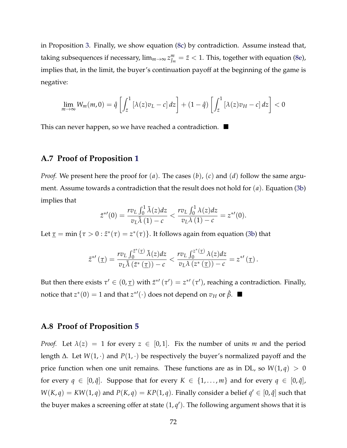in Proposition [3.](#page-2-3) Finally, we show equation [\(8c\)](#page-2-7) by contradiction. Assume instead that, taking subsequences if necessary,  $\lim_{m\to\infty}z_{J_m}^m=\bar z < 1.$  This, together with equation [\(8e\)](#page-2-8), implies that, in the limit, the buyer's continuation payoff at the beginning of the game is negative:

$$
\lim_{m\to\infty} W_m(m,0) = \hat{q} \left[ \int_{\bar{z}}^1 \left[ \lambda(z)v_L - c \right] dz \right] + (1-\hat{q}) \left[ \int_{\bar{z}}^1 \left[ \lambda(z)v_H - c \right] dz \right] < 0
$$

This can never happen, so we have reached a contradiction.  $\blacksquare$ 

## **A.7 Proof of Proposition [1](#page-2-13)**

*Proof.* We present here the proof for (*a*). The cases (*b*), (*c*) and (*d*) follow the same argument. Assume towards a contradiction that the result does not hold for (*a*). Equation [\(3b\)](#page-2-14) implies that

$$
\tilde{z}^{*'}(0) = \frac{rv_L \int_0^1 \tilde{\lambda}(z) dz}{v_L \tilde{\lambda}(1) - c} < \frac{rv_L \int_0^1 \lambda(z) dz}{v_L \lambda(1) - c} = z^{*'}(0).
$$

Let  $\underline{\tau} = \min \{ \tau > 0 : \tilde{z}^*(\tau) = z^*(\tau) \}.$  It follows again from equation [\(3b\)](#page-2-14) that

$$
\tilde{z}^{*'}\left(\underline{\tau}\right) = \frac{rv_L \int_0^{\tilde{z}^*(\underline{\tau})} \tilde{\lambda}(z) dz}{v_L \tilde{\lambda}\left(\tilde{z}^*(\underline{\tau})\right) - c} < \frac{rv_L \int_0^{z^*(\underline{\tau})} \lambda(z) dz}{v_L \lambda\left(z^*(\underline{\tau})\right) - c} = z^{*'}\left(\underline{\tau}\right).
$$

But then there exists  $\tau' \in (0, \tau)$  with  $\tilde{z}^{*\prime}(\tau') = z^{*\prime}(\tau')$ , reaching a contradiction. Finally, notice that  $z^*(0) = 1$  and that  $z^{*'}(\cdot)$  does not depend on  $v_H$  or  $\hat{\beta}$ .

## **A.8 Proof of Proposition [5](#page-2-15)**

*Proof.* Let  $\lambda(z) = 1$  for every  $z \in [0, 1]$ . Fix the number of units *m* and the period length  $\Delta$ . Let  $W(1, \cdot)$  and  $P(1, \cdot)$  be respectively the buyer's normalized payoff and the price function when one unit remains. These functions are as in DL, so  $W(1,q) > 0$ for every  $q \in [0, \hat{q}]$ . Suppose that for every  $K \in \{1, \ldots, m\}$  and for every  $q \in [0, \hat{q}]$ ,  $W(K, q) = KW(1, q)$  and  $P(K, q) = KP(1, q)$ . Finally consider a belief  $q' \in [0, \hat{q}]$  such that the buyer makes a screening offer at state  $(1,q^{\prime}).$  The following argument shows that it is